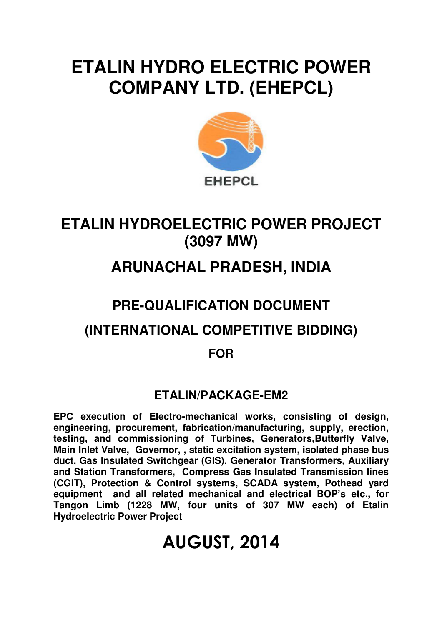## **ETALIN HYDRO ELECTRIC POWER COMPANY LTD. (EHEPCL)**



## **ETALIN HYDROELECTRIC POWER PROJECT (3097 MW)**

## **ARUNACHAL PRADESH, INDIA**

# **PRE-QUALIFICATION DOCUMENT**

### **(INTERNATIONAL COMPETITIVE BIDDING)**

**FOR** 

### **ETALIN/PACKAGE-EM2**

**EPC execution of Electro-mechanical works, consisting of design, engineering, procurement, fabrication/manufacturing, supply, erection, testing, and commissioning of Turbines, Generators,Butterfly Valve, Main Inlet Valve, Governor, , static excitation system, isolated phase bus duct, Gas Insulated Switchgear (GIS), Generator Transformers, Auxiliary and Station Transformers, Compress Gas Insulated Transmission lines (CGIT), Protection & Control systems, SCADA system, Pothead yard equipment and all related mechanical and electrical BOP's etc., for Tangon Limb (1228 MW, four units of 307 MW each) of Etalin Hydroelectric Power Project** 

## AUGUST, 2014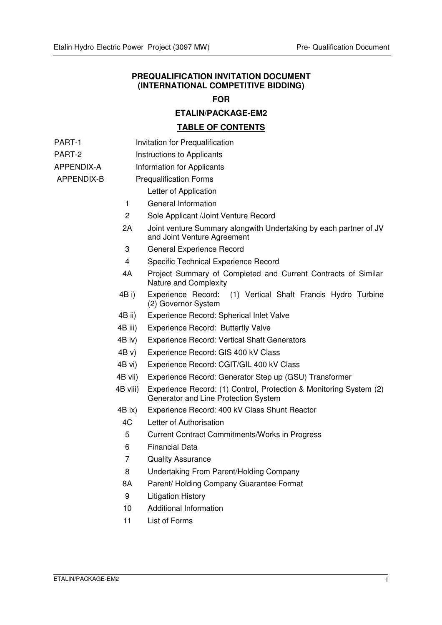#### **PREQUALIFICATION INVITATION DOCUMENT (INTERNATIONAL COMPETITIVE BIDDING)**

#### **FOR**

#### **ETALIN/PACKAGE-EM2**

#### **TABLE OF CONTENTS**

- PART-1 **Invitation for Prequalification**
- PART-2 **Instructions to Applicants**
- APPENDIX-A Information for Applicants

#### APPENDIX-B Prequalification Forms

- Letter of Application
- 1 General Information
- 2 Sole Applicant /Joint Venture Record
- 2A Joint venture Summary alongwith Undertaking by each partner of JV and Joint Venture Agreement
- 3 General Experience Record
- 4 Specific Technical Experience Record
- 4A Project Summary of Completed and Current Contracts of Similar Nature and Complexity
- 4B i) Experience Record: (1) Vertical Shaft Francis Hydro Turbine (2) Governor System
- 4B ii) Experience Record: Spherical Inlet Valve
- 4B iii) Experience Record: Butterfly Valve
- 4B iv) Experience Record: Vertical Shaft Generators
- 4B v) Experience Record: GIS 400 kV Class
- 4B vi) Experience Record: CGIT/GIL 400 kV Class
- 4B vii) Experience Record: Generator Step up (GSU) Transformer
- 4B viii) Experience Record: (1) Control, Protection & Monitoring System (2) Generator and Line Protection System
- 4B ix) Experience Record: 400 kV Class Shunt Reactor
- 4C Letter of Authorisation
- 5 Current Contract Commitments/Works in Progress
- 6 Financial Data
- 7 Quality Assurance
- 8 Undertaking From Parent/Holding Company
- 8A Parent/ Holding Company Guarantee Format
- 9 Litigation History
- 10 Additional Information
- 11 List of Forms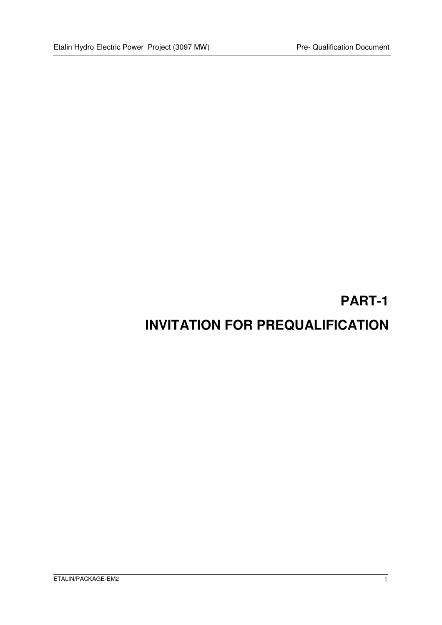### **PART-1**

### **INVITATION FOR PREQUALIFICATION**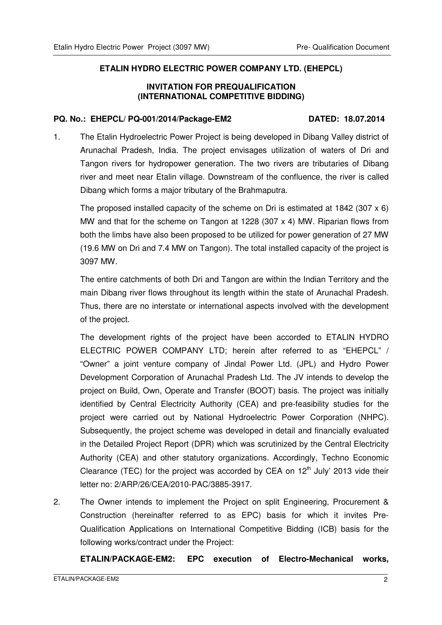#### **ETALIN HYDRO ELECTRIC POWER COMPANY LTD. (EHEPCL)**

#### **INVITATION FOR PREQUALIFICATION (INTERNATIONAL COMPETITIVE BIDDING)**

#### **PQ. No.: EHEPCL/ PQ-001/2014/Package-EM2 DATED: 18.07.2014**

1. The Etalin Hydroelectric Power Project is being developed in Dibang Valley district of Arunachal Pradesh, India. The project envisages utilization of waters of Dri and Tangon rivers for hydropower generation. The two rivers are tributaries of Dibang river and meet near Etalin village. Downstream of the confluence, the river is called Dibang which forms a major tributary of the Brahmaputra.

The proposed installed capacity of the scheme on Dri is estimated at 1842 (307 x 6) MW and that for the scheme on Tangon at 1228 (307 x 4) MW. Riparian flows from both the limbs have also been proposed to be utilized for power generation of 27 MW (19.6 MW on Dri and 7.4 MW on Tangon). The total installed capacity of the project is 3097 MW.

The entire catchments of both Dri and Tangon are within the Indian Territory and the main Dibang river flows throughout its length within the state of Arunachal Pradesh. Thus, there are no interstate or international aspects involved with the development of the project.

The development rights of the project have been accorded to ETALIN HYDRO ELECTRIC POWER COMPANY LTD; herein after referred to as "EHEPCL" / "Owner" a joint venture company of Jindal Power Ltd. (JPL) and Hydro Power Development Corporation of Arunachal Pradesh Ltd. The JV intends to develop the project on Build, Own, Operate and Transfer (BOOT) basis. The project was initially identified by Central Electricity Authority (CEA) and pre-feasibility studies for the project were carried out by National Hydroelectric Power Corporation (NHPC). Subsequently, the project scheme was developed in detail and financially evaluated in the Detailed Project Report (DPR) which was scrutinized by the Central Electricity Authority (CEA) and other statutory organizations. Accordingly, Techno Economic Clearance (TEC) for the project was accorded by CEA on  $12<sup>th</sup>$  July' 2013 vide their letter no: 2/ARP/26/CEA/2010-PAC/3885-3917.

2. The Owner intends to implement the Project on split Engineering, Procurement & Construction (hereinafter referred to as EPC) basis for which it invites Pre-Qualification Applications on International Competitive Bidding (ICB) basis for the following works/contract under the Project:

**ETALIN/PACKAGE-EM2: EPC execution of Electro-Mechanical works,**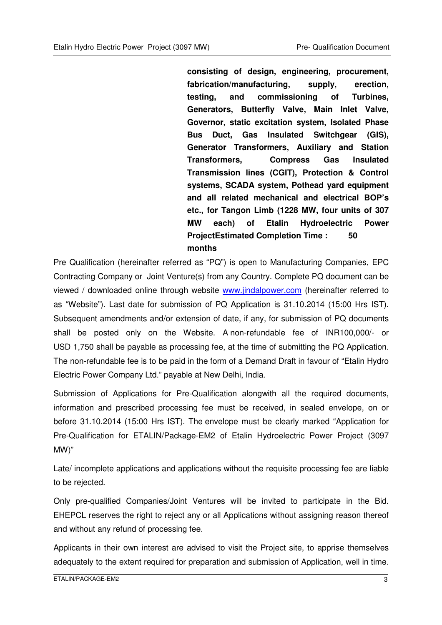**consisting of design, engineering, procurement, fabrication/manufacturing, supply, erection, testing, and commissioning of Turbines, Generators, Butterfly Valve, Main Inlet Valve, Governor, static excitation system, Isolated Phase Bus Duct, Gas Insulated Switchgear (GIS), Generator Transformers, Auxiliary and Station Transformers, Compress Gas Insulated Transmission lines (CGIT), Protection & Control systems, SCADA system, Pothead yard equipment and all related mechanical and electrical BOP's etc., for Tangon Limb (1228 MW, four units of 307 MW each) of Etalin Hydroelectric Power ProjectEstimated Completion Time : 50 months** 

Pre Qualification (hereinafter referred as "PQ") is open to Manufacturing Companies, EPC Contracting Company or Joint Venture(s) from any Country. Complete PQ document can be viewed / downloaded online through website www.jindalpower.com (hereinafter referred to as "Website"). Last date for submission of PQ Application is 31.10.2014 (15:00 Hrs IST). Subsequent amendments and/or extension of date, if any, for submission of PQ documents shall be posted only on the Website. A non-refundable fee of INR100,000/- or USD 1,750 shall be payable as processing fee, at the time of submitting the PQ Application. The non-refundable fee is to be paid in the form of a Demand Draft in favour of "Etalin Hydro Electric Power Company Ltd." payable at New Delhi, India.

Submission of Applications for Pre-Qualification alongwith all the required documents, information and prescribed processing fee must be received, in sealed envelope, on or before 31.10.2014 (15:00 Hrs IST). The envelope must be clearly marked "Application for Pre-Qualification for ETALIN/Package-EM2 of Etalin Hydroelectric Power Project (3097 MW)"

Late/ incomplete applications and applications without the requisite processing fee are liable to be rejected.

Only pre-qualified Companies/Joint Ventures will be invited to participate in the Bid. EHEPCL reserves the right to reject any or all Applications without assigning reason thereof and without any refund of processing fee.

Applicants in their own interest are advised to visit the Project site, to apprise themselves adequately to the extent required for preparation and submission of Application, well in time.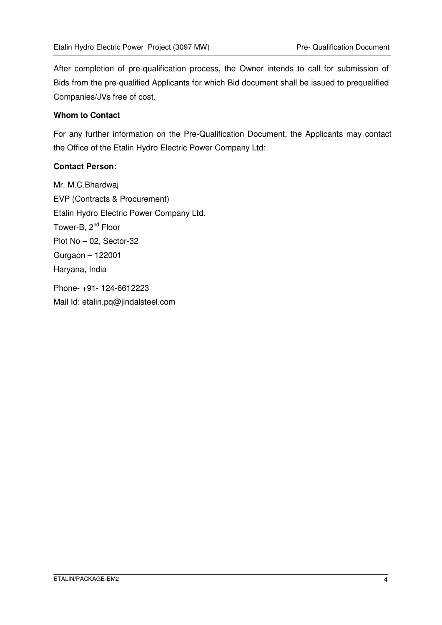After completion of pre-qualification process, the Owner intends to call for submission of Bids from the pre-qualified Applicants for which Bid document shall be issued to prequalified Companies/JVs free of cost.

#### **Whom to Contact**

For any further information on the Pre-Qualification Document, the Applicants may contact the Office of the Etalin Hydro Electric Power Company Ltd:

#### **Contact Person:**

Mr. M.C.Bhardwaj EVP (Contracts & Procurement) Etalin Hydro Electric Power Company Ltd. Tower-B, 2<sup>nd</sup> Floor Plot No – 02, Sector-32 Gurgaon – 122001 Haryana, India

Phone- +91- 124-6612223 Mail Id: etalin.pq@jindalsteel.com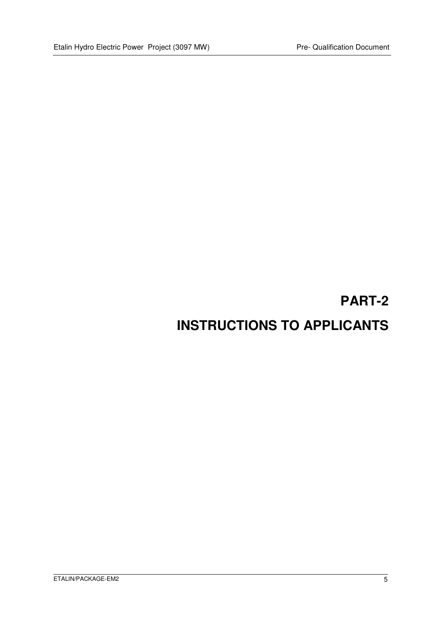## **PART-2 INSTRUCTIONS TO APPLICANTS**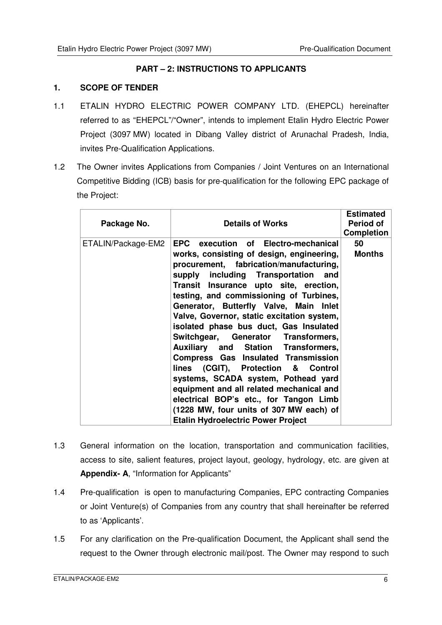#### **PART – 2: INSTRUCTIONS TO APPLICANTS**

#### **1. SCOPE OF TENDER**

- 1.1 ETALIN HYDRO ELECTRIC POWER COMPANY LTD. (EHEPCL) hereinafter referred to as "EHEPCL"/"Owner", intends to implement Etalin Hydro Electric Power Project (3097 MW) located in Dibang Valley district of Arunachal Pradesh, India, invites Pre-Qualification Applications.
- 1.2 The Owner invites Applications from Companies / Joint Ventures on an International Competitive Bidding (ICB) basis for pre-qualification for the following EPC package of the Project:

| Package No.        | <b>Details of Works</b>                                                                                                                                                                                                                                                                                                                                                                                                                                                                                                                                                                                                                                                                                                                                                          | <b>Estimated</b><br>Period of<br><b>Completion</b> |
|--------------------|----------------------------------------------------------------------------------------------------------------------------------------------------------------------------------------------------------------------------------------------------------------------------------------------------------------------------------------------------------------------------------------------------------------------------------------------------------------------------------------------------------------------------------------------------------------------------------------------------------------------------------------------------------------------------------------------------------------------------------------------------------------------------------|----------------------------------------------------|
| ETALIN/Package-EM2 | EPC execution of Electro-mechanical<br>works, consisting of design, engineering,<br>procurement, fabrication/manufacturing,<br>supply including Transportation and<br>Transit Insurance upto site, erection,<br>testing, and commissioning of Turbines,<br>Generator, Butterfly Valve, Main Inlet<br>Valve, Governor, static excitation system,<br>isolated phase bus duct, Gas Insulated<br>Switchgear, Generator Transformers,<br><b>Auxiliary and Station Transformers,</b><br>Compress Gas Insulated Transmission<br>lines (CGIT), Protection & Control<br>systems, SCADA system, Pothead yard<br>equipment and all related mechanical and<br>electrical BOP's etc., for Tangon Limb<br>(1228 MW, four units of 307 MW each) of<br><b>Etalin Hydroelectric Power Project</b> | 50<br><b>Months</b>                                |

- 1.3 General information on the location, transportation and communication facilities, access to site, salient features, project layout, geology, hydrology, etc. are given at **Appendix- A**, "Information for Applicants"
- 1.4 Pre-qualification is open to manufacturing Companies, EPC contracting Companies or Joint Venture(s) of Companies from any country that shall hereinafter be referred to as 'Applicants'.
- 1.5 For any clarification on the Pre-qualification Document, the Applicant shall send the request to the Owner through electronic mail/post. The Owner may respond to such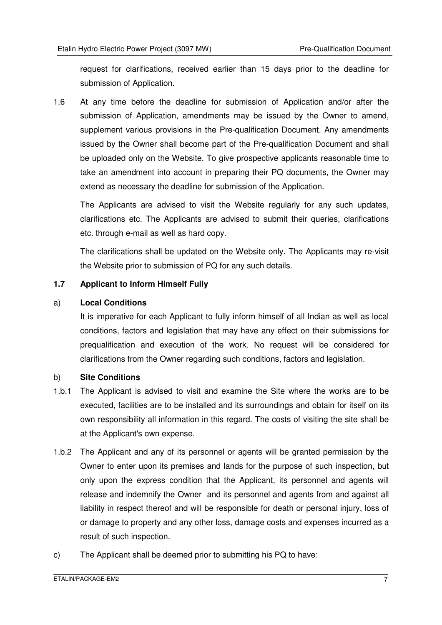request for clarifications, received earlier than 15 days prior to the deadline for submission of Application.

1.6 At any time before the deadline for submission of Application and/or after the submission of Application, amendments may be issued by the Owner to amend, supplement various provisions in the Pre-qualification Document. Any amendments issued by the Owner shall become part of the Pre-qualification Document and shall be uploaded only on the Website. To give prospective applicants reasonable time to take an amendment into account in preparing their PQ documents, the Owner may extend as necessary the deadline for submission of the Application.

The Applicants are advised to visit the Website regularly for any such updates, clarifications etc. The Applicants are advised to submit their queries, clarifications etc. through e-mail as well as hard copy.

The clarifications shall be updated on the Website only. The Applicants may re-visit the Website prior to submission of PQ for any such details.

#### **1.7 Applicant to Inform Himself Fully**

#### a) **Local Conditions**

It is imperative for each Applicant to fully inform himself of all Indian as well as local conditions, factors and legislation that may have any effect on their submissions for prequalification and execution of the work. No request will be considered for clarifications from the Owner regarding such conditions, factors and legislation.

#### b) **Site Conditions**

- 1.b.1 The Applicant is advised to visit and examine the Site where the works are to be executed, facilities are to be installed and its surroundings and obtain for itself on its own responsibility all information in this regard. The costs of visiting the site shall be at the Applicant's own expense.
- 1.b.2 The Applicant and any of its personnel or agents will be granted permission by the Owner to enter upon its premises and lands for the purpose of such inspection, but only upon the express condition that the Applicant, its personnel and agents will release and indemnify the Owner and its personnel and agents from and against all liability in respect thereof and will be responsible for death or personal injury, loss of or damage to property and any other loss, damage costs and expenses incurred as a result of such inspection.
- c) The Applicant shall be deemed prior to submitting his PQ to have: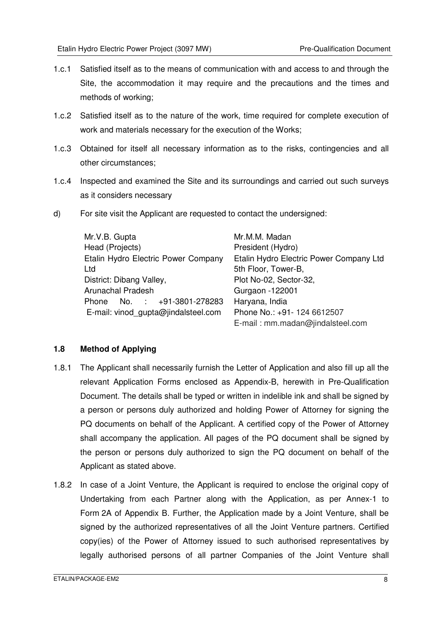- 1.c.1 Satisfied itself as to the means of communication with and access to and through the Site, the accommodation it may require and the precautions and the times and methods of working;
- 1.c.2 Satisfied itself as to the nature of the work, time required for complete execution of work and materials necessary for the execution of the Works;
- 1.c.3 Obtained for itself all necessary information as to the risks, contingencies and all other circumstances;
- 1.c.4 Inspected and examined the Site and its surroundings and carried out such surveys as it considers necessary
- d) For site visit the Applicant are requested to contact the undersigned:

| Mr.V.B. Gupta                       | Mr.M.M. Madan                           |  |
|-------------------------------------|-----------------------------------------|--|
| Head (Projects)                     | President (Hydro)                       |  |
| Etalin Hydro Electric Power Company | Etalin Hydro Electric Power Company Ltd |  |
| Ltd                                 | 5th Floor, Tower-B,                     |  |
| District: Dibang Valley,            | Plot No-02, Sector-32,                  |  |
| <b>Arunachal Pradesh</b>            | Gurgaon -122001                         |  |
| Phone No. : +91-3801-278283         | Haryana, India                          |  |
| E-mail: vinod gupta@jindalsteel.com | Phone No.: +91- 124 6612507             |  |
|                                     | E-mail: mm.madan@jindalsteel.com        |  |

#### **1.8 Method of Applying**

- 1.8.1 The Applicant shall necessarily furnish the Letter of Application and also fill up all the relevant Application Forms enclosed as Appendix-B, herewith in Pre-Qualification Document. The details shall be typed or written in indelible ink and shall be signed by a person or persons duly authorized and holding Power of Attorney for signing the PQ documents on behalf of the Applicant. A certified copy of the Power of Attorney shall accompany the application. All pages of the PQ document shall be signed by the person or persons duly authorized to sign the PQ document on behalf of the Applicant as stated above.
- 1.8.2 In case of a Joint Venture, the Applicant is required to enclose the original copy of Undertaking from each Partner along with the Application, as per Annex-1 to Form 2A of Appendix B. Further, the Application made by a Joint Venture, shall be signed by the authorized representatives of all the Joint Venture partners. Certified copy(ies) of the Power of Attorney issued to such authorised representatives by legally authorised persons of all partner Companies of the Joint Venture shall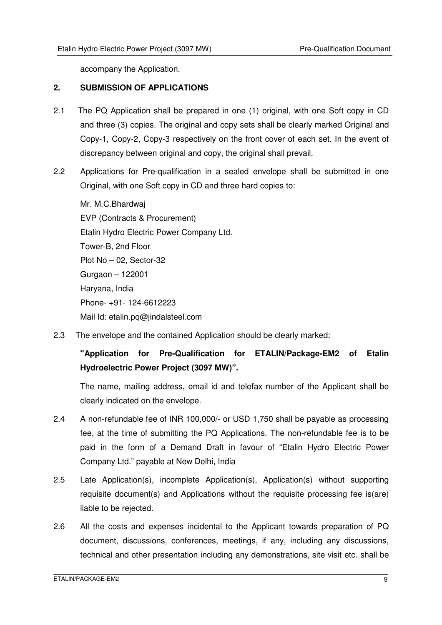accompany the Application.

#### **2. SUBMISSION OF APPLICATIONS**

- 2.1 The PQ Application shall be prepared in one (1) original, with one Soft copy in CD and three (3) copies. The original and copy sets shall be clearly marked Original and Copy-1, Copy-2, Copy-3 respectively on the front cover of each set. In the event of discrepancy between original and copy, the original shall prevail.
- 2.2 Applications for Pre-qualification in a sealed envelope shall be submitted in one Original, with one Soft copy in CD and three hard copies to:

Mr. M.C.Bhardwaj EVP (Contracts & Procurement) Etalin Hydro Electric Power Company Ltd. Tower-B, 2nd Floor Plot No – 02, Sector-32 Gurgaon – 122001 Haryana, India Phone- +91- 124-6612223 Mail Id: etalin.pg@iindalsteel.com

2.3 The envelope and the contained Application should be clearly marked:

**"Application for Pre-Qualification for ETALIN/Package-EM2 of Etalin Hydroelectric Power Project (3097 MW)".**

The name, mailing address, email id and telefax number of the Applicant shall be clearly indicated on the envelope.

- 2.4 A non-refundable fee of INR 100,000/- or USD 1,750 shall be payable as processing fee, at the time of submitting the PQ Applications. The non-refundable fee is to be paid in the form of a Demand Draft in favour of "Etalin Hydro Electric Power Company Ltd." payable at New Delhi, India
- 2.5 Late Application(s), incomplete Application(s), Application(s) without supporting requisite document(s) and Applications without the requisite processing fee is(are) liable to be rejected.
- 2.6 All the costs and expenses incidental to the Applicant towards preparation of PQ document, discussions, conferences, meetings, if any, including any discussions, technical and other presentation including any demonstrations, site visit etc. shall be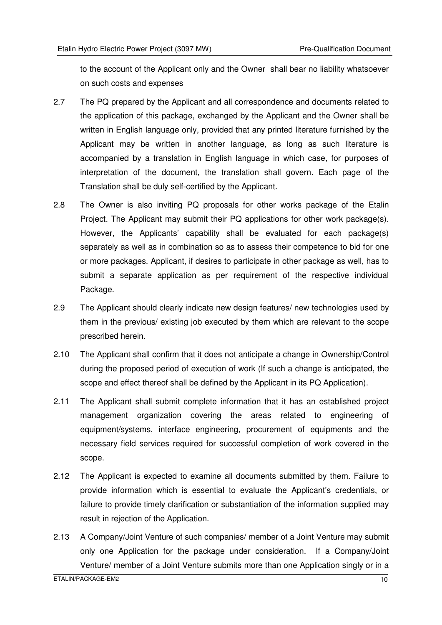to the account of the Applicant only and the Owner shall bear no liability whatsoever on such costs and expenses

- 2.7 The PQ prepared by the Applicant and all correspondence and documents related to the application of this package, exchanged by the Applicant and the Owner shall be written in English language only, provided that any printed literature furnished by the Applicant may be written in another language, as long as such literature is accompanied by a translation in English language in which case, for purposes of interpretation of the document, the translation shall govern. Each page of the Translation shall be duly self-certified by the Applicant.
- 2.8 The Owner is also inviting PQ proposals for other works package of the Etalin Project. The Applicant may submit their PQ applications for other work package(s). However, the Applicants' capability shall be evaluated for each package(s) separately as well as in combination so as to assess their competence to bid for one or more packages. Applicant, if desires to participate in other package as well, has to submit a separate application as per requirement of the respective individual Package.
- 2.9 The Applicant should clearly indicate new design features/ new technologies used by them in the previous/ existing job executed by them which are relevant to the scope prescribed herein.
- 2.10 The Applicant shall confirm that it does not anticipate a change in Ownership/Control during the proposed period of execution of work (If such a change is anticipated, the scope and effect thereof shall be defined by the Applicant in its PQ Application).
- 2.11 The Applicant shall submit complete information that it has an established project management organization covering the areas related to engineering of equipment/systems, interface engineering, procurement of equipments and the necessary field services required for successful completion of work covered in the scope.
- 2.12 The Applicant is expected to examine all documents submitted by them. Failure to provide information which is essential to evaluate the Applicant's credentials, or failure to provide timely clarification or substantiation of the information supplied may result in rejection of the Application.
- 2.13 A Company/Joint Venture of such companies/ member of a Joint Venture may submit only one Application for the package under consideration. If a Company/Joint Venture/ member of a Joint Venture submits more than one Application singly or in a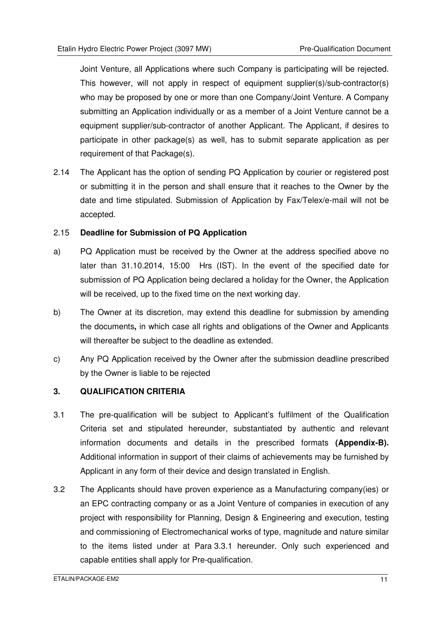Joint Venture, all Applications where such Company is participating will be rejected. This however, will not apply in respect of equipment supplier(s)/sub-contractor(s) who may be proposed by one or more than one Company/Joint Venture. A Company submitting an Application individually or as a member of a Joint Venture cannot be a equipment supplier/sub-contractor of another Applicant. The Applicant, if desires to participate in other package(s) as well, has to submit separate application as per requirement of that Package(s).

2.14 The Applicant has the option of sending PQ Application by courier or registered post or submitting it in the person and shall ensure that it reaches to the Owner by the date and time stipulated. Submission of Application by Fax/Telex/e-mail will not be accepted.

#### 2.15 **Deadline for Submission of PQ Application**

- a) PQ Application must be received by the Owner at the address specified above no later than 31.10.2014, 15:00 Hrs (IST). In the event of the specified date for submission of PQ Application being declared a holiday for the Owner, the Application will be received, up to the fixed time on the next working day.
- b) The Owner at its discretion, may extend this deadline for submission by amending the documents**,** in which case all rights and obligations of the Owner and Applicants will thereafter be subject to the deadline as extended.
- c) Any PQ Application received by the Owner after the submission deadline prescribed by the Owner is liable to be rejected

#### **3. QUALIFICATION CRITERIA**

- 3.1 The pre-qualification will be subject to Applicant's fulfilment of the Qualification Criteria set and stipulated hereunder, substantiated by authentic and relevant information documents and details in the prescribed formats **(Appendix-B).** Additional information in support of their claims of achievements may be furnished by Applicant in any form of their device and design translated in English.
- 3.2 The Applicants should have proven experience as a Manufacturing company(ies) or an EPC contracting company or as a Joint Venture of companies in execution of any project with responsibility for Planning, Design & Engineering and execution, testing and commissioning of Electromechanical works of type, magnitude and nature similar to the items listed under at Para 3.3.1 hereunder. Only such experienced and capable entities shall apply for Pre-qualification.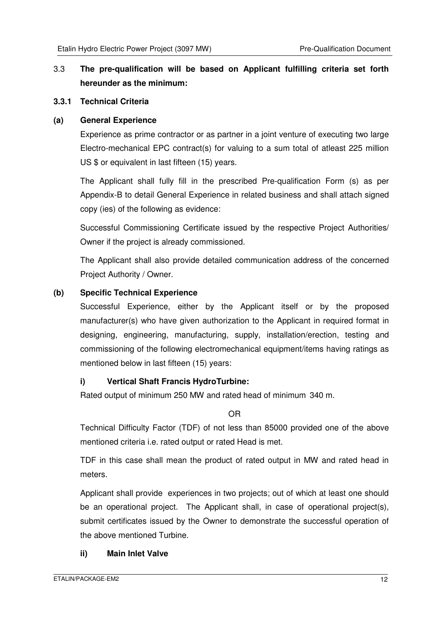#### 3.3 **The pre-qualification will be based on Applicant fulfilling criteria set forth hereunder as the minimum:**

#### **3.3.1 Technical Criteria**

#### **(a) General Experience**

Experience as prime contractor or as partner in a joint venture of executing two large Electro-mechanical EPC contract(s) for valuing to a sum total of atleast 225 million US \$ or equivalent in last fifteen (15) years.

The Applicant shall fully fill in the prescribed Pre-qualification Form (s) as per Appendix-B to detail General Experience in related business and shall attach signed copy (ies) of the following as evidence:

Successful Commissioning Certificate issued by the respective Project Authorities/ Owner if the project is already commissioned.

The Applicant shall also provide detailed communication address of the concerned Project Authority / Owner.

#### **(b) Specific Technical Experience**

Successful Experience, either by the Applicant itself or by the proposed manufacturer(s) who have given authorization to the Applicant in required format in designing, engineering, manufacturing, supply, installation/erection, testing and commissioning of the following electromechanical equipment/items having ratings as mentioned below in last fifteen (15) years:

#### **i) Vertical Shaft Francis HydroTurbine:**

Rated output of minimum 250 MW and rated head of minimum 340 m.

OR

Technical Difficulty Factor (TDF) of not less than 85000 provided one of the above mentioned criteria i.e. rated output or rated Head is met.

TDF in this case shall mean the product of rated output in MW and rated head in meters.

Applicant shall provide experiences in two projects; out of which at least one should be an operational project. The Applicant shall, in case of operational project(s), submit certificates issued by the Owner to demonstrate the successful operation of the above mentioned Turbine.

#### **ii) Main Inlet Valve**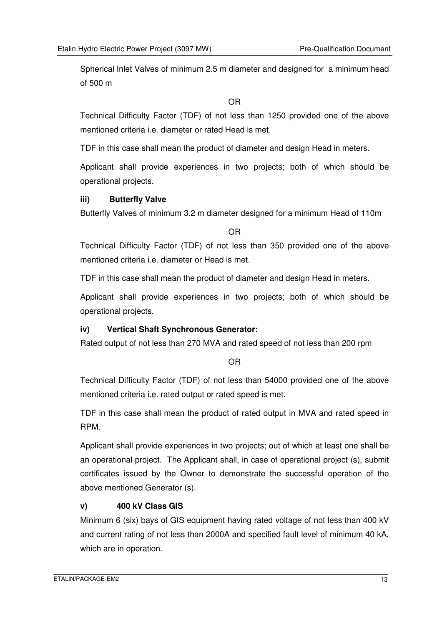Spherical Inlet Valves of minimum 2.5 m diameter and designed for a minimum head of 500 m

OR

Technical Difficulty Factor (TDF) of not less than 1250 provided one of the above mentioned criteria i.e. diameter or rated Head is met.

TDF in this case shall mean the product of diameter and design Head in meters.

Applicant shall provide experiences in two projects; both of which should be operational projects.

#### **iii) Butterfly Valve**

Butterfly Valves of minimum 3.2 m diameter designed for a minimum Head of 110m

OR

Technical Difficulty Factor (TDF) of not less than 350 provided one of the above mentioned criteria i.e. diameter or Head is met.

TDF in this case shall mean the product of diameter and design Head in meters.

Applicant shall provide experiences in two projects; both of which should be operational projects.

#### **iv) Vertical Shaft Synchronous Generator:**

Rated output of not less than 270 MVA and rated speed of not less than 200 rpm

OR

Technical Difficulty Factor (TDF) of not less than 54000 provided one of the above mentioned criteria i.e. rated output or rated speed is met.

TDF in this case shall mean the product of rated output in MVA and rated speed in RPM.

Applicant shall provide experiences in two projects; out of which at least one shall be an operational project. The Applicant shall, in case of operational project (s), submit certificates issued by the Owner to demonstrate the successful operation of the above mentioned Generator (s).

#### **v) 400 kV Class GIS**

Minimum 6 (six) bays of GIS equipment having rated voltage of not less than 400 kV and current rating of not less than 2000A and specified fault level of minimum 40 kA, which are in operation.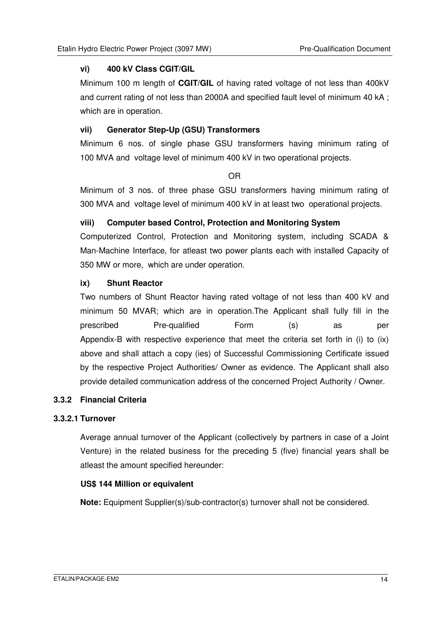#### **vi) 400 kV Class CGIT/GIL**

Minimum 100 m length of **CGIT/GIL** of having rated voltage of not less than 400kV and current rating of not less than 2000A and specified fault level of minimum 40 kA ; which are in operation.

#### **vii) Generator Step-Up (GSU) Transformers**

Minimum 6 nos. of single phase GSU transformers having minimum rating of 100 MVA and voltage level of minimum 400 kV in two operational projects.

#### OR

Minimum of 3 nos. of three phase GSU transformers having minimum rating of 300 MVA and voltage level of minimum 400 kV in at least two operational projects.

#### **viii) Computer based Control, Protection and Monitoring System**

Computerized Control, Protection and Monitoring system, including SCADA & Man-Machine Interface, for atleast two power plants each with installed Capacity of 350 MW or more, which are under operation.

#### **ix) Shunt Reactor**

Two numbers of Shunt Reactor having rated voltage of not less than 400 kV and minimum 50 MVAR; which are in operation.The Applicant shall fully fill in the prescribed Pre-qualified Form (s) as per Appendix-B with respective experience that meet the criteria set forth in (i) to (ix) above and shall attach a copy (ies) of Successful Commissioning Certificate issued by the respective Project Authorities/ Owner as evidence. The Applicant shall also provide detailed communication address of the concerned Project Authority / Owner.

#### **3.3.2 Financial Criteria**

#### **3.3.2.1 Turnover**

Average annual turnover of the Applicant (collectively by partners in case of a Joint Venture) in the related business for the preceding 5 (five) financial years shall be atleast the amount specified hereunder:

#### **US\$ 144 Million or equivalent**

**Note:** Equipment Supplier(s)/sub-contractor(s) turnover shall not be considered.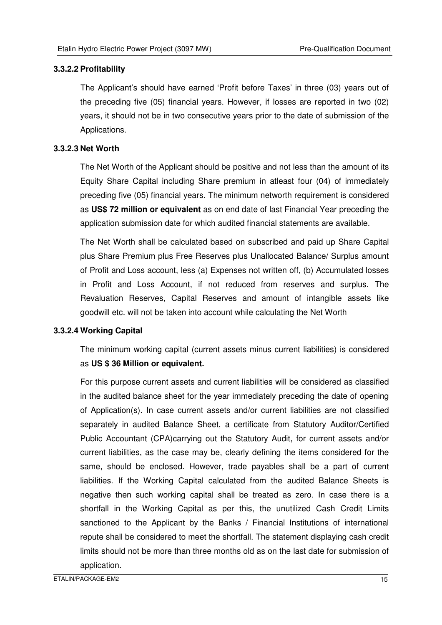#### **3.3.2.2 Profitability**

The Applicant's should have earned 'Profit before Taxes' in three (03) years out of the preceding five (05) financial years. However, if losses are reported in two (02) years, it should not be in two consecutive years prior to the date of submission of the Applications.

#### **3.3.2.3 Net Worth**

The Net Worth of the Applicant should be positive and not less than the amount of its Equity Share Capital including Share premium in atleast four (04) of immediately preceding five (05) financial years. The minimum networth requirement is considered as **US\$ 72 million or equivalent** as on end date of last Financial Year preceding the application submission date for which audited financial statements are available.

The Net Worth shall be calculated based on subscribed and paid up Share Capital plus Share Premium plus Free Reserves plus Unallocated Balance/ Surplus amount of Profit and Loss account, less (a) Expenses not written off, (b) Accumulated losses in Profit and Loss Account, if not reduced from reserves and surplus. The Revaluation Reserves, Capital Reserves and amount of intangible assets like goodwill etc. will not be taken into account while calculating the Net Worth

#### **3.3.2.4 Working Capital**

The minimum working capital (current assets minus current liabilities) is considered as **US \$ 36 Million or equivalent.**

For this purpose current assets and current liabilities will be considered as classified in the audited balance sheet for the year immediately preceding the date of opening of Application(s). In case current assets and/or current liabilities are not classified separately in audited Balance Sheet, a certificate from Statutory Auditor/Certified Public Accountant (CPA)carrying out the Statutory Audit, for current assets and/or current liabilities, as the case may be, clearly defining the items considered for the same, should be enclosed. However, trade payables shall be a part of current liabilities. If the Working Capital calculated from the audited Balance Sheets is negative then such working capital shall be treated as zero. In case there is a shortfall in the Working Capital as per this, the unutilized Cash Credit Limits sanctioned to the Applicant by the Banks / Financial Institutions of international repute shall be considered to meet the shortfall. The statement displaying cash credit limits should not be more than three months old as on the last date for submission of application.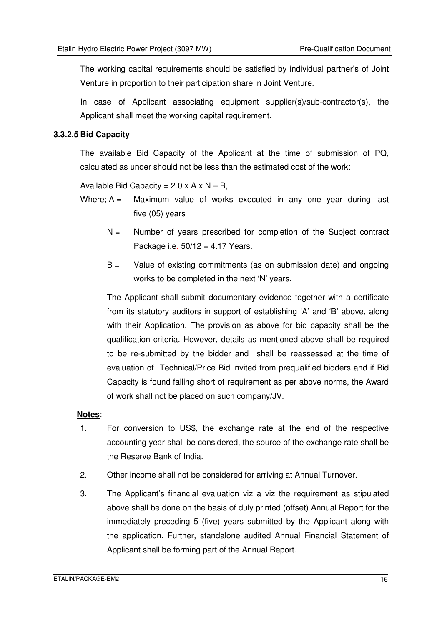The working capital requirements should be satisfied by individual partner's of Joint Venture in proportion to their participation share in Joint Venture.

In case of Applicant associating equipment supplier(s)/sub-contractor(s), the Applicant shall meet the working capital requirement.

#### **3.3.2.5 Bid Capacity**

The available Bid Capacity of the Applicant at the time of submission of PQ, calculated as under should not be less than the estimated cost of the work:

Available Bid Capacity =  $2.0 \times A \times N - B$ ,

- Where;  $A =$  Maximum value of works executed in any one year during last five (05) years
	- $N =$  Number of years prescribed for completion of the Subject contract Package i.e. 50/12 = 4.17 Years.
	- $B =$  Value of existing commitments (as on submission date) and ongoing works to be completed in the next 'N' years.

The Applicant shall submit documentary evidence together with a certificate from its statutory auditors in support of establishing 'A' and 'B' above, along with their Application. The provision as above for bid capacity shall be the qualification criteria. However, details as mentioned above shall be required to be re-submitted by the bidder and shall be reassessed at the time of evaluation of Technical/Price Bid invited from prequalified bidders and if Bid Capacity is found falling short of requirement as per above norms, the Award of work shall not be placed on such company/JV.

#### **Notes**:

- 1. For conversion to US\$, the exchange rate at the end of the respective accounting year shall be considered, the source of the exchange rate shall be the Reserve Bank of India.
- 2. Other income shall not be considered for arriving at Annual Turnover.
- 3. The Applicant's financial evaluation viz a viz the requirement as stipulated above shall be done on the basis of duly printed (offset) Annual Report for the immediately preceding 5 (five) years submitted by the Applicant along with the application. Further, standalone audited Annual Financial Statement of Applicant shall be forming part of the Annual Report.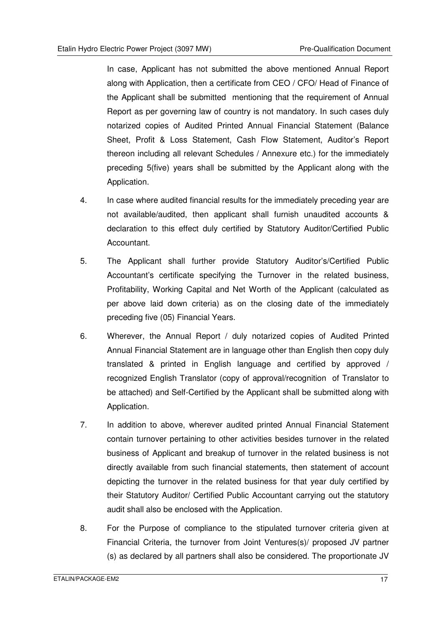In case, Applicant has not submitted the above mentioned Annual Report along with Application, then a certificate from CEO / CFO/ Head of Finance of the Applicant shall be submitted mentioning that the requirement of Annual Report as per governing law of country is not mandatory. In such cases duly notarized copies of Audited Printed Annual Financial Statement (Balance Sheet, Profit & Loss Statement, Cash Flow Statement, Auditor's Report thereon including all relevant Schedules / Annexure etc.) for the immediately preceding 5(five) years shall be submitted by the Applicant along with the Application.

- 4. In case where audited financial results for the immediately preceding year are not available/audited, then applicant shall furnish unaudited accounts & declaration to this effect duly certified by Statutory Auditor/Certified Public Accountant.
- 5. The Applicant shall further provide Statutory Auditor's/Certified Public Accountant's certificate specifying the Turnover in the related business, Profitability, Working Capital and Net Worth of the Applicant (calculated as per above laid down criteria) as on the closing date of the immediately preceding five (05) Financial Years.
- 6. Wherever, the Annual Report / duly notarized copies of Audited Printed Annual Financial Statement are in language other than English then copy duly translated & printed in English language and certified by approved / recognized English Translator (copy of approval/recognition of Translator to be attached) and Self-Certified by the Applicant shall be submitted along with Application.
- 7. In addition to above, wherever audited printed Annual Financial Statement contain turnover pertaining to other activities besides turnover in the related business of Applicant and breakup of turnover in the related business is not directly available from such financial statements, then statement of account depicting the turnover in the related business for that year duly certified by their Statutory Auditor/ Certified Public Accountant carrying out the statutory audit shall also be enclosed with the Application.
- 8. For the Purpose of compliance to the stipulated turnover criteria given at Financial Criteria, the turnover from Joint Ventures(s)/ proposed JV partner (s) as declared by all partners shall also be considered. The proportionate JV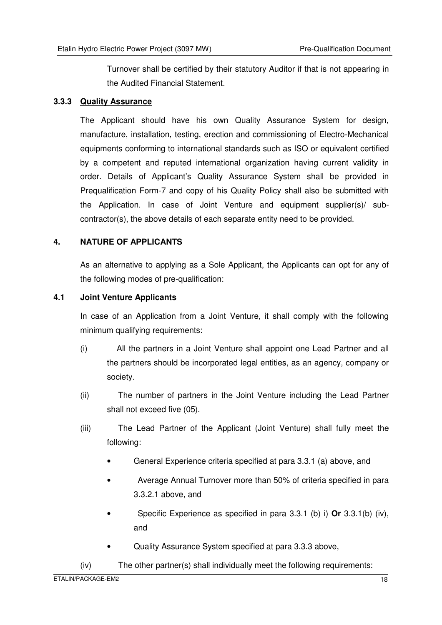Turnover shall be certified by their statutory Auditor if that is not appearing in the Audited Financial Statement.

#### **3.3.3 Quality Assurance**

The Applicant should have his own Quality Assurance System for design, manufacture, installation, testing, erection and commissioning of Electro-Mechanical equipments conforming to international standards such as ISO or equivalent certified by a competent and reputed international organization having current validity in order. Details of Applicant's Quality Assurance System shall be provided in Prequalification Form-7 and copy of his Quality Policy shall also be submitted with the Application. In case of Joint Venture and equipment supplier(s)/ subcontractor(s), the above details of each separate entity need to be provided.

#### **4. NATURE OF APPLICANTS**

As an alternative to applying as a Sole Applicant, the Applicants can opt for any of the following modes of pre-qualification:

#### **4.1 Joint Venture Applicants**

In case of an Application from a Joint Venture, it shall comply with the following minimum qualifying requirements:

- (i) All the partners in a Joint Venture shall appoint one Lead Partner and all the partners should be incorporated legal entities, as an agency, company or society.
- (ii) The number of partners in the Joint Venture including the Lead Partner shall not exceed five (05).
- (iii) The Lead Partner of the Applicant (Joint Venture) shall fully meet the following:
	- General Experience criteria specified at para 3.3.1 (a) above, and
	- Average Annual Turnover more than 50% of criteria specified in para 3.3.2.1 above, and
	- Specific Experience as specified in para 3.3.1 (b) i) **Or** 3.3.1(b) (iv), and
	- Quality Assurance System specified at para 3.3.3 above,
- (iv) The other partner(s) shall individually meet the following requirements: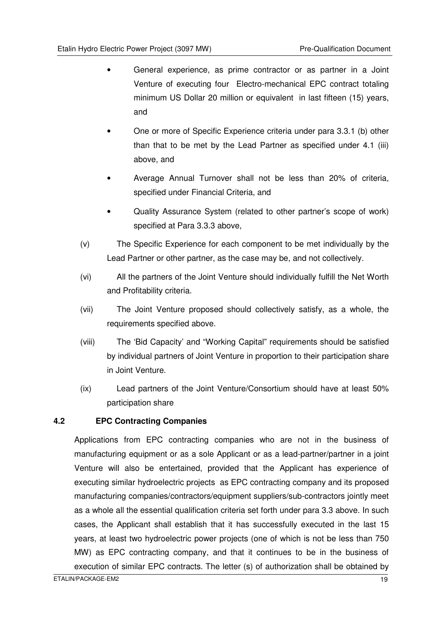- General experience, as prime contractor or as partner in a Joint Venture of executing four Electro-mechanical EPC contract totaling minimum US Dollar 20 million or equivalent in last fifteen (15) years, and
- One or more of Specific Experience criteria under para 3.3.1 (b) other than that to be met by the Lead Partner as specified under 4.1 (iii) above, and
- Average Annual Turnover shall not be less than 20% of criteria, specified under Financial Criteria, and
- Quality Assurance System (related to other partner's scope of work) specified at Para 3.3.3 above,
- (v) The Specific Experience for each component to be met individually by the Lead Partner or other partner, as the case may be, and not collectively.
- (vi) All the partners of the Joint Venture should individually fulfill the Net Worth and Profitability criteria.
- (vii) The Joint Venture proposed should collectively satisfy, as a whole, the requirements specified above.
- (viii) The 'Bid Capacity' and "Working Capital" requirements should be satisfied by individual partners of Joint Venture in proportion to their participation share in Joint Venture.
- (ix) Lead partners of the Joint Venture/Consortium should have at least 50% participation share

#### **4.2 EPC Contracting Companies**

Applications from EPC contracting companies who are not in the business of manufacturing equipment or as a sole Applicant or as a lead-partner/partner in a joint Venture will also be entertained, provided that the Applicant has experience of executing similar hydroelectric projects as EPC contracting company and its proposed manufacturing companies/contractors/equipment suppliers/sub-contractors jointly meet as a whole all the essential qualification criteria set forth under para 3.3 above. In such cases, the Applicant shall establish that it has successfully executed in the last 15 years, at least two hydroelectric power projects (one of which is not be less than 750 MW) as EPC contracting company, and that it continues to be in the business of execution of similar EPC contracts. The letter (s) of authorization shall be obtained by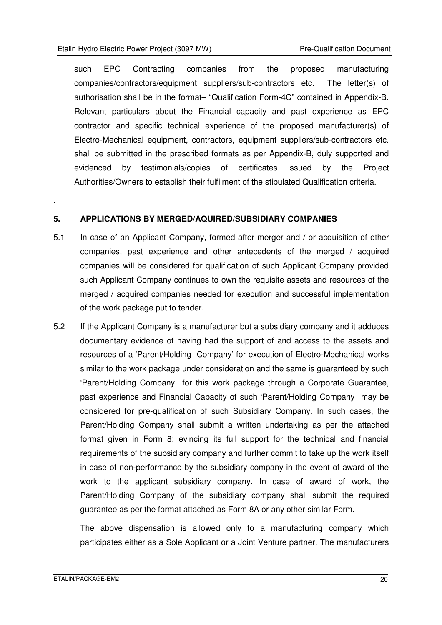such EPC Contracting companies from the proposed manufacturing companies/contractors/equipment suppliers/sub-contractors etc. The letter(s) of authorisation shall be in the format– "Qualification Form-4C" contained in Appendix-B. Relevant particulars about the Financial capacity and past experience as EPC contractor and specific technical experience of the proposed manufacturer(s) of Electro-Mechanical equipment, contractors, equipment suppliers/sub-contractors etc. shall be submitted in the prescribed formats as per Appendix-B, duly supported and evidenced by testimonials/copies of certificates issued by the Project Authorities/Owners to establish their fulfilment of the stipulated Qualification criteria.

#### **5. APPLICATIONS BY MERGED/AQUIRED/SUBSIDIARY COMPANIES**

- 5.1 In case of an Applicant Company, formed after merger and / or acquisition of other companies, past experience and other antecedents of the merged / acquired companies will be considered for qualification of such Applicant Company provided such Applicant Company continues to own the requisite assets and resources of the merged / acquired companies needed for execution and successful implementation of the work package put to tender.
- 5.2 If the Applicant Company is a manufacturer but a subsidiary company and it adduces documentary evidence of having had the support of and access to the assets and resources of a 'Parent/Holding Company' for execution of Electro-Mechanical works similar to the work package under consideration and the same is guaranteed by such 'Parent/Holding Company for this work package through a Corporate Guarantee, past experience and Financial Capacity of such 'Parent/Holding Company may be considered for pre-qualification of such Subsidiary Company. In such cases, the Parent/Holding Company shall submit a written undertaking as per the attached format given in Form 8; evincing its full support for the technical and financial requirements of the subsidiary company and further commit to take up the work itself in case of non-performance by the subsidiary company in the event of award of the work to the applicant subsidiary company. In case of award of work, the Parent/Holding Company of the subsidiary company shall submit the required guarantee as per the format attached as Form 8A or any other similar Form.

The above dispensation is allowed only to a manufacturing company which participates either as a Sole Applicant or a Joint Venture partner. The manufacturers

.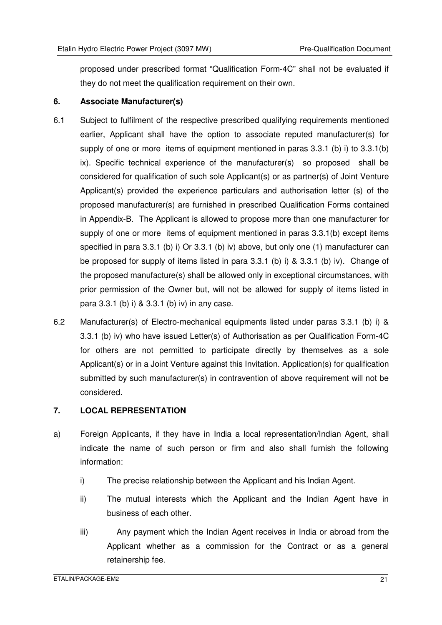proposed under prescribed format "Qualification Form-4C" shall not be evaluated if they do not meet the qualification requirement on their own.

#### **6. Associate Manufacturer(s)**

- 6.1 Subject to fulfilment of the respective prescribed qualifying requirements mentioned earlier, Applicant shall have the option to associate reputed manufacturer(s) for supply of one or more items of equipment mentioned in paras 3.3.1 (b) i) to 3.3.1(b) ix). Specific technical experience of the manufacturer(s) so proposed shall be considered for qualification of such sole Applicant(s) or as partner(s) of Joint Venture Applicant(s) provided the experience particulars and authorisation letter (s) of the proposed manufacturer(s) are furnished in prescribed Qualification Forms contained in Appendix-B. The Applicant is allowed to propose more than one manufacturer for supply of one or more items of equipment mentioned in paras 3.3.1(b) except items specified in para 3.3.1 (b) i) Or 3.3.1 (b) iv) above, but only one (1) manufacturer can be proposed for supply of items listed in para 3.3.1 (b) i) & 3.3.1 (b) iv). Change of the proposed manufacture(s) shall be allowed only in exceptional circumstances, with prior permission of the Owner but, will not be allowed for supply of items listed in para 3.3.1 (b) i) & 3.3.1 (b) iv) in any case.
- 6.2 Manufacturer(s) of Electro-mechanical equipments listed under paras 3.3.1 (b) i) & 3.3.1 (b) iv) who have issued Letter(s) of Authorisation as per Qualification Form-4C for others are not permitted to participate directly by themselves as a sole Applicant(s) or in a Joint Venture against this Invitation. Application(s) for qualification submitted by such manufacturer(s) in contravention of above requirement will not be considered.

#### **7. LOCAL REPRESENTATION**

- a) Foreign Applicants, if they have in India a local representation/Indian Agent, shall indicate the name of such person or firm and also shall furnish the following information:
	- i) The precise relationship between the Applicant and his Indian Agent.
	- ii) The mutual interests which the Applicant and the Indian Agent have in business of each other.
	- iii) Any payment which the Indian Agent receives in India or abroad from the Applicant whether as a commission for the Contract or as a general retainership fee.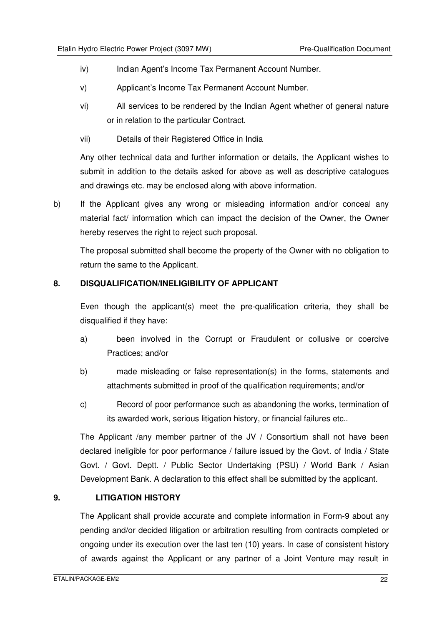- iv) Indian Agent's Income Tax Permanent Account Number.
- v) Applicant's Income Tax Permanent Account Number.
- vi) All services to be rendered by the Indian Agent whether of general nature or in relation to the particular Contract.
- vii) Details of their Registered Office in India

Any other technical data and further information or details, the Applicant wishes to submit in addition to the details asked for above as well as descriptive catalogues and drawings etc. may be enclosed along with above information.

b) If the Applicant gives any wrong or misleading information and/or conceal any material fact/ information which can impact the decision of the Owner, the Owner hereby reserves the right to reject such proposal.

The proposal submitted shall become the property of the Owner with no obligation to return the same to the Applicant.

#### **8. DISQUALIFICATION/INELIGIBILITY OF APPLICANT**

Even though the applicant(s) meet the pre-qualification criteria, they shall be disqualified if they have:

- a) been involved in the Corrupt or Fraudulent or collusive or coercive Practices; and/or
- b) made misleading or false representation(s) in the forms, statements and attachments submitted in proof of the qualification requirements; and/or
- c) Record of poor performance such as abandoning the works, termination of its awarded work, serious litigation history, or financial failures etc..

The Applicant /any member partner of the JV / Consortium shall not have been declared ineligible for poor performance / failure issued by the Govt. of India / State Govt. / Govt. Deptt. / Public Sector Undertaking (PSU) / World Bank / Asian Development Bank. A declaration to this effect shall be submitted by the applicant.

#### **9. LITIGATION HISTORY**

 The Applicant shall provide accurate and complete information in Form-9 about any pending and/or decided litigation or arbitration resulting from contracts completed or ongoing under its execution over the last ten (10) years. In case of consistent history of awards against the Applicant or any partner of a Joint Venture may result in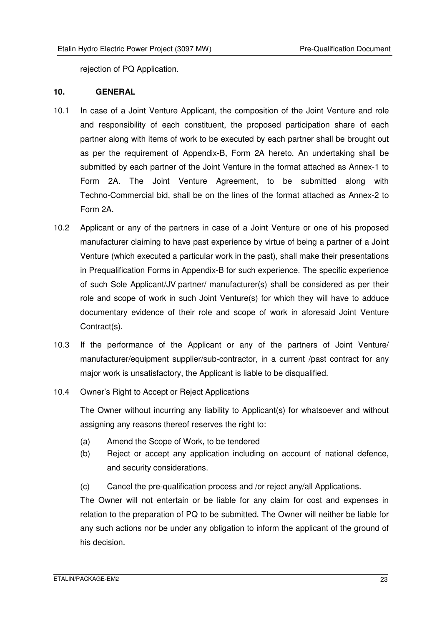rejection of PQ Application.

#### **10. GENERAL**

- 10.1 In case of a Joint Venture Applicant, the composition of the Joint Venture and role and responsibility of each constituent, the proposed participation share of each partner along with items of work to be executed by each partner shall be brought out as per the requirement of Appendix-B, Form 2A hereto. An undertaking shall be submitted by each partner of the Joint Venture in the format attached as Annex-1 to Form 2A. The Joint Venture Agreement, to be submitted along with Techno-Commercial bid, shall be on the lines of the format attached as Annex-2 to Form 2A.
- 10.2 Applicant or any of the partners in case of a Joint Venture or one of his proposed manufacturer claiming to have past experience by virtue of being a partner of a Joint Venture (which executed a particular work in the past), shall make their presentations in Prequalification Forms in Appendix-B for such experience. The specific experience of such Sole Applicant/JV partner/ manufacturer(s) shall be considered as per their role and scope of work in such Joint Venture(s) for which they will have to adduce documentary evidence of their role and scope of work in aforesaid Joint Venture Contract(s).
- 10.3 If the performance of the Applicant or any of the partners of Joint Venture/ manufacturer/equipment supplier/sub-contractor, in a current /past contract for any major work is unsatisfactory, the Applicant is liable to be disqualified.
- 10.4 Owner's Right to Accept or Reject Applications

The Owner without incurring any liability to Applicant(s) for whatsoever and without assigning any reasons thereof reserves the right to:

- (a) Amend the Scope of Work, to be tendered
- (b) Reject or accept any application including on account of national defence, and security considerations.
- (c) Cancel the pre-qualification process and /or reject any/all Applications.

 The Owner will not entertain or be liable for any claim for cost and expenses in relation to the preparation of PQ to be submitted. The Owner will neither be liable for any such actions nor be under any obligation to inform the applicant of the ground of his decision.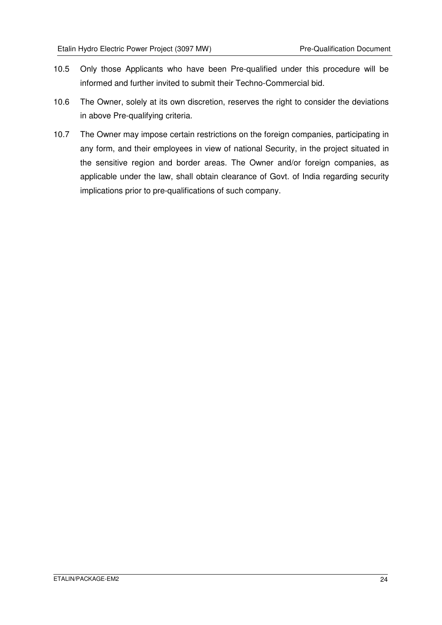- 10.5 Only those Applicants who have been Pre-qualified under this procedure will be informed and further invited to submit their Techno-Commercial bid.
- 10.6 The Owner, solely at its own discretion, reserves the right to consider the deviations in above Pre-qualifying criteria.
- 10.7 The Owner may impose certain restrictions on the foreign companies, participating in any form, and their employees in view of national Security, in the project situated in the sensitive region and border areas. The Owner and/or foreign companies, as applicable under the law, shall obtain clearance of Govt. of India regarding security implications prior to pre-qualifications of such company.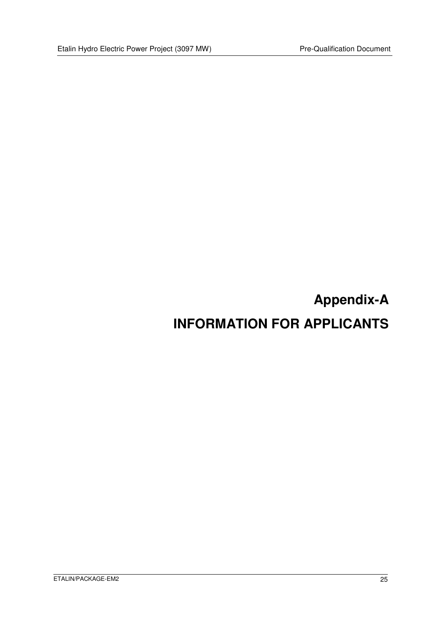## **Appendix-A INFORMATION FOR APPLICANTS**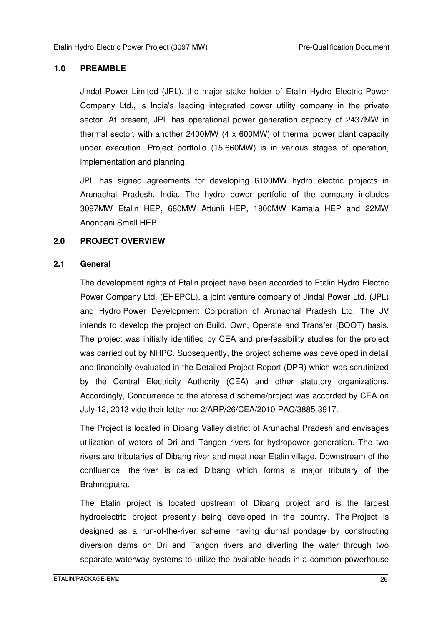#### **1.0 PREAMBLE**

 Jindal Power Limited (JPL), the major stake holder of Etalin Hydro Electric Power Company Ltd., is India's leading integrated power utility company in the private sector. At present, JPL has operational power generation capacity of 2437MW in thermal sector, with another 2400MW (4 x 600MW) of thermal power plant capacity under execution. Project portfolio (15,660MW) is in various stages of operation, implementation and planning.

JPL has signed agreements for developing 6100MW hydro electric projects in Arunachal Pradesh, India. The hydro power portfolio of the company includes 3097MW Etalin HEP, 680MW Attunli HEP, 1800MW Kamala HEP and 22MW Anonpani Small HEP.

#### **2.0 PROJECT OVERVIEW**

#### **2.1 General**

The development rights of Etalin project have been accorded to Etalin Hydro Electric Power Company Ltd. (EHEPCL), a joint venture company of Jindal Power Ltd. (JPL) and Hydro Power Development Corporation of Arunachal Pradesh Ltd. The JV intends to develop the project on Build, Own, Operate and Transfer (BOOT) basis. The project was initially identified by CEA and pre-feasibility studies for the project was carried out by NHPC. Subsequently, the project scheme was developed in detail and financially evaluated in the Detailed Project Report (DPR) which was scrutinized by the Central Electricity Authority (CEA) and other statutory organizations. Accordingly, Concurrence to the aforesaid scheme/project was accorded by CEA on July 12, 2013 vide their letter no: 2/ARP/26/CEA/2010-PAC/3885-3917.

The Project is located in Dibang Valley district of Arunachal Pradesh and envisages utilization of waters of Dri and Tangon rivers for hydropower generation. The two rivers are tributaries of Dibang river and meet near Etalin village. Downstream of the confluence, the river is called Dibang which forms a major tributary of the Brahmaputra.

The Etalin project is located upstream of Dibang project and is the largest hydroelectric project presently being developed in the country. The Project is designed as a run-of-the-river scheme having diurnal pondage by constructing diversion dams on Dri and Tangon rivers and diverting the water through two separate waterway systems to utilize the available heads in a common powerhouse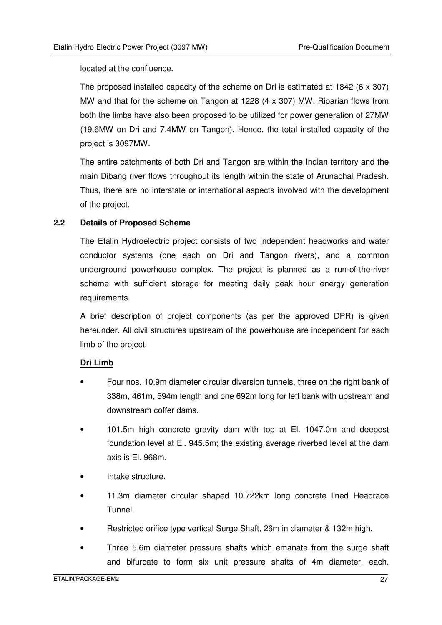located at the confluence.

The proposed installed capacity of the scheme on Dri is estimated at 1842 (6 x 307) MW and that for the scheme on Tangon at 1228 (4 x 307) MW. Riparian flows from both the limbs have also been proposed to be utilized for power generation of 27MW (19.6MW on Dri and 7.4MW on Tangon). Hence, the total installed capacity of the project is 3097MW.

The entire catchments of both Dri and Tangon are within the Indian territory and the main Dibang river flows throughout its length within the state of Arunachal Pradesh. Thus, there are no interstate or international aspects involved with the development of the project.

#### **2.2 Details of Proposed Scheme**

The Etalin Hydroelectric project consists of two independent headworks and water conductor systems (one each on Dri and Tangon rivers), and a common underground powerhouse complex. The project is planned as a run-of-the-river scheme with sufficient storage for meeting daily peak hour energy generation requirements.

A brief description of project components (as per the approved DPR) is given hereunder. All civil structures upstream of the powerhouse are independent for each limb of the project.

#### **Dri Limb**

- Four nos. 10.9m diameter circular diversion tunnels, three on the right bank of 338m, 461m, 594m length and one 692m long for left bank with upstream and downstream coffer dams.
- 101.5m high concrete gravity dam with top at El. 1047.0m and deepest foundation level at El. 945.5m; the existing average riverbed level at the dam axis is El. 968m.
- Intake structure.
- 11.3m diameter circular shaped 10.722km long concrete lined Headrace Tunnel.
- Restricted orifice type vertical Surge Shaft, 26m in diameter & 132m high.
- Three 5.6m diameter pressure shafts which emanate from the surge shaft and bifurcate to form six unit pressure shafts of 4m diameter, each.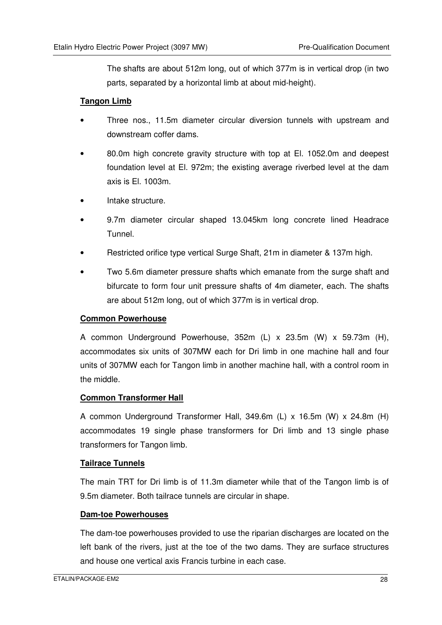The shafts are about 512m long, out of which 377m is in vertical drop (in two parts, separated by a horizontal limb at about mid-height).

#### **Tangon Limb**

- Three nos., 11.5m diameter circular diversion tunnels with upstream and downstream coffer dams.
- 80.0m high concrete gravity structure with top at El. 1052.0m and deepest foundation level at El. 972m; the existing average riverbed level at the dam axis is El. 1003m.
- Intake structure.
- 9.7m diameter circular shaped 13.045km long concrete lined Headrace Tunnel.
- Restricted orifice type vertical Surge Shaft, 21m in diameter & 137m high.
- Two 5.6m diameter pressure shafts which emanate from the surge shaft and bifurcate to form four unit pressure shafts of 4m diameter, each. The shafts are about 512m long, out of which 377m is in vertical drop.

#### **Common Powerhouse**

A common Underground Powerhouse, 352m (L) x 23.5m (W) x 59.73m (H), accommodates six units of 307MW each for Dri limb in one machine hall and four units of 307MW each for Tangon limb in another machine hall, with a control room in the middle.

#### **Common Transformer Hall**

A common Underground Transformer Hall, 349.6m (L) x 16.5m (W) x 24.8m (H) accommodates 19 single phase transformers for Dri limb and 13 single phase transformers for Tangon limb.

#### **Tailrace Tunnels**

The main TRT for Dri limb is of 11.3m diameter while that of the Tangon limb is of 9.5m diameter. Both tailrace tunnels are circular in shape.

#### **Dam-toe Powerhouses**

The dam-toe powerhouses provided to use the riparian discharges are located on the left bank of the rivers, just at the toe of the two dams. They are surface structures and house one vertical axis Francis turbine in each case.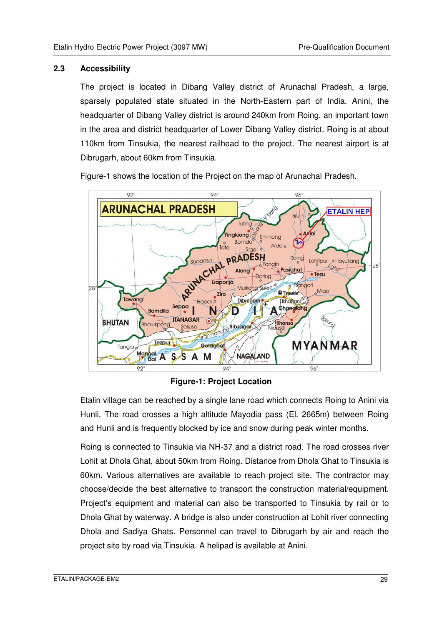#### **2.3 Accessibility**

The project is located in Dibang Valley district of Arunachal Pradesh, a large, sparsely populated state situated in the North-Eastern part of India. Anini, the headquarter of Dibang Valley district is around 240km from Roing, an important town in the area and district headquarter of Lower Dibang Valley district. Roing is at about 110km from Tinsukia, the nearest railhead to the project. The nearest airport is at Dibrugarh, about 60km from Tinsukia.

Figure-1 shows the location of the Project on the map of Arunachal Pradesh.



**Figure-1: Project Location** 

Etalin village can be reached by a single lane road which connects Roing to Anini via Hunli. The road crosses a high altitude Mayodia pass (El. 2665m) between Roing and Hunli and is frequently blocked by ice and snow during peak winter months.

Roing is connected to Tinsukia via NH-37 and a district road. The road crosses river Lohit at Dhola Ghat, about 50km from Roing. Distance from Dhola Ghat to Tinsukia is 60km. Various alternatives are available to reach project site. The contractor may choose/decide the best alternative to transport the construction material/equipment. Project's equipment and material can also be transported to Tinsukia by rail or to Dhola Ghat by waterway. A bridge is also under construction at Lohit river connecting Dhola and Sadiya Ghats. Personnel can travel to Dibrugarh by air and reach the project site by road via Tinsukia. A helipad is available at Anini.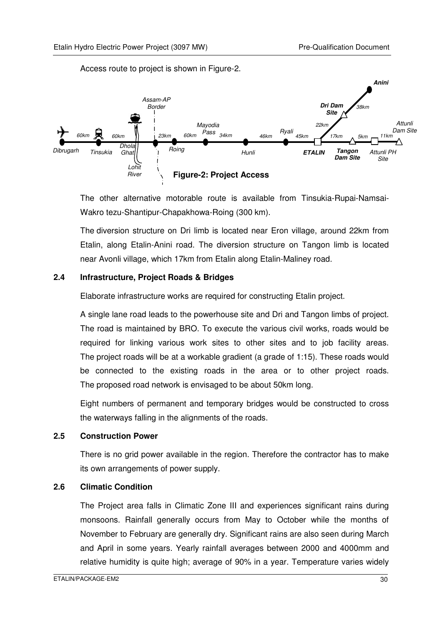Access route to project is shown in Figure-2.



The other alternative motorable route is available from Tinsukia-Rupai-Namsai-Wakro tezu-Shantipur-Chapakhowa-Roing (300 km).

The diversion structure on Dri limb is located near Eron village, around 22km from Etalin, along Etalin-Anini road. The diversion structure on Tangon limb is located near Avonli village, which 17km from Etalin along Etalin-Maliney road.

#### **2.4 Infrastructure, Project Roads & Bridges**

Elaborate infrastructure works are required for constructing Etalin project.

A single lane road leads to the powerhouse site and Dri and Tangon limbs of project. The road is maintained by BRO. To execute the various civil works, roads would be required for linking various work sites to other sites and to job facility areas. The project roads will be at a workable gradient (a grade of 1:15). These roads would be connected to the existing roads in the area or to other project roads. The proposed road network is envisaged to be about 50km long.

Eight numbers of permanent and temporary bridges would be constructed to cross the waterways falling in the alignments of the roads.

#### **2.5 Construction Power**

There is no grid power available in the region. Therefore the contractor has to make its own arrangements of power supply.

#### **2.6 Climatic Condition**

The Project area falls in Climatic Zone III and experiences significant rains during monsoons. Rainfall generally occurs from May to October while the months of November to February are generally dry. Significant rains are also seen during March and April in some years. Yearly rainfall averages between 2000 and 4000mm and relative humidity is quite high; average of 90% in a year. Temperature varies widely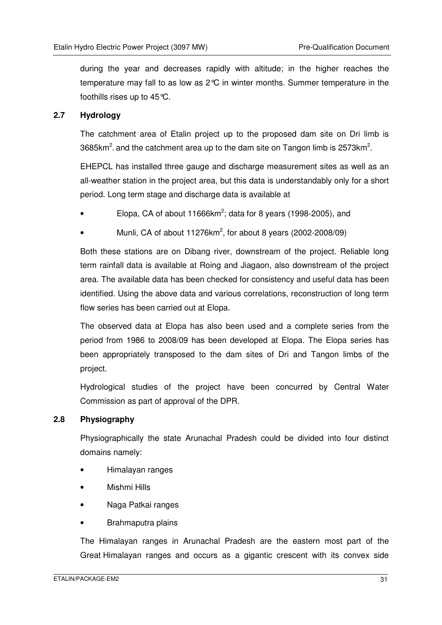during the year and decreases rapidly with altitude; in the higher reaches the temperature may fall to as low as 2°C in winter months. Summer temperature in the foothills rises up to 45°C.

#### **2.7 Hydrology**

The catchment area of Etalin project up to the proposed dam site on Dri limb is 3685km<sup>2</sup>. and the catchment area up to the dam site on Tangon limb is 2573km<sup>2</sup>.

EHEPCL has installed three gauge and discharge measurement sites as well as an all-weather station in the project area, but this data is understandably only for a short period. Long term stage and discharge data is available at

- Elopa, CA of about 11666 $km^2$ ; data for 8 years (1998-2005), and
- Munli, CA of about 11276 $km^2$ , for about 8 years (2002-2008/09)

Both these stations are on Dibang river, downstream of the project. Reliable long term rainfall data is available at Roing and Jiagaon, also downstream of the project area. The available data has been checked for consistency and useful data has been identified. Using the above data and various correlations, reconstruction of long term flow series has been carried out at Elopa.

The observed data at Elopa has also been used and a complete series from the period from 1986 to 2008/09 has been developed at Elopa. The Elopa series has been appropriately transposed to the dam sites of Dri and Tangon limbs of the project.

Hydrological studies of the project have been concurred by Central Water Commission as part of approval of the DPR.

#### **2.8 Physiography**

Physiographically the state Arunachal Pradesh could be divided into four distinct domains namely:

- Himalayan ranges
- Mishmi Hills
- Naga Patkai ranges
- Brahmaputra plains

The Himalayan ranges in Arunachal Pradesh are the eastern most part of the Great Himalayan ranges and occurs as a gigantic crescent with its convex side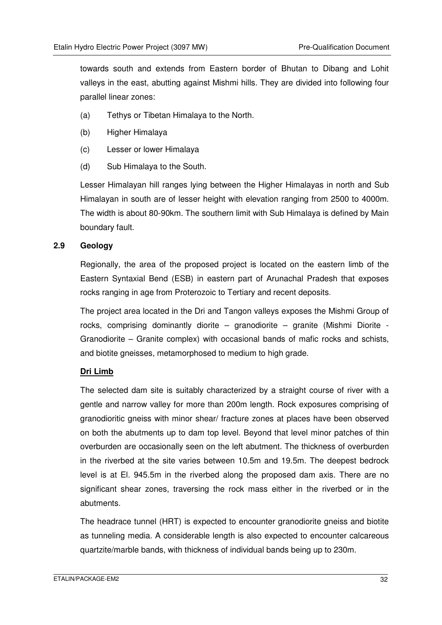towards south and extends from Eastern border of Bhutan to Dibang and Lohit valleys in the east, abutting against Mishmi hills. They are divided into following four parallel linear zones:

- (a) Tethys or Tibetan Himalaya to the North.
- (b) Higher Himalaya
- (c) Lesser or lower Himalaya
- (d) Sub Himalaya to the South.

Lesser Himalayan hill ranges lying between the Higher Himalayas in north and Sub Himalayan in south are of lesser height with elevation ranging from 2500 to 4000m. The width is about 80-90km. The southern limit with Sub Himalaya is defined by Main boundary fault.

#### **2.9 Geology**

Regionally, the area of the proposed project is located on the eastern limb of the Eastern Syntaxial Bend (ESB) in eastern part of Arunachal Pradesh that exposes rocks ranging in age from Proterozoic to Tertiary and recent deposits.

The project area located in the Dri and Tangon valleys exposes the Mishmi Group of rocks, comprising dominantly diorite – granodiorite – granite (Mishmi Diorite - Granodiorite – Granite complex) with occasional bands of mafic rocks and schists, and biotite gneisses, metamorphosed to medium to high grade.

#### **Dri Limb**

The selected dam site is suitably characterized by a straight course of river with a gentle and narrow valley for more than 200m length. Rock exposures comprising of granodioritic gneiss with minor shear/ fracture zones at places have been observed on both the abutments up to dam top level. Beyond that level minor patches of thin overburden are occasionally seen on the left abutment. The thickness of overburden in the riverbed at the site varies between 10.5m and 19.5m. The deepest bedrock level is at El. 945.5m in the riverbed along the proposed dam axis. There are no significant shear zones, traversing the rock mass either in the riverbed or in the abutments.

The headrace tunnel (HRT) is expected to encounter granodiorite gneiss and biotite as tunneling media. A considerable length is also expected to encounter calcareous quartzite/marble bands, with thickness of individual bands being up to 230m.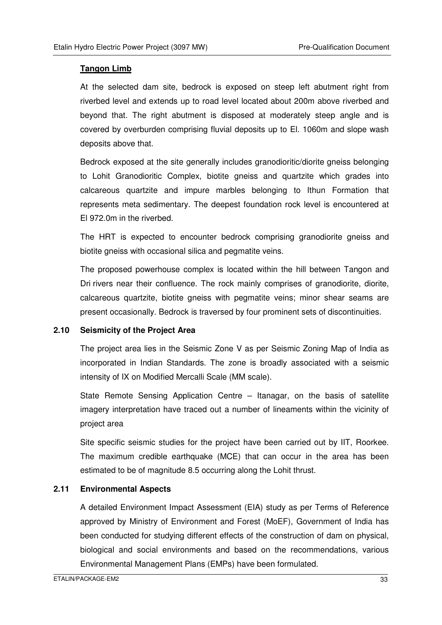#### **Tangon Limb**

At the selected dam site, bedrock is exposed on steep left abutment right from riverbed level and extends up to road level located about 200m above riverbed and beyond that. The right abutment is disposed at moderately steep angle and is covered by overburden comprising fluvial deposits up to El. 1060m and slope wash deposits above that.

Bedrock exposed at the site generally includes granodioritic/diorite gneiss belonging to Lohit Granodioritic Complex, biotite gneiss and quartzite which grades into calcareous quartzite and impure marbles belonging to Ithun Formation that represents meta sedimentary. The deepest foundation rock level is encountered at El 972.0m in the riverbed.

The HRT is expected to encounter bedrock comprising granodiorite gneiss and biotite gneiss with occasional silica and pegmatite veins.

The proposed powerhouse complex is located within the hill between Tangon and Dri rivers near their confluence. The rock mainly comprises of granodiorite, diorite, calcareous quartzite, biotite gneiss with pegmatite veins; minor shear seams are present occasionally. Bedrock is traversed by four prominent sets of discontinuities.

#### **2.10 Seismicity of the Project Area**

The project area lies in the Seismic Zone V as per Seismic Zoning Map of India as incorporated in Indian Standards. The zone is broadly associated with a seismic intensity of IX on Modified Mercalli Scale (MM scale).

State Remote Sensing Application Centre – Itanagar, on the basis of satellite imagery interpretation have traced out a number of lineaments within the vicinity of project area

Site specific seismic studies for the project have been carried out by IIT, Roorkee. The maximum credible earthquake (MCE) that can occur in the area has been estimated to be of magnitude 8.5 occurring along the Lohit thrust.

#### **2.11 Environmental Aspects**

A detailed Environment Impact Assessment (EIA) study as per Terms of Reference approved by Ministry of Environment and Forest (MoEF), Government of India has been conducted for studying different effects of the construction of dam on physical, biological and social environments and based on the recommendations, various Environmental Management Plans (EMPs) have been formulated.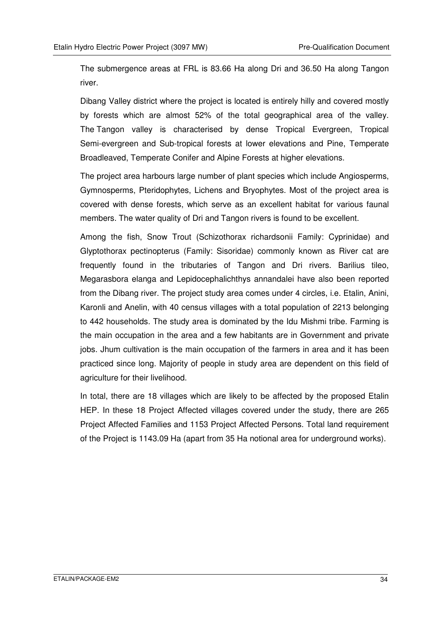The submergence areas at FRL is 83.66 Ha along Dri and 36.50 Ha along Tangon river.

Dibang Valley district where the project is located is entirely hilly and covered mostly by forests which are almost 52% of the total geographical area of the valley. The Tangon valley is characterised by dense Tropical Evergreen, Tropical Semi-evergreen and Sub-tropical forests at lower elevations and Pine, Temperate Broadleaved, Temperate Conifer and Alpine Forests at higher elevations.

The project area harbours large number of plant species which include Angiosperms, Gymnosperms, Pteridophytes, Lichens and Bryophytes. Most of the project area is covered with dense forests, which serve as an excellent habitat for various faunal members. The water quality of Dri and Tangon rivers is found to be excellent.

Among the fish, Snow Trout (Schizothorax richardsonii Family: Cyprinidae) and Glyptothorax pectinopterus (Family: Sisoridae) commonly known as River cat are frequently found in the tributaries of Tangon and Dri rivers. Barilius tileo, Megarasbora elanga and Lepidocephalichthys annandalei have also been reported from the Dibang river. The project study area comes under 4 circles, i.e. Etalin, Anini, Karonli and Anelin, with 40 census villages with a total population of 2213 belonging to 442 households. The study area is dominated by the Idu Mishmi tribe. Farming is the main occupation in the area and a few habitants are in Government and private jobs. Jhum cultivation is the main occupation of the farmers in area and it has been practiced since long. Majority of people in study area are dependent on this field of agriculture for their livelihood.

In total, there are 18 villages which are likely to be affected by the proposed Etalin HEP. In these 18 Project Affected villages covered under the study, there are 265 Project Affected Families and 1153 Project Affected Persons. Total land requirement of the Project is 1143.09 Ha (apart from 35 Ha notional area for underground works).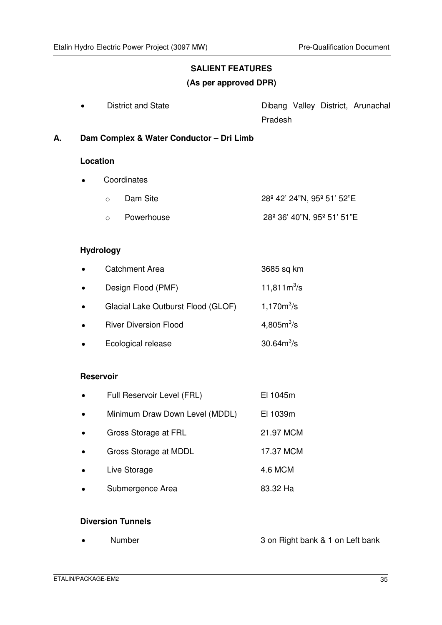# **SALIENT FEATURES**

#### **(As per approved DPR)**

| $\bullet$ | District and State |         |  | Dibang Valley District, Arunachal |
|-----------|--------------------|---------|--|-----------------------------------|
|           |                    | Pradesh |  |                                   |

**A. Dam Complex & Water Conductor – Dri Limb** 

#### **Location**

- Coordinates
	- $\circ$  Dam Site 28<sup>°</sup> 42' 24"N, 95<sup>°</sup> 51' 52"E
	- o Powerhouse 28º 36' 40"N, 95º 51' 51"E

#### **Hydrology**

| <b>Catchment Area</b>              | 3685 sq km             |
|------------------------------------|------------------------|
| Design Flood (PMF)                 | 11,811 $m^3$ /s        |
| Glacial Lake Outburst Flood (GLOF) | $1,170m^3/s$           |
| <b>River Diversion Flood</b>       | 4,805m <sup>3</sup> /s |
| Ecological release                 | $30.64m^{3}/s$         |

#### **Reservoir**

| Full Reservoir Level (FRL) |  |  | El 1045m |   |  |
|----------------------------|--|--|----------|---|--|
|                            |  |  |          | . |  |

- Minimum Draw Down Level (MDDL) El 1039m
- Gross Storage at FRL 21.97 MCM
- Gross Storage at MDDL 17.37 MCM
- Live Storage 4.6 MCM
- Submergence Area 83.32 Ha

#### **Diversion Tunnels**

• Number 3 on Right bank & 1 on Left bank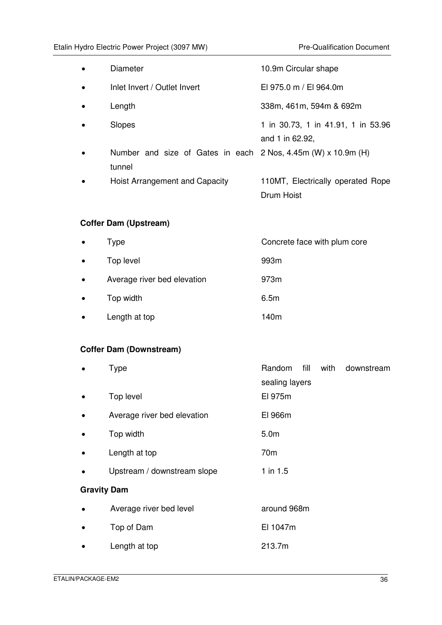| <b>Diameter</b>                                                         | 10.9m Circular shape                                  |
|-------------------------------------------------------------------------|-------------------------------------------------------|
| Inlet Invert / Outlet Invert                                            | EI 975.0 m / EI 964.0m                                |
| Length                                                                  | 338m, 461m, 594m & 692m                               |
| Slopes                                                                  | 1 in 30.73, 1 in 41.91, 1 in 53.96<br>and 1 in 62.92, |
| Number and size of Gates in each 2 Nos, 4.45m (W) x 10.9m (H)<br>tunnel |                                                       |
| Hoist Arrangement and Capacity                                          | 110MT, Electrically operated Rope<br>Drum Hoist       |
| <b>Coffer Dam (Upstream)</b>                                            |                                                       |
| <b>Type</b>                                                             | Concrete face with plum core                          |
| Top level                                                               | 993m                                                  |
| Average river bed elevation                                             | 973m                                                  |
| Top width                                                               | 6.5m                                                  |

• Length at top 140m

### **Coffer Dam (Downstream)**

|                    | <b>Type</b>                 | fill<br>Random<br>with<br>downstream<br>sealing layers |
|--------------------|-----------------------------|--------------------------------------------------------|
|                    | Top level                   | El 975m                                                |
|                    | Average river bed elevation | El 966m                                                |
| $\bullet$          | Top width                   | 5.0 <sub>m</sub>                                       |
|                    | Length at top               | 70 <sub>m</sub>                                        |
|                    | Upstream / downstream slope | $1$ in 1.5                                             |
| <b>Gravity Dam</b> |                             |                                                        |
|                    | Average river bed level     | around 968m                                            |
| $\bullet$          | Top of Dam                  | El 1047m                                               |
|                    | Length at top               | 213.7m                                                 |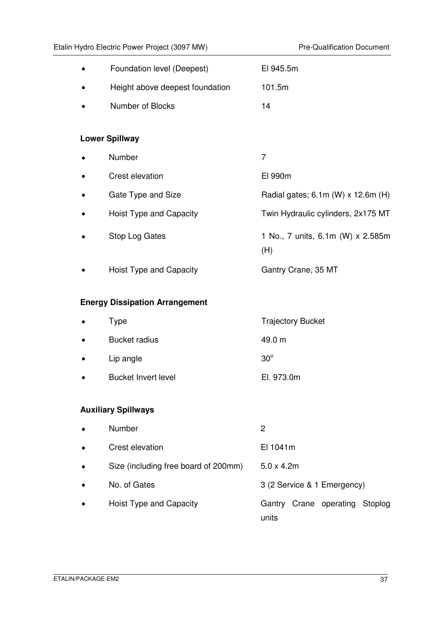| Foundation level (Deepest)            | El 945.5m                                |
|---------------------------------------|------------------------------------------|
| Height above deepest foundation       | 101.5m                                   |
| Number of Blocks                      | 14                                       |
|                                       |                                          |
| <b>Lower Spillway</b>                 |                                          |
| Number                                | $\overline{7}$                           |
| Crest elevation                       | El 990m                                  |
| Gate Type and Size                    | Radial gates; 6.1m (W) x 12.6m (H)       |
| Hoist Type and Capacity               | Twin Hydraulic cylinders, 2x175 MT       |
| Stop Log Gates                        | 1 No., 7 units, 6.1m (W) x 2.585m<br>(H) |
| Hoist Type and Capacity               | Gantry Crane, 35 MT                      |
| <b>Energy Dissipation Arrangement</b> |                                          |
| <b>Type</b>                           | <b>Trajectory Bucket</b>                 |
| <b>Bucket radius</b>                  | 49.0 m                                   |
| Lip angle                             | $30^\circ$                               |
| <b>Bucket Invert level</b>            | El. 973.0m                               |
|                                       |                                          |
| <b>Auxiliary Spillways</b>            |                                          |
| Number                                | $\overline{c}$                           |
| Crest elevation                       | El 1041m                                 |
| Size (including free board of 200mm)  | $5.0 \times 4.2m$                        |
| No. of Gates                          | 3 (2 Service & 1 Emergency)              |
| Hoist Type and Capacity               | Gantry Crane operating Stoplog<br>units  |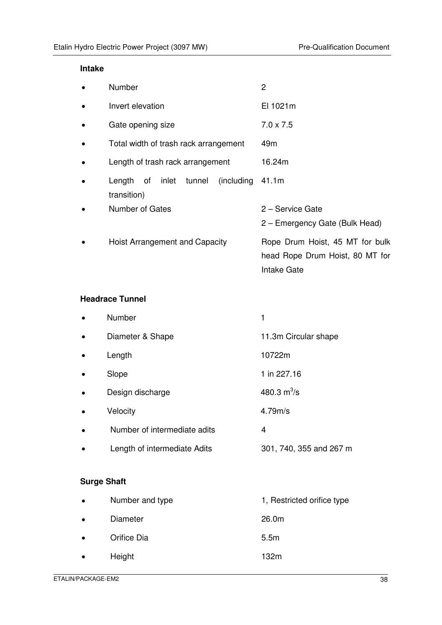#### **Intake**

|           | Number                                                  | $\overline{2}$                                                                    |
|-----------|---------------------------------------------------------|-----------------------------------------------------------------------------------|
|           | Invert elevation                                        | El 1021m                                                                          |
|           | Gate opening size                                       | $7.0 \times 7.5$                                                                  |
|           | Total width of trash rack arrangement                   | 49 <sub>m</sub>                                                                   |
| $\bullet$ | Length of trash rack arrangement                        | 16.24m                                                                            |
|           | inlet tunnel<br>(including)<br>Length of<br>transition) | 41.1m                                                                             |
|           | Number of Gates                                         | 2 – Service Gate<br>2 - Emergency Gate (Bulk Head)                                |
|           | Hoist Arrangement and Capacity                          | Rope Drum Hoist, 45 MT for bulk<br>head Rope Drum Hoist, 80 MT for<br>Intake Gate |

#### **Headrace Tunnel**

|           | Number                       |                         |
|-----------|------------------------------|-------------------------|
| $\bullet$ | Diameter & Shape             | 11.3m Circular shape    |
| $\bullet$ | Length                       | 10722m                  |
|           | Slope                        | 1 in 227.16             |
|           | Design discharge             | 480.3 $m^3$ /s          |
| $\bullet$ | Velocity                     | 4.79m/s                 |
|           | Number of intermediate adits | 4                       |
|           | Length of intermediate Adits | 301, 740, 355 and 267 m |

### **Surge Shaft**

| $\bullet$ | Number and type | 1, Restricted orifice type |
|-----------|-----------------|----------------------------|
| $\bullet$ | Diameter        | 26.0m                      |
| $\bullet$ | Orifice Dia     | 5.5 <sub>m</sub>           |
| $\bullet$ | Height          | 132m                       |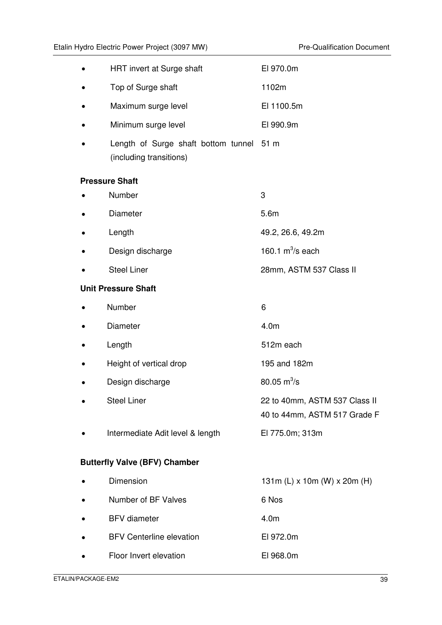| HRT invert at Surge shaft                                           | EI 970.0m                                                     |
|---------------------------------------------------------------------|---------------------------------------------------------------|
| Top of Surge shaft                                                  | 1102m                                                         |
| Maximum surge level                                                 | El 1100.5m                                                    |
| Minimum surge level                                                 | EI 990.9m                                                     |
| Length of Surge shaft bottom tunnel 51 m<br>(including transitions) |                                                               |
| <b>Pressure Shaft</b>                                               |                                                               |
| Number                                                              | 3                                                             |
| Diameter                                                            | 5.6m                                                          |
| Length                                                              | 49.2, 26.6, 49.2m                                             |
| Design discharge                                                    | 160.1 $m^3$ /s each                                           |
| <b>Steel Liner</b>                                                  | 28mm, ASTM 537 Class II                                       |
| <b>Unit Pressure Shaft</b>                                          |                                                               |
| Number                                                              | 6                                                             |
| Diameter                                                            | 4.0 <sub>m</sub>                                              |
| Length                                                              | 512m each                                                     |
| Height of vertical drop                                             | 195 and 182m                                                  |
| Design discharge                                                    | 80.05 $m^3$ /s                                                |
| <b>Steel Liner</b>                                                  | 22 to 40mm, ASTM 537 Class II<br>40 to 44mm, ASTM 517 Grade F |
| Intermediate Adit level & length                                    | El 775.0m; 313m                                               |
| <b>Butterfly Valve (BFV) Chamber</b>                                |                                                               |
| Dimension                                                           | 131m (L) x 10m (W) x 20m (H)                                  |
| Number of BF Valves                                                 | 6 Nos                                                         |
| <b>BFV</b> diameter                                                 | 4.0 <sub>m</sub>                                              |
| <b>BFV Centerline elevation</b>                                     | El 972.0m                                                     |
| Floor Invert elevation                                              | El 968.0m                                                     |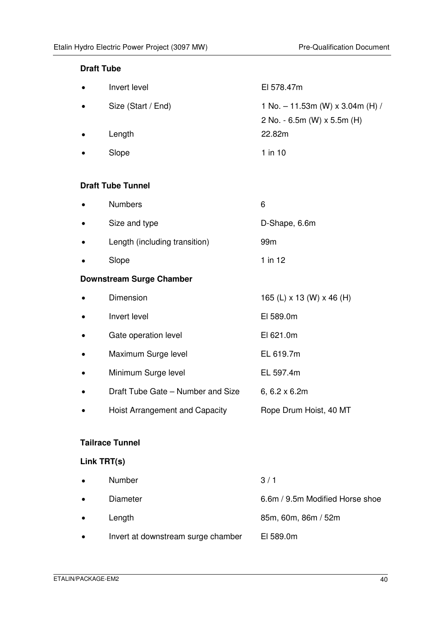#### **Draft Tube**

| $\bullet$ | Invert level       | El 578.47m                         |
|-----------|--------------------|------------------------------------|
| $\bullet$ | Size (Start / End) | 1 No. $-$ 11.53m (W) x 3.04m (H) / |
|           |                    | 2 No. - 6.5m (W) $\times$ 5.5m (H) |
| $\bullet$ | Length             | 22.82m                             |
| $\bullet$ | Slope              | $1$ in $10$                        |

#### **Draft Tube Tunnel**

| $\bullet$ | <b>Numbers</b>                |               |
|-----------|-------------------------------|---------------|
| $\bullet$ | Size and type                 | D-Shape, 6.6m |
| $\bullet$ | Length (including transition) | 99m           |

• Slope 1 in 12

#### **Downstream Surge Chamber**

|           | Dimension                         | 165 (L) x 13 (W) x 46 (H) |
|-----------|-----------------------------------|---------------------------|
| $\bullet$ | Invert level                      | EI 589.0m                 |
| $\bullet$ | Gate operation level              | EI 621.0m                 |
| $\bullet$ | Maximum Surge level               | EL 619.7m                 |
| $\bullet$ | Minimum Surge level               | EL 597.4m                 |
| $\bullet$ | Draft Tube Gate – Number and Size | 6, $6.2 \times 6.2m$      |
|           | Hoist Arrangement and Capacity    | Rope Drum Hoist, 40 MT    |

#### **Tailrace Tunnel**

### **Link TRT(s)**

| $\bullet$ | Number                             | 3/1                             |
|-----------|------------------------------------|---------------------------------|
| $\bullet$ | Diameter                           | 6.6m / 9.5m Modified Horse shoe |
| $\bullet$ | Length                             | 85m, 60m, 86m / 52m             |
| $\bullet$ | Invert at downstream surge chamber | EI 589.0m                       |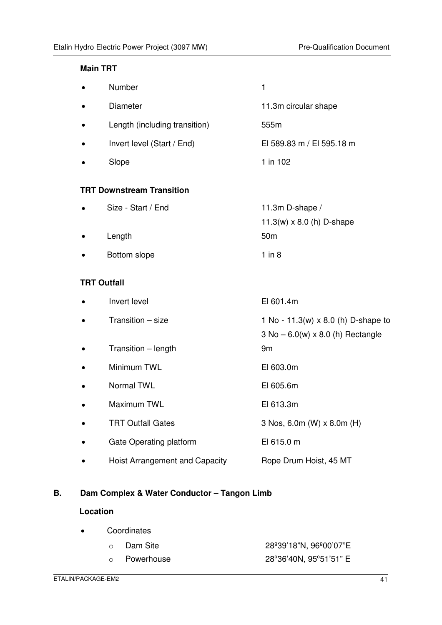#### **Main TRT**

| Number                           | $\mathbf{1}$                                                                            |
|----------------------------------|-----------------------------------------------------------------------------------------|
| Diameter                         | 11.3m circular shape                                                                    |
| Length (including transition)    | 555m                                                                                    |
| Invert level (Start / End)       | El 589.83 m / El 595.18 m                                                               |
| Slope                            | 1 in 102                                                                                |
| <b>TRT Downstream Transition</b> |                                                                                         |
| Size - Start / End               | 11.3m D-shape /<br>11.3(w) $\times$ 8.0 (h) D-shape                                     |
| Length                           | 50 <sub>m</sub>                                                                         |
| Bottom slope                     | $1$ in $8$                                                                              |
| <b>TRT Outfall</b>               |                                                                                         |
| Invert level                     | El 601.4m                                                                               |
| Transition - size                | 1 No - 11.3(w) $\times$ 8.0 (h) D-shape to<br>$3$ No $-6.0(w) \times 8.0$ (h) Rectangle |
| Transition - length              | 9 <sub>m</sub>                                                                          |
| Minimum TWL                      | EI 603.0m                                                                               |
| Normal TWL                       | EI 605.6m                                                                               |
| Maximum TWL                      | El 613.3m                                                                               |

- TRT Outfall Gates 3 Nos, 6.0m (W) x 8.0m (H)
- Gate Operating platform El 615.0 m
- Hoist Arrangement and Capacity Rope Drum Hoist, 45 MT

### **B. Dam Complex & Water Conductor – Tangon Limb**

#### **Location**

| $\bullet$ | Coordinates  |                        |  |
|-----------|--------------|------------------------|--|
|           | ○ Dam Site   | 28°39'18"N, 96°00'07"E |  |
|           | o Powerhouse | 28°36'40N, 95°51'51" E |  |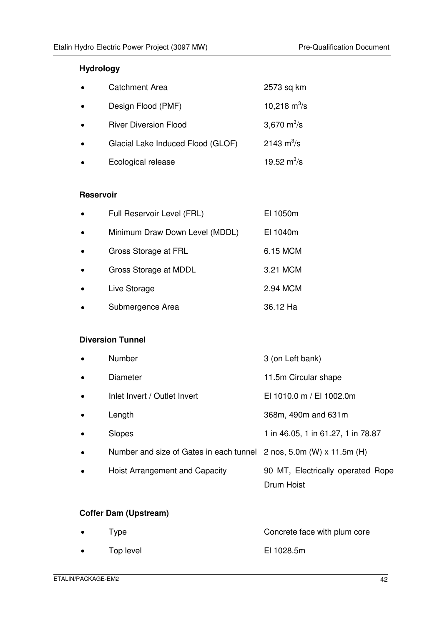### **Hydrology**

| $\bullet$ | <b>Catchment Area</b>             | 2573 sq km                   |
|-----------|-----------------------------------|------------------------------|
| $\bullet$ | Design Flood (PMF)                | 10,218 $\text{m}^3/\text{s}$ |
| $\bullet$ | <b>River Diversion Flood</b>      | 3,670 $m^3/s$                |
| $\bullet$ | Glacial Lake Induced Flood (GLOF) | 2143 $m^3/s$                 |
|           | Ecological release                | 19.52 $m^3$ /s               |

#### **Reservoir**

| $\bullet$ | Full Reservoir Level (FRL)     | EI 1050m |
|-----------|--------------------------------|----------|
| $\bullet$ | Minimum Draw Down Level (MDDL) | EI 1040m |
| $\bullet$ | Gross Storage at FRL           | 6.15 MCM |
| $\bullet$ | Gross Storage at MDDL          | 3.21 MCM |
| $\bullet$ | Live Storage                   | 2.94 MCM |
| $\bullet$ | Submergence Area               | 36.12 Ha |

# **Diversion Tunnel**

|           | Number                                                              | 3 (on Left bank)                                |
|-----------|---------------------------------------------------------------------|-------------------------------------------------|
|           | Diameter                                                            | 11.5m Circular shape                            |
| $\bullet$ | Inlet Invert / Outlet Invert                                        | EI 1010.0 m / EI 1002.0m                        |
|           | Length                                                              | 368m, 490m and 631m                             |
|           | Slopes                                                              | 1 in 46.05, 1 in 61.27, 1 in 78.87              |
|           | Number and size of Gates in each tunnel 2 nos, 5.0m (W) x 11.5m (H) |                                                 |
|           | Hoist Arrangement and Capacity                                      | 90 MT, Electrically operated Rope<br>Drum Hoist |

### **Coffer Dam (Upstream)**

| $\bullet$ | Type      | Concrete face with plum core |
|-----------|-----------|------------------------------|
| $\bullet$ | Top level | EI 1028.5m                   |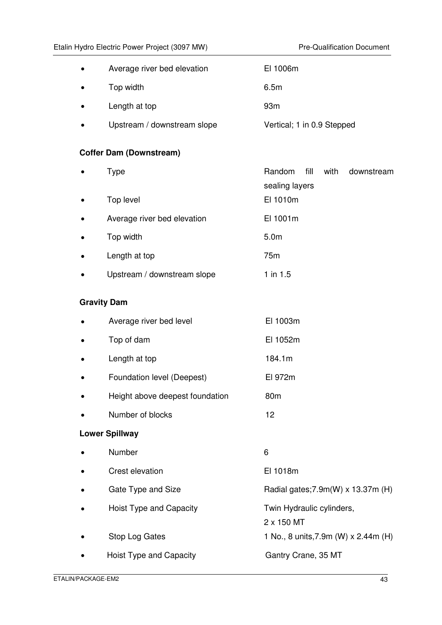| $\bullet$ | Average river bed elevation | EI 1006m                   |
|-----------|-----------------------------|----------------------------|
| $\bullet$ | Top width                   | 6.5m                       |
| $\bullet$ | Length at top               | 93 <sub>m</sub>            |
| $\bullet$ | Upstream / downstream slope | Vertical; 1 in 0.9 Stepped |

#### **Coffer Dam (Downstream)**

| $\bullet$ | Type                        | Random fill      | with<br>downstream |
|-----------|-----------------------------|------------------|--------------------|
|           |                             | sealing layers   |                    |
| $\bullet$ | Top level                   | EI 1010m         |                    |
| $\bullet$ | Average river bed elevation | El 1001m         |                    |
| $\bullet$ | Top width                   | 5.0 <sub>m</sub> |                    |
| $\bullet$ | Length at top               | 75 <sub>m</sub>  |                    |
| $\bullet$ | Upstream / downstream slope | 1 in 1.5         |                    |

#### **Gravity Dam**

| $\bullet$ | Average river bed level         | El 1003m        |
|-----------|---------------------------------|-----------------|
| $\bullet$ | Top of dam                      | El 1052m        |
| $\bullet$ | Length at top                   | 184.1m          |
| $\bullet$ | Foundation level (Deepest)      | El 972m         |
| $\bullet$ | Height above deepest foundation | 80 <sub>m</sub> |
|           | Number of blocks                | 12              |

#### **Lower Spillway**

| $\bullet$ | <b>Number</b>           | 6                                       |
|-----------|-------------------------|-----------------------------------------|
| $\bullet$ | Crest elevation         | El 1018m                                |
| $\bullet$ | Gate Type and Size      | Radial gates; 7.9m(W) x 13.37m (H)      |
| $\bullet$ | Hoist Type and Capacity | Twin Hydraulic cylinders,<br>2 x 150 MT |
| $\bullet$ | Stop Log Gates          | 1 No., 8 units, 7.9m (W) x 2.44m (H)    |
| $\bullet$ | Hoist Type and Capacity | Gantry Crane, 35 MT                     |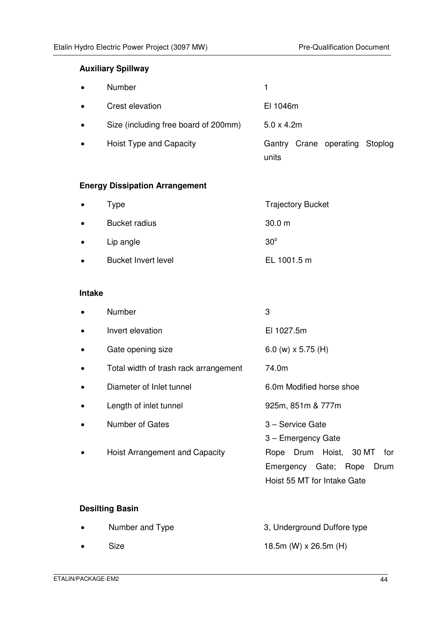#### **Auxiliary Spillway**

| $\bullet$ | <b>Number</b>                        |                                         |
|-----------|--------------------------------------|-----------------------------------------|
| $\bullet$ | Crest elevation                      | EI 1046m                                |
| $\bullet$ | Size (including free board of 200mm) | $5.0 \times 4.2$ m                      |
| $\bullet$ | Hoist Type and Capacity              | Gantry Crane operating Stoplog<br>units |

### **Energy Dissipation Arrangement**

| $\bullet$ | Type                       | <b>Trajectory Bucket</b> |
|-----------|----------------------------|--------------------------|
| $\bullet$ | <b>Bucket radius</b>       | 30.0 m                   |
| $\bullet$ | Lip angle                  | $30^\circ$               |
| $\bullet$ | <b>Bucket Invert level</b> | EL 1001.5 m              |

#### **Intake**

| <b>Number</b>                         | 3                                                                                               |
|---------------------------------------|-------------------------------------------------------------------------------------------------|
| Invert elevation                      | EI 1027.5m                                                                                      |
| Gate opening size                     | 6.0 (w) $\times$ 5.75 (H)                                                                       |
| Total width of trash rack arrangement | 74.0m                                                                                           |
| Diameter of Inlet tunnel              | 6.0m Modified horse shoe                                                                        |
| Length of inlet tunnel                | 925m, 851m & 777m                                                                               |
| Number of Gates                       | 3 - Service Gate<br>3 – Emergency Gate                                                          |
| Hoist Arrangement and Capacity        | Drum Hoist, 30 MT<br>Rope<br>for<br>Emergency Gate; Rope<br>Drum<br>Hoist 55 MT for Intake Gate |
| <b>Desilting Basin</b>                |                                                                                                 |
| Number and Type                       | 3, Underground Duffore type                                                                     |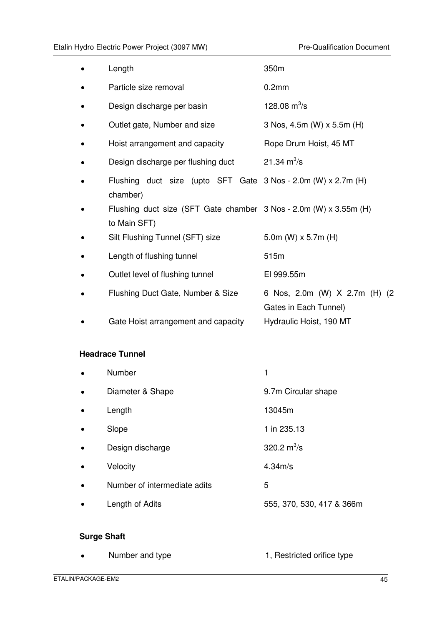|   | Length                                                                            | 350m                                                   |
|---|-----------------------------------------------------------------------------------|--------------------------------------------------------|
|   | Particle size removal                                                             | 0.2 <sub>mm</sub>                                      |
| ٠ | Design discharge per basin                                                        | 128.08 $m^3$ /s                                        |
|   | Outlet gate, Number and size                                                      | 3 Nos, 4.5m (W) x 5.5m (H)                             |
|   | Hoist arrangement and capacity                                                    | Rope Drum Hoist, 45 MT                                 |
|   | Design discharge per flushing duct                                                | 21.34 $m^3/s$                                          |
|   | Flushing duct size (upto SFT Gate 3 Nos - 2.0m (W) x 2.7m (H)<br>chamber)         |                                                        |
|   | Flushing duct size (SFT Gate chamber 3 Nos - 2.0m (W) x 3.55m (H)<br>to Main SFT) |                                                        |
|   | Silt Flushing Tunnel (SFT) size                                                   | 5.0m (W) $\times$ 5.7m (H)                             |
|   | Length of flushing tunnel                                                         | 515m                                                   |
|   | Outlet level of flushing tunnel                                                   | El 999.55m                                             |
| ٠ | Flushing Duct Gate, Number & Size                                                 | 6 Nos, 2.0m (W) X 2.7m (H) (2<br>Gates in Each Tunnel) |
|   | Gate Hoist arrangement and capacity                                               | Hydraulic Hoist, 190 MT                                |

#### **Headrace Tunnel**

|           | Number                       | 1                         |
|-----------|------------------------------|---------------------------|
| $\bullet$ | Diameter & Shape             | 9.7m Circular shape       |
| $\bullet$ | Length                       | 13045m                    |
|           | Slope                        | 1 in 235.13               |
| $\bullet$ | Design discharge             | 320.2 $m^3/s$             |
|           | Velocity                     | 4.34m/s                   |
|           | Number of intermediate adits | 5                         |
|           | Length of Adits              | 555, 370, 530, 417 & 366m |
|           |                              |                           |

# **Surge Shaft**

|  | Number and type | 1, Restricted orifice type |
|--|-----------------|----------------------------|
|--|-----------------|----------------------------|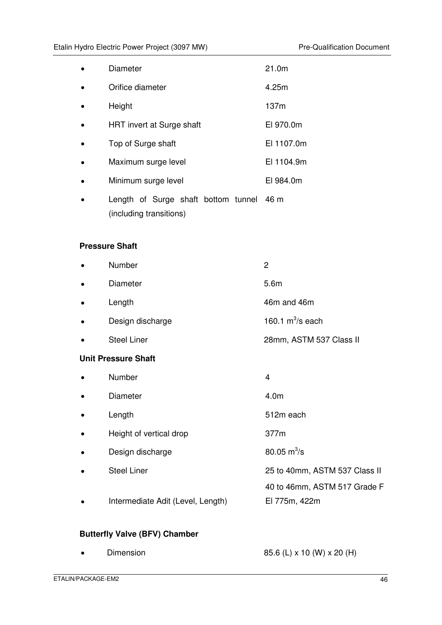| $\bullet$ | <b>Diameter</b>                                                     | 21.0m      |
|-----------|---------------------------------------------------------------------|------------|
| $\bullet$ | Orifice diameter                                                    | 4.25m      |
| $\bullet$ | Height                                                              | 137m       |
| $\bullet$ | HRT invert at Surge shaft                                           | EI 970.0m  |
| $\bullet$ | Top of Surge shaft                                                  | EI 1107.0m |
| $\bullet$ | Maximum surge level                                                 | El 1104.9m |
| $\bullet$ | Minimum surge level                                                 | EI 984.0m  |
| $\bullet$ | Length of Surge shaft bottom tunnel 46 m<br>(including transitions) |            |

#### **Pressure Shaft**

| Number                            | $\overline{c}$                |
|-----------------------------------|-------------------------------|
| Diameter                          | 5.6m                          |
| Length                            | 46m and 46m                   |
| Design discharge                  | 160.1 $m^3$ /s each           |
| <b>Steel Liner</b>                | 28mm, ASTM 537 Class II       |
| <b>Unit Pressure Shaft</b>        |                               |
| Number                            | 4                             |
| Diameter                          | 4.0 <sub>m</sub>              |
| Length                            | 512m each                     |
| Height of vertical drop           | 377m                          |
| Design discharge                  | 80.05 $m^3$ /s                |
| <b>Steel Liner</b>                | 25 to 40mm, ASTM 537 Class II |
|                                   | 40 to 46mm, ASTM 517 Grade F  |
| Intermediate Adit (Level, Length) | El 775m, 422m                 |

### **Butterfly Valve (BFV) Chamber**

| Dimension | 85.6 (L) x 10 (W) x 20 (H) |
|-----------|----------------------------|
|-----------|----------------------------|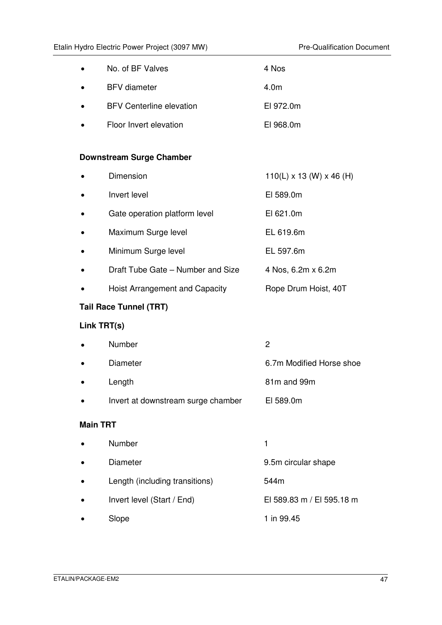| $\bullet$ | No. of BF Valves                | 4 Nos     |
|-----------|---------------------------------|-----------|
| $\bullet$ | <b>BFV</b> diameter             | 4.0m      |
| $\bullet$ | <b>BFV Centerline elevation</b> | E1972.0m  |
|           | Floor Invert elevation          | EI 968.0m |

#### **Downstream Surge Chamber**

|           | Dimension                         | $110(L) \times 13$ (W) $\times$ 46 (H) |
|-----------|-----------------------------------|----------------------------------------|
| $\bullet$ | Invert level                      | EI 589.0m                              |
| $\bullet$ | Gate operation platform level     | EI 621.0m                              |
| $\bullet$ | Maximum Surge level               | EL 619.6m                              |
| $\bullet$ | Minimum Surge level               | EL 597.6m                              |
| $\bullet$ | Draft Tube Gate – Number and Size | 4 Nos, 6.2m x 6.2m                     |
|           | Hoist Arrangement and Capacity    | Rope Drum Hoist, 40T                   |

# **Tail Race Tunnel (TRT)**

# **Link TRT(s)**

| <b>Main TRT</b> |                                    |                          |
|-----------------|------------------------------------|--------------------------|
| $\bullet$       | Invert at downstream surge chamber | EI 589.0m                |
| $\bullet$       | Length                             | 81m and 99m              |
| $\bullet$       | Diameter                           | 6.7m Modified Horse shoe |
| $\bullet$       | Number                             | 2                        |

| $\bullet$ | Number                         |                           |
|-----------|--------------------------------|---------------------------|
| $\bullet$ | Diameter                       | 9.5m circular shape       |
| $\bullet$ | Length (including transitions) | 544m                      |
| $\bullet$ | Invert level (Start / End)     | El 589.83 m / El 595.18 m |
|           | Slope                          | 1 in 99.45                |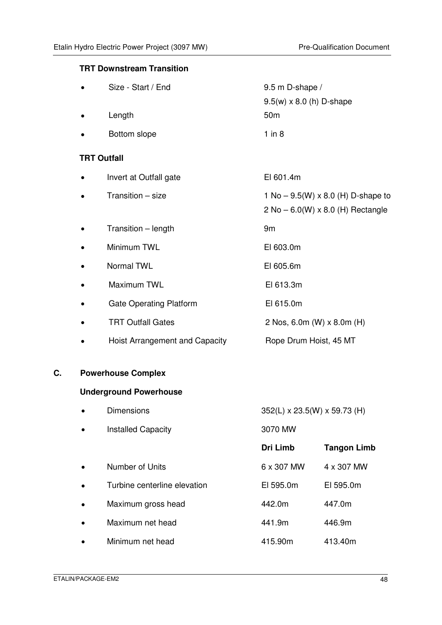#### **TRT Downstream Transition**

|                    | Size - Start / End             | 9.5 m D-shape /                            |
|--------------------|--------------------------------|--------------------------------------------|
|                    |                                | $9.5(w) \times 8.0$ (h) D-shape            |
|                    | Length                         | 50 <sub>m</sub>                            |
|                    | Bottom slope                   | $1$ in $8$                                 |
| <b>TRT Outfall</b> |                                |                                            |
|                    | Invert at Outfall gate         | EI 601.4m                                  |
|                    | Transition - size              | 1 No – $9.5(W) \times 8.0$ (H) D-shape to  |
|                    |                                | $2$ No $- 6.0(W) \times 8.0$ (H) Rectangle |
|                    | Transition - length            | 9 <sub>m</sub>                             |
|                    | Minimum TWL                    | EI 603.0m                                  |
|                    | Normal TWL                     | El 605.6m                                  |
|                    | Maximum TWL                    | El 613.3m                                  |
|                    | <b>Gate Operating Platform</b> | El 615.0m                                  |
|                    | <b>TRT Outfall Gates</b>       | 2 Nos, 6.0m (W) x 8.0m (H)                 |
|                    | Hoist Arrangement and Capacity | Rope Drum Hoist, 45 MT                     |

## **C. Powerhouse Complex**

### **Underground Powerhouse**

| $\bullet$ | <b>Dimensions</b>            | 352(L) x 23.5(W) x 59.73 (H) |                    |
|-----------|------------------------------|------------------------------|--------------------|
| $\bullet$ | <b>Installed Capacity</b>    | 3070 MW                      |                    |
|           |                              | Dri Limb                     | <b>Tangon Limb</b> |
| $\bullet$ | Number of Units              | 6 x 307 MW                   | 4 x 307 MW         |
| $\bullet$ | Turbine centerline elevation | EI 595.0m                    | EI 595.0m          |
| $\bullet$ | Maximum gross head           | 442.0m                       | 447.0m             |
| $\bullet$ | Maximum net head             | 441.9m                       | 446.9m             |
| $\bullet$ | Minimum net head             | 415.90m                      | 413.40m            |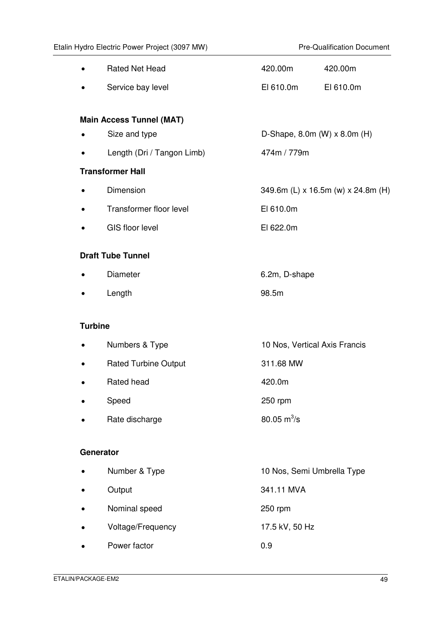|           | <b>Rated Net Head</b>           | 420.00m                       | 420.00m                                 |  |  |
|-----------|---------------------------------|-------------------------------|-----------------------------------------|--|--|
|           | Service bay level               | EI 610.0m                     | EI 610.0m                               |  |  |
|           |                                 |                               |                                         |  |  |
|           | <b>Main Access Tunnel (MAT)</b> |                               |                                         |  |  |
| $\bullet$ | Size and type                   |                               | D-Shape, $8.0m$ (W) $\times$ $8.0m$ (H) |  |  |
|           | Length (Dri / Tangon Limb)      | 474m / 779m                   |                                         |  |  |
|           | <b>Transformer Hall</b>         |                               |                                         |  |  |
|           | Dimension                       |                               | 349.6m (L) x 16.5m (w) x 24.8m (H)      |  |  |
|           | Transformer floor level         | EI 610.0m                     |                                         |  |  |
|           | <b>GIS floor level</b>          | EI 622.0m                     |                                         |  |  |
|           | <b>Draft Tube Tunnel</b>        |                               |                                         |  |  |
|           | Diameter                        | 6.2m, D-shape                 |                                         |  |  |
|           |                                 |                               |                                         |  |  |
|           | Length                          | 98.5m                         |                                         |  |  |
|           | <b>Turbine</b>                  |                               |                                         |  |  |
|           | Numbers & Type                  | 10 Nos, Vertical Axis Francis |                                         |  |  |
|           | <b>Rated Turbine Output</b>     | 311.68 MW                     |                                         |  |  |
|           | Rated head                      | 420.0m                        |                                         |  |  |
|           | Speed                           | 250 rpm                       |                                         |  |  |
|           | Rate discharge                  | 80.05 $m^3$ /s                |                                         |  |  |
|           |                                 |                               |                                         |  |  |
|           | Generator                       |                               |                                         |  |  |
|           | Number & Type                   | 10 Nos, Semi Umbrella Type    |                                         |  |  |
|           | Output                          | 341.11 MVA                    |                                         |  |  |
|           | Nominal speed                   | 250 rpm                       |                                         |  |  |
|           | Voltage/Frequency               | 17.5 kV, 50 Hz                |                                         |  |  |
|           | Power factor                    | 0.9                           |                                         |  |  |
|           |                                 |                               |                                         |  |  |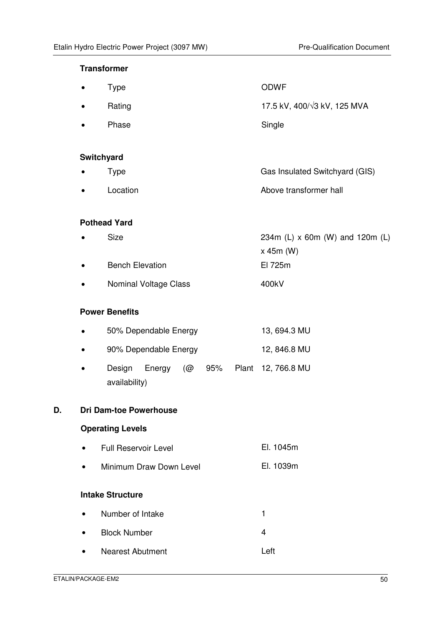#### **Transformer**

|    |           | <b>Type</b>                                             | <b>ODWF</b>                                    |
|----|-----------|---------------------------------------------------------|------------------------------------------------|
|    |           | Rating                                                  | 17.5 kV, 400/ $\sqrt{3}$ kV, 125 MVA           |
|    | $\bullet$ | Phase                                                   | Single                                         |
|    |           | Switchyard                                              |                                                |
|    |           | <b>Type</b>                                             | Gas Insulated Switchyard (GIS)                 |
|    | $\bullet$ | Location                                                | Above transformer hall                         |
|    |           | <b>Pothead Yard</b>                                     |                                                |
|    |           | Size                                                    | 234m (L) x 60m (W) and 120m (L)<br>$x$ 45m (W) |
|    |           | <b>Bench Elevation</b>                                  | El 725m                                        |
|    |           | Nominal Voltage Class                                   | 400kV                                          |
|    |           | <b>Power Benefits</b>                                   |                                                |
|    |           | 50% Dependable Energy                                   | 13, 694.3 MU                                   |
|    | $\bullet$ | 90% Dependable Energy                                   | 12, 846.8 MU                                   |
|    | $\bullet$ | Design<br>95%<br>Energy<br>(@<br>Plant<br>availability) | 12, 766.8 MU                                   |
| D. |           | <b>Dri Dam-toe Powerhouse</b>                           |                                                |
|    |           | <b>Operating Levels</b>                                 |                                                |
|    | $\bullet$ | <b>Full Reservoir Level</b>                             | El. 1045m                                      |
|    | $\bullet$ | Minimum Draw Down Level                                 | El. 1039m                                      |
|    |           | <b>Intake Structure</b>                                 |                                                |
|    | $\bullet$ | Number of Intake                                        | 1                                              |
|    |           | <b>Block Number</b>                                     | 4                                              |
|    |           | <b>Nearest Abutment</b>                                 | Left                                           |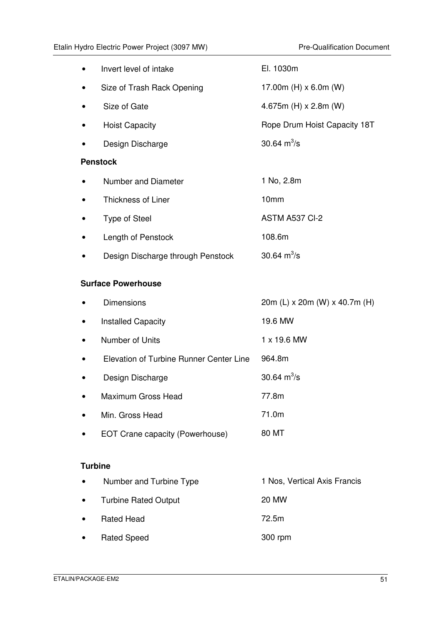| Invert level of intake            | El. 1030m                    |
|-----------------------------------|------------------------------|
| Size of Trash Rack Opening        | 17.00m (H) $\times$ 6.0m (W) |
| Size of Gate                      | 4.675m (H) $\times$ 2.8m (W) |
| <b>Hoist Capacity</b>             | Rope Drum Hoist Capacity 18T |
| Design Discharge                  | 30.64 $m^3$ /s               |
| <b>Penstock</b>                   |                              |
| Number and Diameter               | 1 No, 2.8m                   |
| <b>Thickness of Liner</b>         | 10 <sub>mm</sub>             |
| <b>Type of Steel</b>              | ASTM A537 CI-2               |
| Length of Penstock                | 108.6m                       |
| Design Discharge through Penstock | 30.64 $m^3$ /s               |

#### **Surface Powerhouse**

|           | <b>Dimensions</b>                       | 20m (L) x 20m (W) x 40.7m (H) |
|-----------|-----------------------------------------|-------------------------------|
|           | <b>Installed Capacity</b>               | 19.6 MW                       |
|           | Number of Units                         | 1 x 19.6 MW                   |
|           | Elevation of Turbine Runner Center Line | 964.8m                        |
|           | Design Discharge                        | 30.64 $m^3$ /s                |
|           | Maximum Gross Head                      | 77.8m                         |
| $\bullet$ | Min. Gross Head                         | 71.0m                         |
|           | EOT Crane capacity (Powerhouse)         | 80 MT                         |
|           |                                         |                               |

#### **Turbine**

| $\bullet$ | Number and Turbine Type     | 1 Nos, Vertical Axis Francis |
|-----------|-----------------------------|------------------------------|
| $\bullet$ | <b>Turbine Rated Output</b> | <b>20 MW</b>                 |
| $\bullet$ | <b>Rated Head</b>           | 72.5m                        |
| $\bullet$ | <b>Rated Speed</b>          | 300 rpm                      |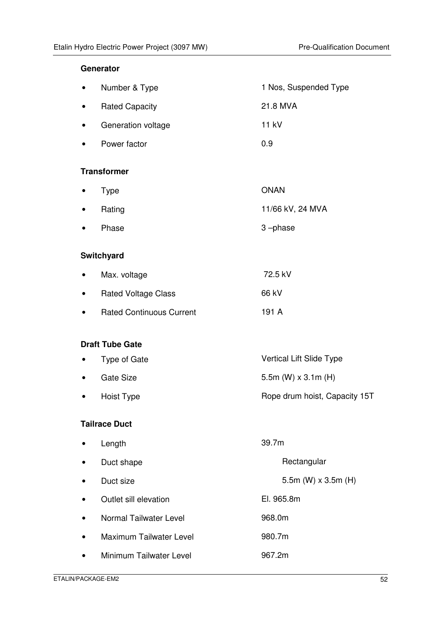#### **Generator**

| $\bullet$ | Number & Type         | 1 Nos, Suspended Type |
|-----------|-----------------------|-----------------------|
| $\bullet$ | <b>Rated Capacity</b> | 21.8 MVA              |
| $\bullet$ | Generation voltage    | 11 kV                 |
| $\bullet$ | Power factor          | 0.9                   |

#### **Transformer**

| $\bullet$ Type   | <b>ONAN</b>      |
|------------------|------------------|
| $\bullet$ Rating | 11/66 kV, 24 MVA |
| • Phase          | 3-phase          |

#### **Switchyard**

| $\bullet$ | Max. voltage                    | 72.5 kV |
|-----------|---------------------------------|---------|
| $\bullet$ | <b>Rated Voltage Class</b>      | 66 kV   |
| $\bullet$ | <b>Rated Continuous Current</b> | 191 A   |

#### **Draft Tube Gate**

| $\bullet$ | Type of Gate | Vertical Lift Slide Type      |
|-----------|--------------|-------------------------------|
| $\bullet$ | Gate Size    | 5.5m (W) $\times$ 3.1m (H)    |
| $\bullet$ | Hoist Type   | Rope drum hoist, Capacity 15T |

#### **Tailrace Duct**

| $\bullet$ | Length                  | 39.7m                      |  |
|-----------|-------------------------|----------------------------|--|
| $\bullet$ | Duct shape              | Rectangular                |  |
| $\bullet$ | Duct size               | 5.5m (W) $\times$ 3.5m (H) |  |
| $\bullet$ | Outlet sill elevation   | El. 965.8m                 |  |
| $\bullet$ | Normal Tailwater Level  | 968.0m                     |  |
| $\bullet$ | Maximum Tailwater Level | 980.7m                     |  |
| $\bullet$ | Minimum Tailwater Level | 967.2m                     |  |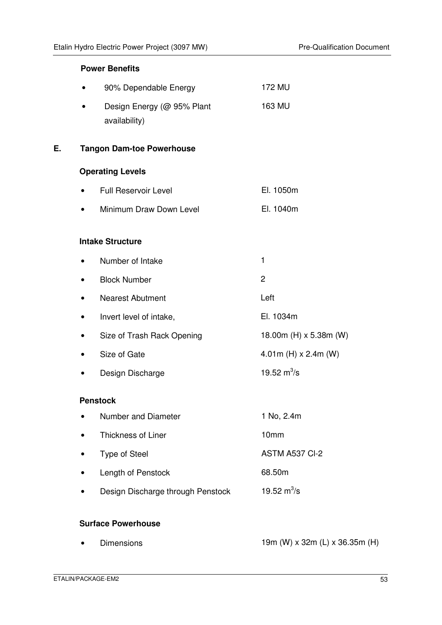#### **Power Benefits**

|    |           | 90% Dependable Energy                       | 172 MU                      |
|----|-----------|---------------------------------------------|-----------------------------|
|    |           | Design Energy (@ 95% Plant<br>availability) | 163 MU                      |
| Е. |           | <b>Tangon Dam-toe Powerhouse</b>            |                             |
|    |           | <b>Operating Levels</b>                     |                             |
|    | $\bullet$ | <b>Full Reservoir Level</b>                 | El. 1050m                   |
|    | $\bullet$ | Minimum Draw Down Level                     | El. 1040m                   |
|    |           |                                             |                             |
|    |           | <b>Intake Structure</b>                     |                             |
|    | $\bullet$ | Number of Intake                            | $\mathbf{1}$                |
|    |           | <b>Block Number</b>                         | $\overline{c}$              |
|    | $\bullet$ | <b>Nearest Abutment</b>                     | Left                        |
|    | $\bullet$ | Invert level of intake,                     | El. 1034m                   |
|    | $\bullet$ | Size of Trash Rack Opening                  | 18.00m (H) x 5.38m (W)      |
|    | $\bullet$ | Size of Gate                                | 4.01m (H) $\times$ 2.4m (W) |
|    |           | Design Discharge                            | 19.52 $m^3$ /s              |
|    |           | <b>Penstock</b>                             |                             |
|    | $\bullet$ | Number and Diameter                         | 1 No, 2.4m                  |
|    |           | Thickness of Liner                          | 10mm                        |
|    |           | <b>Type of Steel</b>                        | ASTM A537 Cl-2              |
|    |           | Length of Penstock                          | 68.50m                      |
|    |           |                                             |                             |

• Design Discharge through Penstock 19.52  $m^3/s$ 

#### **Surface Powerhouse**

• Dimensions 19m (W) x 32m (L) x 36.35m (H)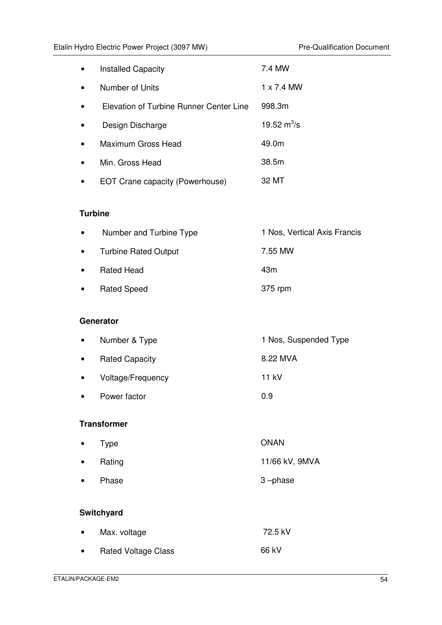| <b>Installed Capacity</b>               | 7.4 MW            |
|-----------------------------------------|-------------------|
| Number of Units                         | $1 \times 7.4$ MW |
| Elevation of Turbine Runner Center Line | 998.3m            |
| Design Discharge                        | 19.52 $m^3$ /s    |
| Maximum Gross Head                      | 49.0m             |
| Min. Gross Head                         | 38.5m             |
| EOT Crane capacity (Powerhouse)         | 32 MT             |

#### **Turbine**

| $\bullet$ | Number and Turbine Type     | 1 Nos, Vertical Axis Francis |
|-----------|-----------------------------|------------------------------|
| $\bullet$ | <b>Turbine Rated Output</b> | 7.55 MW                      |
| $\bullet$ | <b>Rated Head</b>           | 43m                          |
| $\bullet$ | <b>Rated Speed</b>          | 375 rpm                      |

#### **Generator**

| $\bullet$ | Number & Type         | 1 Nos, Suspended Type |
|-----------|-----------------------|-----------------------|
| $\bullet$ | <b>Rated Capacity</b> | 8.22 MVA              |
| $\bullet$ | Voltage/Frequency     | 11 kV                 |
| $\bullet$ | Power factor          | 0.9                   |
|           |                       |                       |

#### **Transformer**

|           | $\bullet$ Type | <b>ONAN</b>    |
|-----------|----------------|----------------|
| $\bullet$ | Rating         | 11/66 kV, 9MVA |
| $\bullet$ | Phase          | 3-phase        |

### **Switchyard**

| $\bullet$ | Max. voltage               | 72.5 kV |
|-----------|----------------------------|---------|
| $\bullet$ | <b>Rated Voltage Class</b> | 66 kV   |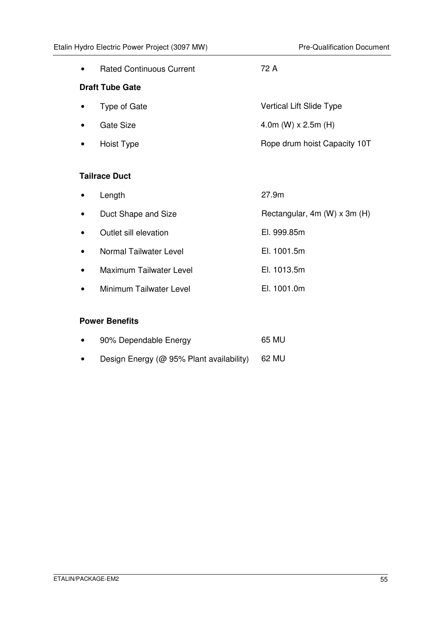|           | <b>Rated Continuous Current</b> | 72 A                         |  |  |
|-----------|---------------------------------|------------------------------|--|--|
|           | <b>Draft Tube Gate</b>          |                              |  |  |
|           | Type of Gate                    | Vertical Lift Slide Type     |  |  |
| $\bullet$ | Gate Size                       | 4.0m (W) $\times$ 2.5m (H)   |  |  |
|           | Hoist Type                      | Rope drum hoist Capacity 10T |  |  |
|           |                                 |                              |  |  |
|           | <b>Tailrace Duct</b>            |                              |  |  |
|           | Length                          | 27.9m                        |  |  |
|           | Duct Shape and Size             | Rectangular, 4m (W) x 3m (H) |  |  |
|           | Outlet sill elevation           | El. 999.85m                  |  |  |
|           | Normal Tailwater Level          | El. 1001.5m                  |  |  |
|           | Maximum Tailwater Level         | El. 1013.5m                  |  |  |

• Minimum Tailwater Level **El. 1001.0m** 

#### **Power Benefits**

| 90% Dependable Energy | 65 MU |
|-----------------------|-------|
|                       |       |

• Design Energy (@ 95% Plant availability) 62 MU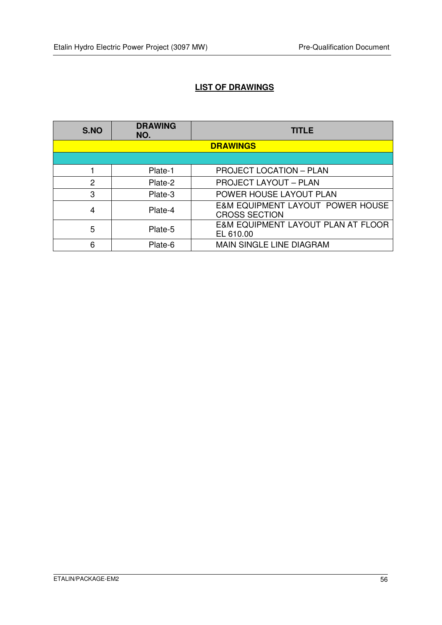# **LIST OF DRAWINGS**

| S.NO                                 | <b>DRAWING</b><br>NO. | <b>TITLE</b>                                    |
|--------------------------------------|-----------------------|-------------------------------------------------|
|                                      |                       | <b>DRAWINGS</b>                                 |
|                                      |                       |                                                 |
|                                      | Plate-1               | <b>PROJECT LOCATION - PLAN</b>                  |
| $\overline{2}$                       | Plate-2               | <b>PROJECT LAYOUT - PLAN</b>                    |
| 3                                    | Plate-3               | POWER HOUSE LAYOUT PLAN                         |
| 4<br>Plate-4<br><b>CROSS SECTION</b> |                       | E&M EQUIPMENT LAYOUT POWER HOUSE                |
| 5                                    | Plate-5               | E&M EQUIPMENT LAYOUT PLAN AT FLOOR<br>EL 610.00 |
| 6                                    | Plate-6               | <b>MAIN SINGLE LINE DIAGRAM</b>                 |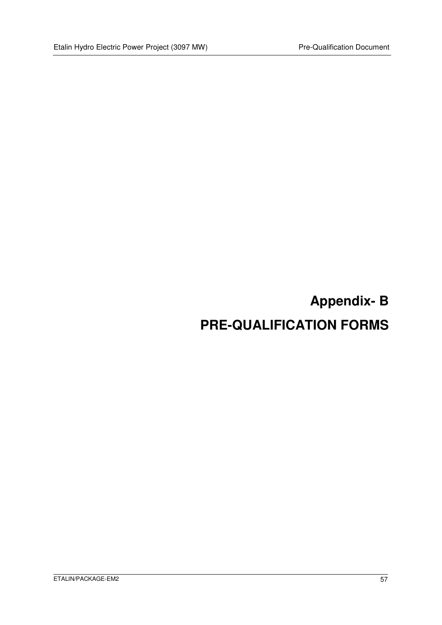# **Appendix- B PRE-QUALIFICATION FORMS**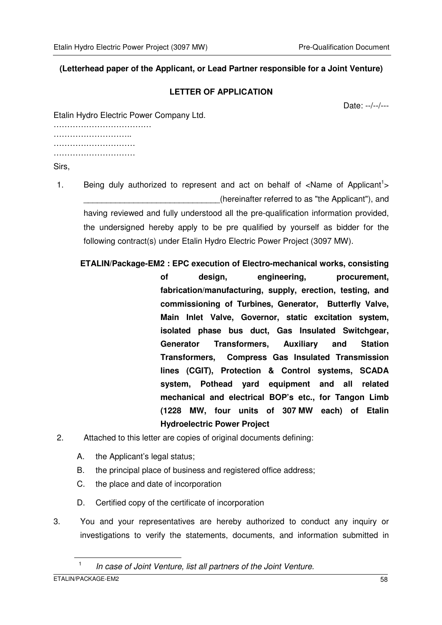#### **(Letterhead paper of the Applicant, or Lead Partner responsible for a Joint Venture)**

#### **LETTER OF APPLICATION**

Date: --/--/---

Etalin Hydro Electric Power Company Ltd.

…………………………………………… …………………………… ………………………… ……………………………………

Sirs,

- 1. Being duly authorized to represent and act on behalf of <Name of Applicant<sup>1</sup>> (hereinafter referred to as "the Applicant"), and having reviewed and fully understood all the pre-qualification information provided, the undersigned hereby apply to be pre qualified by yourself as bidder for the following contract(s) under Etalin Hydro Electric Power Project (3097 MW).
	- **ETALIN/Package-EM2 : EPC execution of Electro-mechanical works, consisting of design, engineering, procurement, fabrication/manufacturing, supply, erection, testing, and commissioning of Turbines, Generator, Butterfly Valve, Main Inlet Valve, Governor, static excitation system, isolated phase bus duct, Gas Insulated Switchgear, Generator Transformers, Auxiliary and Station Transformers, Compress Gas Insulated Transmission lines (CGIT), Protection & Control systems, SCADA system, Pothead yard equipment and all related mechanical and electrical BOP's etc., for Tangon Limb (1228 MW, four units of 307 MW each) of Etalin Hydroelectric Power Project**
- 2. Attached to this letter are copies of original documents defining:
	- A. the Applicant's legal status;
	- B. the principal place of business and registered office address;
	- C. the place and date of incorporation
	- D. Certified copy of the certificate of incorporation
- 3. You and your representatives are hereby authorized to conduct any inquiry or investigations to verify the statements, documents, and information submitted in

 $\overline{a}$ 

<sup>1</sup> In case of Joint Venture, list all partners of the Joint Venture.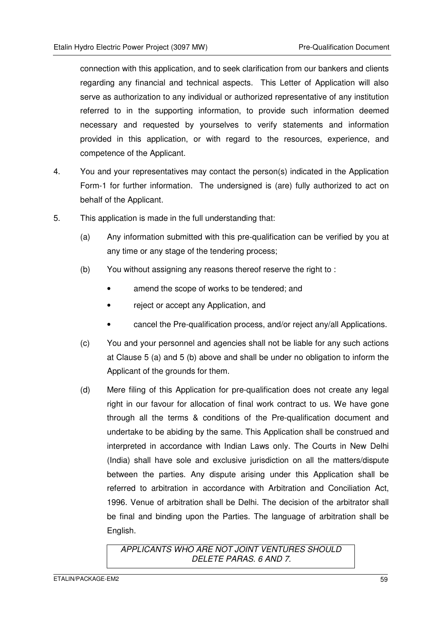connection with this application, and to seek clarification from our bankers and clients regarding any financial and technical aspects. This Letter of Application will also serve as authorization to any individual or authorized representative of any institution referred to in the supporting information, to provide such information deemed necessary and requested by yourselves to verify statements and information provided in this application, or with regard to the resources, experience, and competence of the Applicant.

- 4. You and your representatives may contact the person(s) indicated in the Application Form-1 for further information. The undersigned is (are) fully authorized to act on behalf of the Applicant.
- 5. This application is made in the full understanding that:
	- (a) Any information submitted with this pre-qualification can be verified by you at any time or any stage of the tendering process;
	- (b) You without assigning any reasons thereof reserve the right to :
		- amend the scope of works to be tendered; and
		- reject or accept any Application, and
		- cancel the Pre-qualification process, and/or reject any/all Applications.
	- (c) You and your personnel and agencies shall not be liable for any such actions at Clause 5 (a) and 5 (b) above and shall be under no obligation to inform the Applicant of the grounds for them.
	- (d) Mere filing of this Application for pre-qualification does not create any legal right in our favour for allocation of final work contract to us. We have gone through all the terms & conditions of the Pre-qualification document and undertake to be abiding by the same. This Application shall be construed and interpreted in accordance with Indian Laws only. The Courts in New Delhi (India) shall have sole and exclusive jurisdiction on all the matters/dispute between the parties. Any dispute arising under this Application shall be referred to arbitration in accordance with Arbitration and Conciliation Act, 1996. Venue of arbitration shall be Delhi. The decision of the arbitrator shall be final and binding upon the Parties. The language of arbitration shall be English.

APPLICANTS WHO ARE NOT JOINT VENTURES SHOULD DELETE PARAS. 6 AND 7.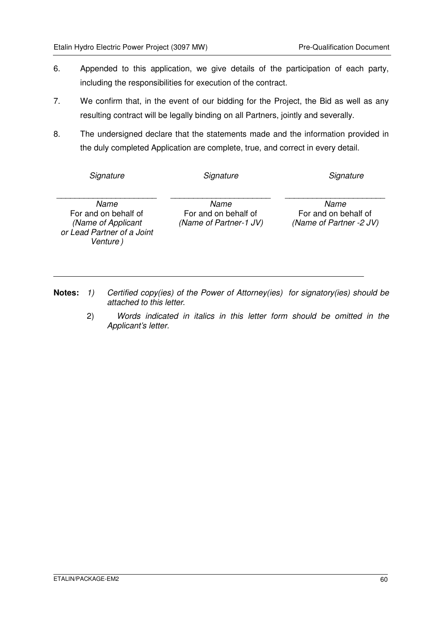- 6. Appended to this application, we give details of the participation of each party, including the responsibilities for execution of the contract.
- 7. We confirm that, in the event of our bidding for the Project, the Bid as well as any resulting contract will be legally binding on all Partners, jointly and severally.
- 8. The undersigned declare that the statements made and the information provided in the duly completed Application are complete, true, and correct in every detail.

**Signature** 

\_\_\_\_\_\_\_\_\_\_\_\_\_\_\_\_\_\_\_\_\_\_

**Signature** 

**Signature** 

Name For and on behalf of (Name of Applicant or Lead Partner of a Joint Venture )

\_\_\_\_\_\_\_\_\_\_\_\_\_\_\_\_\_\_\_\_\_\_ Name For and on behalf of (Name of Partner-1 JV)

\_\_\_\_\_\_\_\_\_\_\_\_\_\_\_\_\_\_\_\_\_\_ Name For and on behalf of (Name of Partner -2 JV)

- **Notes:** 1) Certified copy(ies) of the Power of Attorney(ies) for signatory(ies) should be attached to this letter.
	- 2) Words indicated in italics in this letter form should be omitted in the Applicant's letter.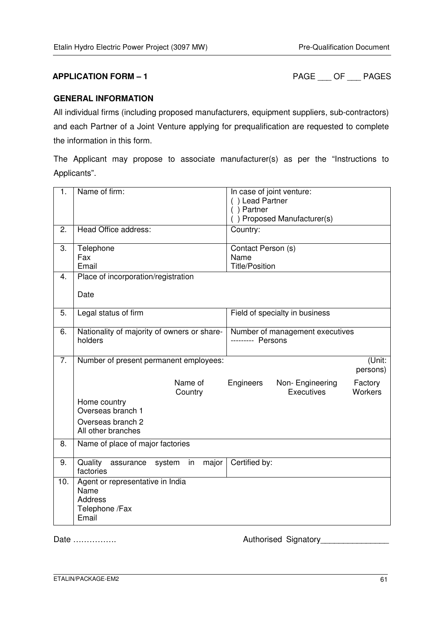**APPLICATION FORM – 1** PAGE \_\_\_ OF \_\_\_ PAGES

#### **GENERAL INFORMATION**

All individual firms (including proposed manufacturers, equipment suppliers, sub-contractors) and each Partner of a Joint Venture applying for prequalification are requested to complete the information in this form.

The Applicant may propose to associate manufacturer(s) as per the "Instructions to Applicants".

| 1.  | Name of firm:                                                                         | In case of joint venture:<br>() Lead Partner<br>$( )$ Partner<br>() Proposed Manufacturer(s) |  |
|-----|---------------------------------------------------------------------------------------|----------------------------------------------------------------------------------------------|--|
| 2.  | Head Office address:                                                                  | Country:                                                                                     |  |
| 3.  | Telephone<br>Fax<br>Email                                                             | Contact Person (s)<br>Name<br><b>Title/Position</b>                                          |  |
| 4.  | Place of incorporation/registration<br>Date                                           |                                                                                              |  |
| 5.  | Legal status of firm                                                                  | Field of specialty in business                                                               |  |
| 6.  | Nationality of majority of owners or share-<br>holders                                | Number of management executives<br>--------- Persons                                         |  |
| 7.  | Number of present permanent employees:                                                | (Unit:<br>persons)                                                                           |  |
|     | Name of<br>Country                                                                    | Engineers<br>Non-Engineering<br>Factory<br>Executives<br><b>Workers</b>                      |  |
|     | Home country<br>Overseas branch 1                                                     |                                                                                              |  |
|     | Overseas branch 2<br>All other branches                                               |                                                                                              |  |
| 8.  | Name of place of major factories                                                      |                                                                                              |  |
| 9.  | Quality<br>major<br>system<br>in<br>assurance<br>factories                            | Certified by:                                                                                |  |
| 10. | Agent or representative in India<br>Name<br><b>Address</b><br>Telephone /Fax<br>Email |                                                                                              |  |

Date ……………. Authorised Signatory\_\_\_\_\_\_\_\_\_\_\_\_\_\_\_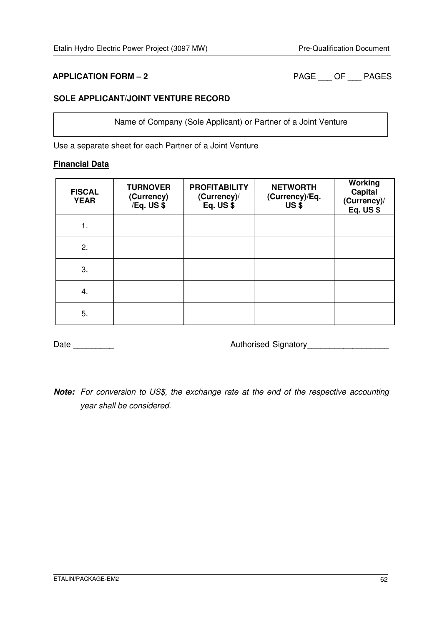**APPLICATION FORM – 2** PAGE \_\_\_ OF \_\_\_ PAGES

#### **SOLE APPLICANT/JOINT VENTURE RECORD**

Name of Company (Sole Applicant) or Partner of a Joint Venture

Use a separate sheet for each Partner of a Joint Venture

#### **Financial Data**

| <b>FISCAL</b><br><b>YEAR</b> | <b>TURNOVER</b><br>(Currency)<br>/Eq. US \$ | <b>PROFITABILITY</b><br>(Currency)/<br>Eq. $US$ $$$ | <b>NETWORTH</b><br>(Currency)/Eq.<br>US <sub>5</sub> | Working<br><b>Capital</b><br>(Currency)/<br>Eq. $US$ $$$ |
|------------------------------|---------------------------------------------|-----------------------------------------------------|------------------------------------------------------|----------------------------------------------------------|
| 1.                           |                                             |                                                     |                                                      |                                                          |
| 2.                           |                                             |                                                     |                                                      |                                                          |
| 3.                           |                                             |                                                     |                                                      |                                                          |
| 4.                           |                                             |                                                     |                                                      |                                                          |
| 5.                           |                                             |                                                     |                                                      |                                                          |

Date \_\_\_\_\_\_\_\_\_ Authorised Signatory\_\_\_\_\_\_\_\_\_\_\_\_\_\_\_\_\_\_

**Note:** For conversion to US\$, the exchange rate at the end of the respective accounting year shall be considered.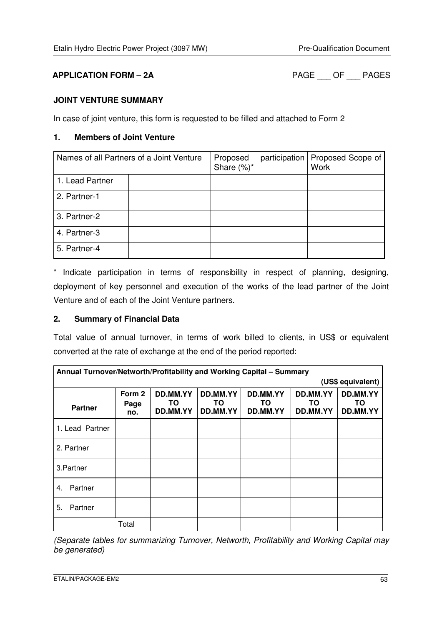**APPLICATION FORM – 2A** PAGE \_\_\_ OF \_\_\_ PAGES

#### **JOINT VENTURE SUMMARY**

In case of joint venture, this form is requested to be filled and attached to Form 2

#### **1. Members of Joint Venture**

| Names of all Partners of a Joint Venture |  | Proposed<br>Share $(\%)^*$ | participation   Proposed Scope of<br><b>Work</b> |
|------------------------------------------|--|----------------------------|--------------------------------------------------|
| 1. Lead Partner                          |  |                            |                                                  |
| 2. Partner-1                             |  |                            |                                                  |
| 3. Partner-2                             |  |                            |                                                  |
| 4. Partner-3                             |  |                            |                                                  |
| 5. Partner-4                             |  |                            |                                                  |

\* Indicate participation in terms of responsibility in respect of planning, designing, deployment of key personnel and execution of the works of the lead partner of the Joint Venture and of each of the Joint Venture partners.

#### **2. Summary of Financial Data**

Total value of annual turnover, in terms of work billed to clients, in US\$ or equivalent converted at the rate of exchange at the end of the period reported:

| Annual Turnover/Networth/Profitability and Working Capital - Summary |                       |                             |                             |                            |                            |                            |
|----------------------------------------------------------------------|-----------------------|-----------------------------|-----------------------------|----------------------------|----------------------------|----------------------------|
|                                                                      |                       |                             |                             |                            |                            | (US\$ equivalent)          |
| <b>Partner</b>                                                       | Form 2<br>Page<br>no. | DD.MM.YY<br>TO.<br>DD.MM.YY | DD.MM.YY<br>TO.<br>DD.MM.YY | DD.MM.YY<br>TO<br>DD.MM.YY | DD.MM.YY<br>TO<br>DD.MM.YY | DD.MM.YY<br>ΤO<br>DD.MM.YY |
| 1. Lead Partner                                                      |                       |                             |                             |                            |                            |                            |
| 2. Partner                                                           |                       |                             |                             |                            |                            |                            |
| 3. Partner                                                           |                       |                             |                             |                            |                            |                            |
| Partner<br>4.                                                        |                       |                             |                             |                            |                            |                            |
| Partner<br>5.                                                        |                       |                             |                             |                            |                            |                            |
|                                                                      | Total                 |                             |                             |                            |                            |                            |

(Separate tables for summarizing Turnover, Networth, Profitability and Working Capital may be generated)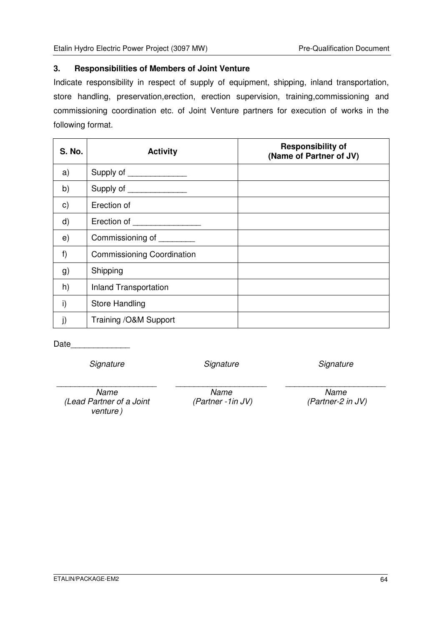#### **3. Responsibilities of Members of Joint Venture**

Indicate responsibility in respect of supply of equipment, shipping, inland transportation, store handling, preservation,erection, erection supervision, training,commissioning and commissioning coordination etc. of Joint Venture partners for execution of works in the following format.

| <b>S. No.</b> | <b>Activity</b>                   | <b>Responsibility of</b><br>(Name of Partner of JV) |
|---------------|-----------------------------------|-----------------------------------------------------|
| a)            | Supply of _______________         |                                                     |
| b)            | Supply of <u>with the supply</u>  |                                                     |
| $\mathbf{c})$ | Erection of                       |                                                     |
| $\mathsf{d}$  | Erection of                       |                                                     |
| e)            | Commissioning of ________         |                                                     |
| f)            | <b>Commissioning Coordination</b> |                                                     |
| g)            | Shipping                          |                                                     |
| h)            | <b>Inland Transportation</b>      |                                                     |
| i)            | <b>Store Handling</b>             |                                                     |
|               | Training /O&M Support             |                                                     |

Date\_\_\_\_\_\_\_\_\_\_\_\_\_

**Signature** 

\_\_\_\_\_\_\_\_\_\_\_\_\_\_\_\_\_\_\_\_\_\_

**Signature** 

**Signature** 

\_\_\_\_\_\_\_\_\_\_\_\_\_\_\_\_\_\_\_\_\_\_

Name (Lead Partner of a Joint venture )

Name (Partner -1in JV)

\_\_\_\_\_\_\_\_\_\_\_\_\_\_\_\_\_\_\_\_

Name (Partner-2 in JV)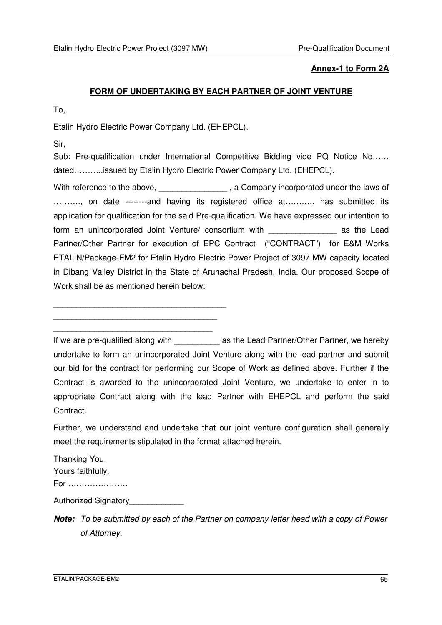#### **Annex-1 to Form 2A**

#### **FORM OF UNDERTAKING BY EACH PARTNER OF JOINT VENTURE**

To,

Etalin Hydro Electric Power Company Ltd. (EHEPCL).

Sir,

Sub: Pre-qualification under International Competitive Bidding vide PQ Notice No...... dated………..issued by Etalin Hydro Electric Power Company Ltd. (EHEPCL).

With reference to the above, \_\_\_\_\_\_\_\_\_\_\_\_\_\_\_\_, a Company incorporated under the laws of ..........., on date --------and having its registered office at........... has submitted its application for qualification for the said Pre-qualification. We have expressed our intention to form an unincorporated Joint Venture/ consortium with **Example 2018** as the Lead Partner/Other Partner for execution of EPC Contract ("CONTRACT") for E&M Works ETALIN/Package-EM2 for Etalin Hydro Electric Power Project of 3097 MW capacity located in Dibang Valley District in the State of Arunachal Pradesh, India. Our proposed Scope of Work shall be as mentioned herein below:

\_\_\_\_\_\_\_\_\_\_\_\_\_\_\_\_\_\_\_\_\_\_\_\_\_\_\_\_\_\_\_\_\_\_\_\_\_\_ \_\_\_\_\_\_\_\_\_\_\_\_\_\_\_\_\_\_\_\_\_\_\_\_\_\_\_\_\_\_\_\_\_\_\_\_

\_\_\_\_\_\_\_\_\_\_\_\_\_\_\_\_\_\_\_\_\_\_\_\_\_\_\_\_\_\_\_\_\_\_\_

If we are pre-qualified along with and as the Lead Partner/Other Partner, we hereby undertake to form an unincorporated Joint Venture along with the lead partner and submit our bid for the contract for performing our Scope of Work as defined above. Further if the Contract is awarded to the unincorporated Joint Venture, we undertake to enter in to appropriate Contract along with the lead Partner with EHEPCL and perform the said Contract.

Further, we understand and undertake that our joint venture configuration shall generally meet the requirements stipulated in the format attached herein.

Thanking You, Yours faithfully, For ………………….

Authorized Signatory\_\_\_\_\_\_\_\_\_\_\_\_\_

**Note:** To be submitted by each of the Partner on company letter head with a copy of Power of Attorney.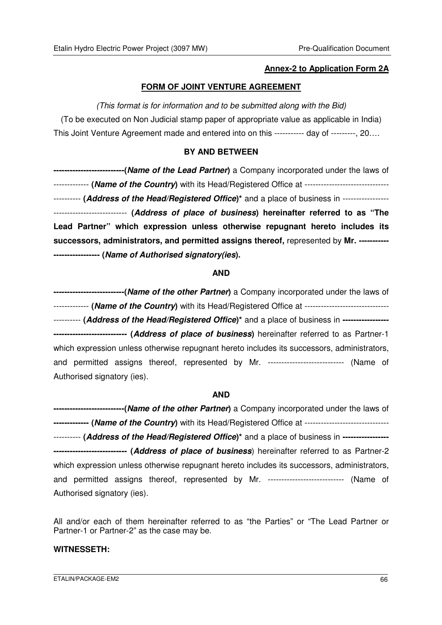#### **Annex-2 to Application Form 2A**

#### **FORM OF JOINT VENTURE AGREEMENT**

#### (This format is for information and to be submitted along with the Bid)

(To be executed on Non Judicial stamp paper of appropriate value as applicable in India) This Joint Venture Agreement made and entered into on this ----------- day of ---------, 20….

#### **BY AND BETWEEN**

**--------------------------(Name of the Lead Partner)** a Company incorporated under the laws of ------------- **(Name of the Country)** with its Head/Registered Office at ------------------------------- ---------- **(Address of the Head/Registered Office)\*** and a place of business in ----------------- --------------------------- **(Address of place of business) hereinafter referred to as "The Lead Partner" which expression unless otherwise repugnant hereto includes its successors, administrators, and permitted assigns thereof,** represented by **Mr. ----------- ----------------- (Name of Authorised signatory(ies).** 

#### **AND**

**--------------------------(Name of the other Partner)** a Company incorporated under the laws of ------------- **(Name of the Country)** with its Head/Registered Office at ------------------------------- ---------- **(Address of the Head/Registered Office)\*** and a place of business in **----------------- --------------------------- (Address of place of business)** hereinafter referred to as Partner-1 which expression unless otherwise repugnant hereto includes its successors, administrators, and permitted assigns thereof, represented by Mr. ---------------------------- (Name of Authorised signatory (ies).

#### **AND**

**--------------------------(Name of the other Partner)** a Company incorporated under the laws of **------------- (Name of the Country)** with its Head/Registered Office at ------------------------------- ---------- **(Address of the Head/Registered Office)\*** and a place of business in **----------------- --------------------------- (Address of place of business**) hereinafter referred to as Partner-2 which expression unless otherwise repugnant hereto includes its successors, administrators, and permitted assigns thereof, represented by Mr. ----------------------------- (Name of Authorised signatory (ies).

All and/or each of them hereinafter referred to as "the Parties" or "The Lead Partner or Partner-1 or Partner-2" as the case may be.

#### **WITNESSETH:**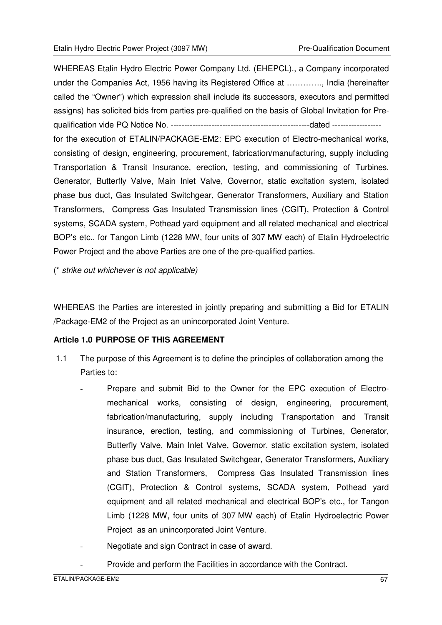WHEREAS Etalin Hydro Electric Power Company Ltd. (EHEPCL)., a Company incorporated under the Companies Act, 1956 having its Registered Office at …………., India (hereinafter called the "Owner") which expression shall include its successors, executors and permitted assigns) has solicited bids from parties pre-qualified on the basis of Global Invitation for Prequalification vide PQ Notice No. ---------------------------------------------------dated ----------------- for the execution of ETALIN/PACKAGE-EM2: EPC execution of Electro-mechanical works, consisting of design, engineering, procurement, fabrication/manufacturing, supply including Transportation & Transit Insurance, erection, testing, and commissioning of Turbines, Generator, Butterfly Valve, Main Inlet Valve, Governor, static excitation system, isolated phase bus duct, Gas Insulated Switchgear, Generator Transformers, Auxiliary and Station Transformers, Compress Gas Insulated Transmission lines (CGIT), Protection & Control systems, SCADA system, Pothead yard equipment and all related mechanical and electrical BOP's etc., for Tangon Limb (1228 MW, four units of 307 MW each) of Etalin Hydroelectric Power Project and the above Parties are one of the pre-qualified parties.

(\* strike out whichever is not applicable)

WHEREAS the Parties are interested in jointly preparing and submitting a Bid for ETALIN /Package-EM2 of the Project as an unincorporated Joint Venture.

#### **Article 1.0 PURPOSE OF THIS AGREEMENT**

- 1.1 The purpose of this Agreement is to define the principles of collaboration among the Parties to:
	- Prepare and submit Bid to the Owner for the EPC execution of Electromechanical works, consisting of design, engineering, procurement, fabrication/manufacturing, supply including Transportation and Transit insurance, erection, testing, and commissioning of Turbines, Generator, Butterfly Valve, Main Inlet Valve, Governor, static excitation system, isolated phase bus duct, Gas Insulated Switchgear, Generator Transformers, Auxiliary and Station Transformers, Compress Gas Insulated Transmission lines (CGIT), Protection & Control systems, SCADA system, Pothead yard equipment and all related mechanical and electrical BOP's etc., for Tangon Limb (1228 MW, four units of 307 MW each) of Etalin Hydroelectric Power Project as an unincorporated Joint Venture.
	- Negotiate and sign Contract in case of award.
	- Provide and perform the Facilities in accordance with the Contract.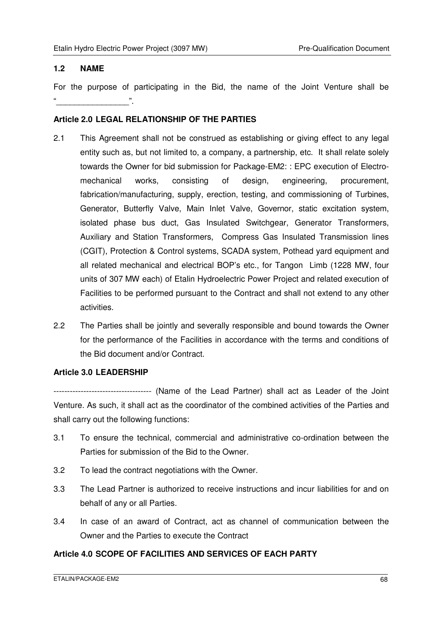#### **1.2 NAME**

For the purpose of participating in the Bid, the name of the Joint Venture shall be "\_\_\_\_\_\_\_\_\_\_\_\_\_\_\_\_".

#### **Article 2.0 LEGAL RELATIONSHIP OF THE PARTIES**

- 2.1 This Agreement shall not be construed as establishing or giving effect to any legal entity such as, but not limited to, a company, a partnership, etc. It shall relate solely towards the Owner for bid submission for Package-EM2: : EPC execution of Electromechanical works, consisting of design, engineering, procurement, fabrication/manufacturing, supply, erection, testing, and commissioning of Turbines, Generator, Butterfly Valve, Main Inlet Valve, Governor, static excitation system, isolated phase bus duct, Gas Insulated Switchgear, Generator Transformers, Auxiliary and Station Transformers, Compress Gas Insulated Transmission lines (CGIT), Protection & Control systems, SCADA system, Pothead yard equipment and all related mechanical and electrical BOP's etc., for Tangon Limb (1228 MW, four units of 307 MW each) of Etalin Hydroelectric Power Project and related execution of Facilities to be performed pursuant to the Contract and shall not extend to any other activities.
- 2.2 The Parties shall be jointly and severally responsible and bound towards the Owner for the performance of the Facilities in accordance with the terms and conditions of the Bid document and/or Contract.

#### **Article 3.0 LEADERSHIP**

------------------------------------ (Name of the Lead Partner) shall act as Leader of the Joint Venture. As such, it shall act as the coordinator of the combined activities of the Parties and shall carry out the following functions:

- 3.1 To ensure the technical, commercial and administrative co-ordination between the Parties for submission of the Bid to the Owner.
- 3.2 To lead the contract negotiations with the Owner.
- 3.3 The Lead Partner is authorized to receive instructions and incur liabilities for and on behalf of any or all Parties.
- 3.4 In case of an award of Contract, act as channel of communication between the Owner and the Parties to execute the Contract

#### **Article 4.0 SCOPE OF FACILITIES AND SERVICES OF EACH PARTY**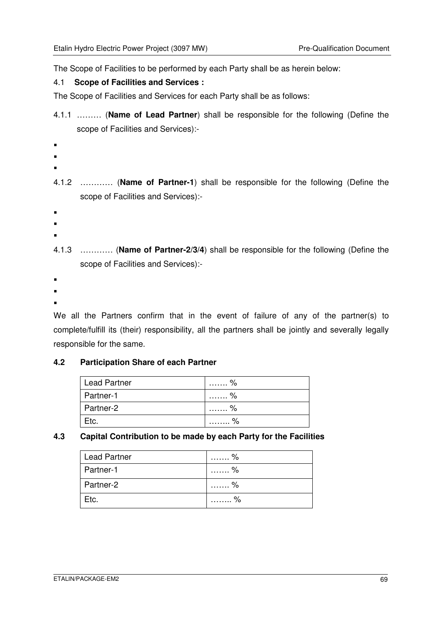The Scope of Facilities to be performed by each Party shall be as herein below:

#### 4.1 **Scope of Facilities and Services :**

The Scope of Facilities and Services for each Party shall be as follows:

4.1.1 ……… (**Name of Lead Partner**) shall be responsible for the following (Define the scope of Facilities and Services):-

```
 
4.1.2 ………… (Name of Partner-1) shall be responsible for the following (Define the 
      scope of Facilities and Services):- 
4.1.3 ………… (Name of Partner-2/3/4) shall be responsible for the following (Define the 
      scope of Facilities and Services):-
```
. .

.

 $\blacksquare$ .

.  $\blacksquare$ .

We all the Partners confirm that in the event of failure of any of the partner(s) to complete/fulfill its (their) responsibility, all the partners shall be jointly and severally legally responsible for the same.

#### **4.2 Participation Share of each Partner**

| Lead Partner | .                         |
|--------------|---------------------------|
| Partner-1    | $\sim$ $\%$<br>.          |
| Partner-2    | . %                       |
| Etc.         | $\sim$ $\frac{1}{2}$<br>. |

#### **4.3 Capital Contribution to be made by each Party for the Facilities**

| <b>Lead Partner</b> | . %     |
|---------------------|---------|
| Partner-1           | . %     |
| Partner-2           | …%<br>. |
| Etc.                | . %     |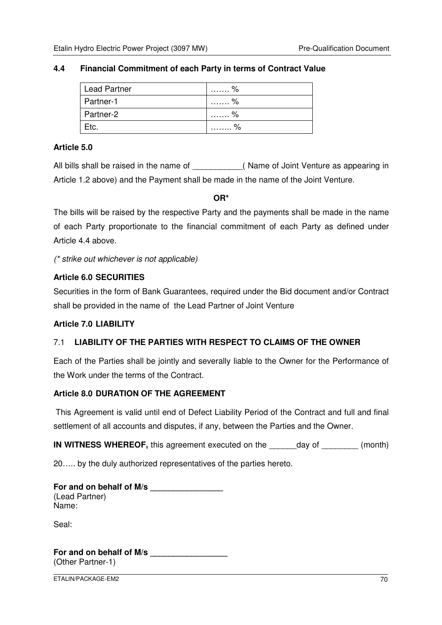#### **4.4 Financial Commitment of each Party in terms of Contract Value**

| <b>Lead Partner</b> | . %           |
|---------------------|---------------|
| Partner-1           | . %           |
| Partner-2           | . %           |
| Etc.                | $\sim$ %<br>. |

#### **Article 5.0**

All bills shall be raised in the name of **Example 20** (Name of Joint Venture as appearing in Article 1.2 above) and the Payment shall be made in the name of the Joint Venture.

**OR\*** 

The bills will be raised by the respective Party and the payments shall be made in the name of each Party proportionate to the financial commitment of each Party as defined under Article 4.4 above.

(\* strike out whichever is not applicable)

#### **Article 6.0 SECURITIES**

Securities in the form of Bank Guarantees, required under the Bid document and/or Contract shall be provided in the name of the Lead Partner of Joint Venture

#### **Article 7.0 LIABILITY**

#### 7.1 **LIABILITY OF THE PARTIES WITH RESPECT TO CLAIMS OF THE OWNER**

Each of the Parties shall be jointly and severally liable to the Owner for the Performance of the Work under the terms of the Contract.

#### **Article 8.0 DURATION OF THE AGREEMENT**

This Agreement is valid until end of Defect Liability Period of the Contract and full and final settlement of all accounts and disputes, if any, between the Parties and the Owner.

**IN WITNESS WHEREOF,** this agreement executed on the day of  $(month)$ 

20….. by the duly authorized representatives of the parties hereto.

| For and on behalf of M/s |  |
|--------------------------|--|
| (Lead Partner)           |  |
| Name:                    |  |

Seal:

**For and on behalf of M/s \_\_\_\_\_\_\_\_\_\_\_\_\_\_\_\_\_**  (Other Partner-1)

ETALIN/PACKAGE-EM2 70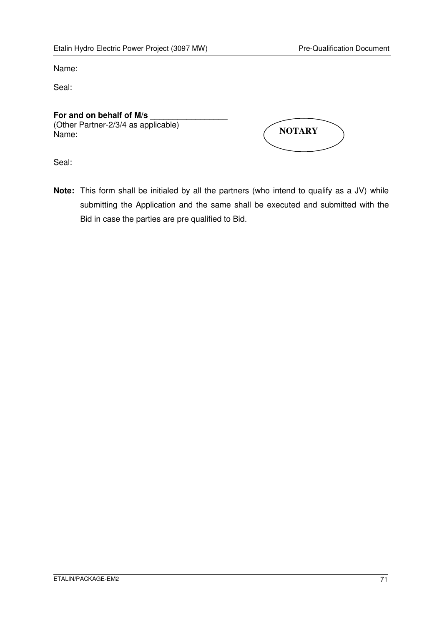Name:

Seal:

### For and on behalf of M/s

(Other Partner-2/3/4 as applicable) Name:

| <b>NOTARY</b> |  |
|---------------|--|
|               |  |

Seal:

**Note:** This form shall be initialed by all the partners (who intend to qualify as a JV) while submitting the Application and the same shall be executed and submitted with the Bid in case the parties are pre qualified to Bid.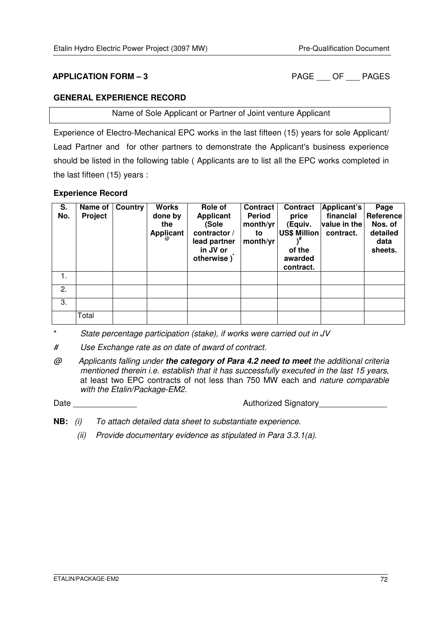**APPLICATION FORM – 3** PAGE OF PAGES

#### **GENERAL EXPERIENCE RECORD**

Name of Sole Applicant or Partner of Joint venture Applicant

Experience of Electro-Mechanical EPC works in the last fifteen (15) years for sole Applicant/ Lead Partner and for other partners to demonstrate the Applicant's business experience should be listed in the following table ( Applicants are to list all the EPC works completed in the last fifteen (15) years :

#### **Experience Record**

| S.<br>No. | Name of<br>Project | Country | <b>Works</b><br>done by<br>the<br>Applicant | Role of<br><b>Applicant</b><br>(Sole<br>contractor /<br>lead partner<br>in JV or<br>otherwise) | <b>Contract</b><br><b>Period</b><br>month/yr<br>to<br>month/yr | <b>Contract</b><br>price<br>(Equiv.<br><b>US\$ Million</b><br>of the<br>awarded<br>contract. | Applicant's<br>financial<br>value in the<br>contract. | Page<br>Reference<br>Nos. of<br>detailed<br>data<br>sheets. |
|-----------|--------------------|---------|---------------------------------------------|------------------------------------------------------------------------------------------------|----------------------------------------------------------------|----------------------------------------------------------------------------------------------|-------------------------------------------------------|-------------------------------------------------------------|
| 1.        |                    |         |                                             |                                                                                                |                                                                |                                                                                              |                                                       |                                                             |
| 2.        |                    |         |                                             |                                                                                                |                                                                |                                                                                              |                                                       |                                                             |
| 3.        |                    |         |                                             |                                                                                                |                                                                |                                                                                              |                                                       |                                                             |
|           | Total              |         |                                             |                                                                                                |                                                                |                                                                                              |                                                       |                                                             |

\* State percentage participation (stake), if works were carried out in JV

# Use Exchange rate as on date of award of contract.

@ Applicants falling under **the category of Para 4.2 need to meet** the additional criteria mentioned therein i.e. establish that it has successfully executed in the last 15 years, at least two EPC contracts of not less than 750 MW each and nature comparable with the Etalin/Package-EM2.

Date \_\_\_\_\_\_\_\_\_\_\_\_\_\_ Authorized Signatory\_\_\_\_\_\_\_\_\_\_\_\_\_\_\_

- **NB:** (i) To attach detailed data sheet to substantiate experience.
	- (ii) Provide documentary evidence as stipulated in Para 3.3.1(a).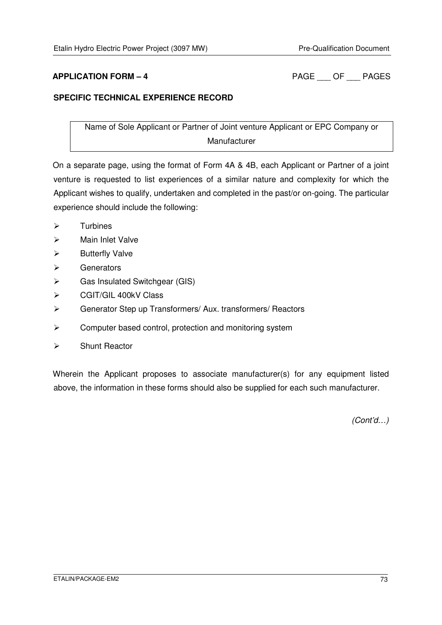**APPLICATION FORM – 4** PAGE OF PAGES

## **SPECIFIC TECHNICAL EXPERIENCE RECORD**

Name of Sole Applicant or Partner of Joint venture Applicant or EPC Company or Manufacturer

On a separate page, using the format of Form 4A & 4B, each Applicant or Partner of a joint venture is requested to list experiences of a similar nature and complexity for which the Applicant wishes to qualify, undertaken and completed in the past/or on-going. The particular experience should include the following:

- $\triangleright$ Turbines
- $\blacktriangleright$ Main Inlet Valve
- $\blacktriangleright$ Butterfly Valve
- $\blacktriangleright$ **Generators**
- $\blacktriangleright$ Gas Insulated Switchgear (GIS)
- $\blacktriangleright$ CGIT/GIL 400kV Class
- $\blacktriangleright$ Generator Step up Transformers/ Aux. transformers/ Reactors
- $\blacktriangleright$ Computer based control, protection and monitoring system
- $\blacktriangleright$ Shunt Reactor

Wherein the Applicant proposes to associate manufacturer(s) for any equipment listed above, the information in these forms should also be supplied for each such manufacturer.

(Cont'd…)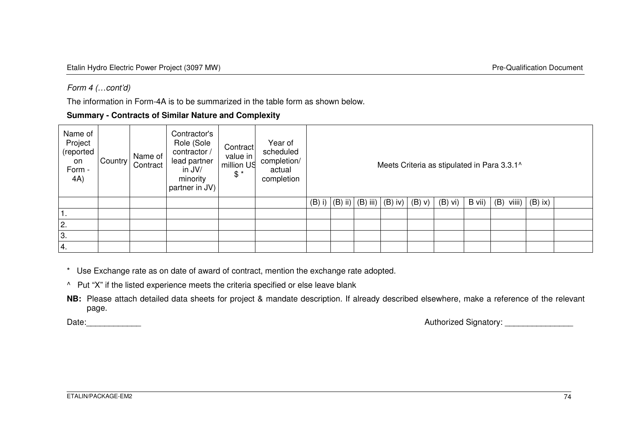### Form 4 (…cont'd)

The information in Form-4A is to be summarized in the table form as shown below.

**Summary - Contracts of Similar Nature and Complexity** 

| Name of<br>Project<br>(reported<br>on<br>Form -<br>4A) | Country | Name of<br>Contract | Contractor's<br>Role (Sole<br>contractor /<br>lead partner<br>in JV/<br>minority<br>partner in JV) | Contract<br>value in  <br>million US<br>$\mathcal{S}^*$ | Year of<br>scheduled<br>completion/<br>actual<br>completion | Meets Criteria as stipulated in Para 3.3.1^ |                                            |  |          |           |        |               |           |  |
|--------------------------------------------------------|---------|---------------------|----------------------------------------------------------------------------------------------------|---------------------------------------------------------|-------------------------------------------------------------|---------------------------------------------|--------------------------------------------|--|----------|-----------|--------|---------------|-----------|--|
|                                                        |         |                     |                                                                                                    |                                                         |                                                             |                                             | $(B)$ i) $ (B)$ ii) $ (B)$ iii) $ (B)$ iv) |  | $(B)$ V) | $(B)$ vi) | B vii) | viiii)<br>(B) | $(B)$ ix) |  |
| 1.                                                     |         |                     |                                                                                                    |                                                         |                                                             |                                             |                                            |  |          |           |        |               |           |  |
| 2.                                                     |         |                     |                                                                                                    |                                                         |                                                             |                                             |                                            |  |          |           |        |               |           |  |
| 3.                                                     |         |                     |                                                                                                    |                                                         |                                                             |                                             |                                            |  |          |           |        |               |           |  |
| 14.                                                    |         |                     |                                                                                                    |                                                         |                                                             |                                             |                                            |  |          |           |        |               |           |  |

\* Use Exchange rate as on date of award of contract, mention the exchange rate adopted.

^ Put "X" if the listed experience meets the criteria specified or else leave blank

**NB:** Please attach detailed data sheets for project & mandate description. If already described elsewhere, make a reference of the relevant page.

Date:\_\_\_\_\_\_\_\_\_\_\_\_ Authorized Signatory: \_\_\_\_\_\_\_\_\_\_\_\_\_\_\_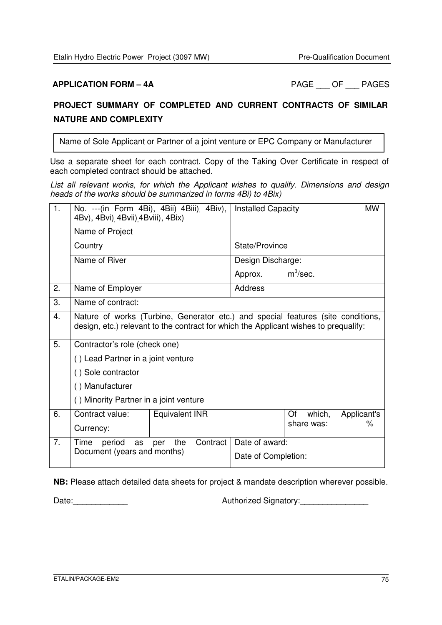**APPLICATION FORM – 4A** PAGE OF PAGES

# **PROJECT SUMMARY OF COMPLETED AND CURRENT CONTRACTS OF SIMILAR NATURE AND COMPLEXITY**

Name of Sole Applicant or Partner of a joint venture or EPC Company or Manufacturer

Use a separate sheet for each contract. Copy of the Taking Over Certificate in respect of each completed contract should be attached.

List all relevant works, for which the Applicant wishes to qualify. Dimensions and design heads of the works should be summarized in forms 4Bi) to 4Bix)

| 1. | 4Bv), 4Bvi) 4Bvii) 4Bviii), 4Bix)      | No. --- (in Form 4Bi), 4Bii) 4Biii) 4Biv),                                                                                                                               | <b>Installed Capacity</b>   |             | <b>MW</b> |  |  |  |  |  |
|----|----------------------------------------|--------------------------------------------------------------------------------------------------------------------------------------------------------------------------|-----------------------------|-------------|-----------|--|--|--|--|--|
|    | Name of Project                        |                                                                                                                                                                          |                             |             |           |  |  |  |  |  |
|    | Country                                |                                                                                                                                                                          | State/Province              |             |           |  |  |  |  |  |
|    | Name of River                          |                                                                                                                                                                          | Design Discharge:           |             |           |  |  |  |  |  |
|    |                                        |                                                                                                                                                                          | Approx.                     | $m^3$ /sec. |           |  |  |  |  |  |
| 2. | Name of Employer                       |                                                                                                                                                                          | Address                     |             |           |  |  |  |  |  |
| 3. | Name of contract:                      |                                                                                                                                                                          |                             |             |           |  |  |  |  |  |
| 4. |                                        | Nature of works (Turbine, Generator etc.) and special features (site conditions,<br>design, etc.) relevant to the contract for which the Applicant wishes to prequalify: |                             |             |           |  |  |  |  |  |
| 5. | Contractor's role (check one)          |                                                                                                                                                                          |                             |             |           |  |  |  |  |  |
|    | () Lead Partner in a joint venture     |                                                                                                                                                                          |                             |             |           |  |  |  |  |  |
|    | () Sole contractor                     |                                                                                                                                                                          |                             |             |           |  |  |  |  |  |
|    | () Manufacturer                        |                                                                                                                                                                          |                             |             |           |  |  |  |  |  |
|    | () Minority Partner in a joint venture |                                                                                                                                                                          |                             |             |           |  |  |  |  |  |
| 6. | Contract value:                        | Equivalent INR                                                                                                                                                           | which,<br>Of<br>Applicant's |             |           |  |  |  |  |  |
|    | Currency:                              |                                                                                                                                                                          |                             | share was:  | $\%$      |  |  |  |  |  |
| 7. | Time<br>period<br>as                   | Contract<br>the<br>per                                                                                                                                                   | Date of award:              |             |           |  |  |  |  |  |
|    | Document (years and months)            | Date of Completion:                                                                                                                                                      |                             |             |           |  |  |  |  |  |

**NB:** Please attach detailed data sheets for project & mandate description wherever possible.

Date:\_\_\_\_\_\_\_\_\_\_\_\_ Authorized Signatory:\_\_\_\_\_\_\_\_\_\_\_\_\_\_\_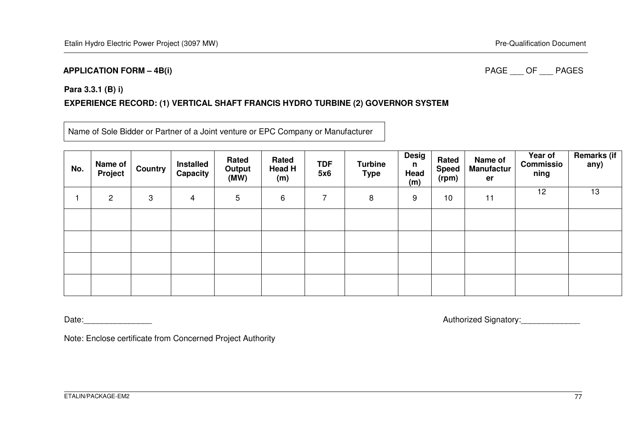#### **APPLICATION FORM – 4B(i)**

#### PAGE OF PAGES

#### **Para 3.3.1 (B) i)**

### **EXPERIENCE RECORD: (1) VERTICAL SHAFT FRANCIS HYDRO TURBINE (2) GOVERNOR SYSTEM**

Name of Sole Bidder or Partner of a Joint venture or EPC Company or Manufacturer

| No. | Name of  <br>  Project | <b>Country</b> | Installed<br>Capacity | Rated<br>Output<br>(MW) | Rated<br>Head H<br>(m) | <b>TDF</b><br>5x6 | <b>Turbine</b><br><b>Type</b> | <b>Desig</b><br>n<br>Head<br>(m) | Rated<br><b>Speed</b><br>(rpm) | Name of<br><b>Manufactur</b><br>er | Year of<br><b>Commissio</b><br>ning | Remarks $\overline{(\mathsf{if} \ \ }$<br>any) |
|-----|------------------------|----------------|-----------------------|-------------------------|------------------------|-------------------|-------------------------------|----------------------------------|--------------------------------|------------------------------------|-------------------------------------|------------------------------------------------|
|     | $\overline{2}$         | 3              | 4                     | 5                       | 6                      | ⇁                 | 8                             | 9                                | 10                             | 11                                 | 12                                  | 13                                             |
|     |                        |                |                       |                         |                        |                   |                               |                                  |                                |                                    |                                     |                                                |
|     |                        |                |                       |                         |                        |                   |                               |                                  |                                |                                    |                                     |                                                |
|     |                        |                |                       |                         |                        |                   |                               |                                  |                                |                                    |                                     |                                                |
|     |                        |                |                       |                         |                        |                   |                               |                                  |                                |                                    |                                     |                                                |

Date:\_\_\_\_\_\_\_\_\_\_\_\_\_\_\_ Authorized Signatory:\_\_\_\_\_\_\_\_\_\_\_\_\_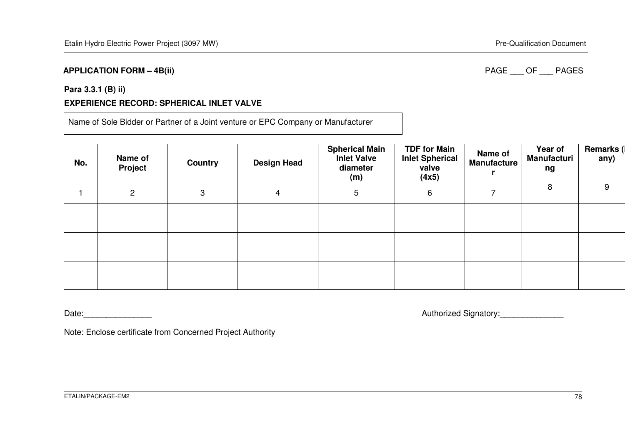#### **APPLICATION FORM – 4B(ii)**

### PAGE OF PAGES

# **Para 3.3.1 (B) ii)**

# **EXPERIENCE RECORD: SPHERICAL INLET VALVE**

Name of Sole Bidder or Partner of a Joint venture or EPC Company or Manufacturer

| No. | Name of<br>Project | <b>Country</b> | <b>Design Head</b> | <b>Spherical Main</b><br><b>Inlet Valve</b><br>diameter<br>(m) | <b>TDF for Main</b><br><b>Inlet Spherical</b><br>valve<br>(4x5) | Name of<br><b>Manufacture</b> | Year of<br>Manufacturi<br>ng | Remarks (i<br>any) |
|-----|--------------------|----------------|--------------------|----------------------------------------------------------------|-----------------------------------------------------------------|-------------------------------|------------------------------|--------------------|
|     | 2                  | 3              | 4                  | 5                                                              | 6                                                               | 7                             | 8                            | 9                  |
|     |                    |                |                    |                                                                |                                                                 |                               |                              |                    |
|     |                    |                |                    |                                                                |                                                                 |                               |                              |                    |
|     |                    |                |                    |                                                                |                                                                 |                               |                              |                    |

Date:\_\_\_\_\_\_\_\_\_\_\_\_\_\_\_ Authorized Signatory:\_\_\_\_\_\_\_\_\_\_\_\_\_\_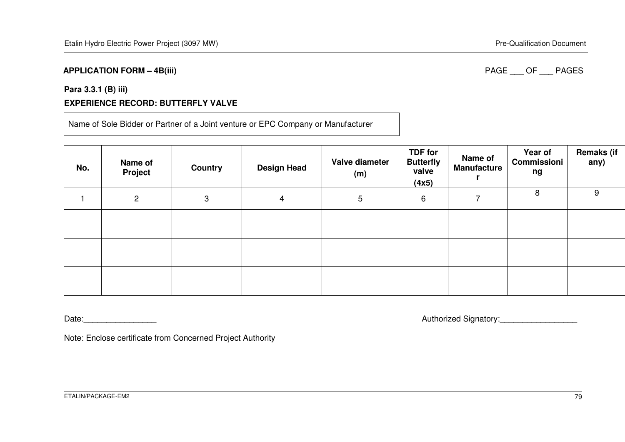#### **APPLICATION FORM – 4B(iii)**

### PAGE OF PAGES

# **Para 3.3.1 (B) iii) EXPERIENCE RECORD: BUTTERFLY VALVE**

Name of Sole Bidder or Partner of a Joint venture or EPC Company or Manufacturer

| No. | Name of<br><b>Project</b> | Country | <b>Design Head</b> | Valve diameter<br>(m) | <b>TDF for</b><br><b>Butterfly</b><br>valve<br>(4x5) | Name of<br><b>Manufacture</b> | Year of<br>Commissioni<br>ng | <b>Remaks (if</b><br>any) |
|-----|---------------------------|---------|--------------------|-----------------------|------------------------------------------------------|-------------------------------|------------------------------|---------------------------|
|     | $\overline{2}$            | 3       | 4                  | 5                     | 6                                                    |                               | 8                            | 9                         |
|     |                           |         |                    |                       |                                                      |                               |                              |                           |
|     |                           |         |                    |                       |                                                      |                               |                              |                           |
|     |                           |         |                    |                       |                                                      |                               |                              |                           |

Date:\_\_\_\_\_\_\_\_\_\_\_\_\_\_\_\_ Authorized Signatory:\_\_\_\_\_\_\_\_\_\_\_\_\_\_\_\_\_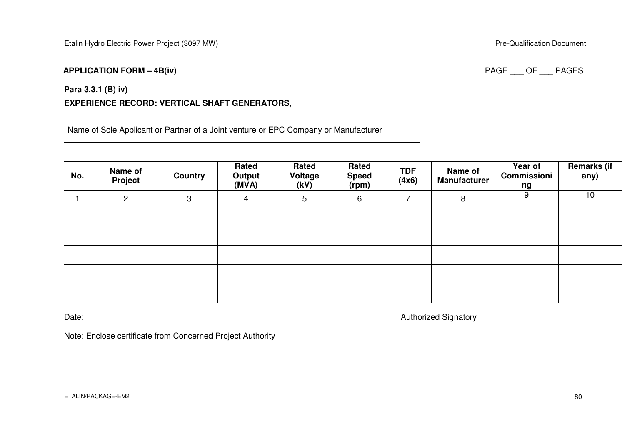#### **APPLICATION FORM – 4B(iv)**

### PAGE OF PAGES

#### **Para 3.3.1 (B) iv)**

# **EXPERIENCE RECORD: VERTICAL SHAFT GENERATORS,**

Name of Sole Applicant or Partner of a Joint venture or EPC Company or Manufacturer

| No. | Name of<br>Project | <b>Country</b> | Rated<br>Output<br>(MVA) | Rated<br>Voltage<br>(kV) | Rated<br><b>Speed</b><br>(rpm) | <b>TDF</b><br>(4x6) | Name of<br><b>Manufacturer</b> | Year of<br>Commissioni<br>ng | <b>Remarks (if</b><br>any) |
|-----|--------------------|----------------|--------------------------|--------------------------|--------------------------------|---------------------|--------------------------------|------------------------------|----------------------------|
|     | $\overline{c}$     | 3              | 4                        | 5                        | 6                              | 7                   | 8                              | 9                            | 10                         |
|     |                    |                |                          |                          |                                |                     |                                |                              |                            |
|     |                    |                |                          |                          |                                |                     |                                |                              |                            |
|     |                    |                |                          |                          |                                |                     |                                |                              |                            |
|     |                    |                |                          |                          |                                |                     |                                |                              |                            |
|     |                    |                |                          |                          |                                |                     |                                |                              |                            |

Date:\_\_\_\_\_\_\_\_\_\_\_\_\_\_\_\_ Authorized Signatory\_\_\_\_\_\_\_\_\_\_\_\_\_\_\_\_\_\_\_\_\_\_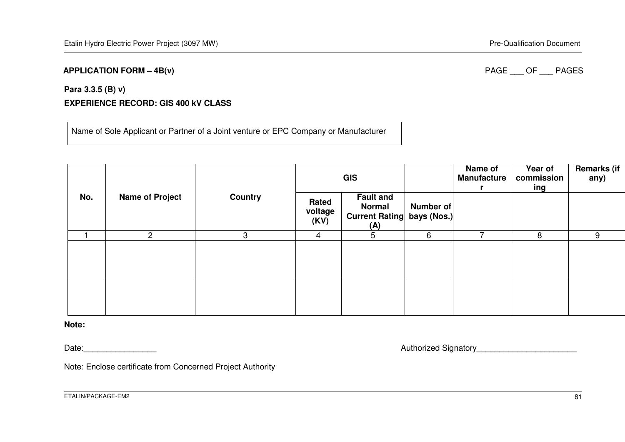#### **APPLICATION FORM – 4B(v)**

### PAGE OF PAGES

# **Para 3.3.5 (B) v) EXPERIENCE RECORD: GIS 400 kV CLASS**

Name of Sole Applicant or Partner of a Joint venture or EPC Company or Manufacturer

|     |                        |                |                          | <b>GIS</b>                                                                    |           | Name of<br><b>Manufacture</b> | Year of<br>commission<br>ing | <b>Remarks (if</b><br>any) |
|-----|------------------------|----------------|--------------------------|-------------------------------------------------------------------------------|-----------|-------------------------------|------------------------------|----------------------------|
| No. | <b>Name of Project</b> | <b>Country</b> | Rated<br>voltage<br>(KV) | <b>Fault and</b><br><b>Normal</b><br><b>Current Rating bays (Nos.)</b><br>(A) | Number of |                               |                              |                            |
|     | $\overline{2}$         | 3              | $\overline{4}$           | 5                                                                             | 6         |                               | 8                            | 9                          |
|     |                        |                |                          |                                                                               |           |                               |                              |                            |
|     |                        |                |                          |                                                                               |           |                               |                              |                            |

#### **Note:**

Date:\_\_\_\_\_\_\_\_\_\_\_\_\_\_\_\_ Authorized Signatory\_\_\_\_\_\_\_\_\_\_\_\_\_\_\_\_\_\_\_\_\_\_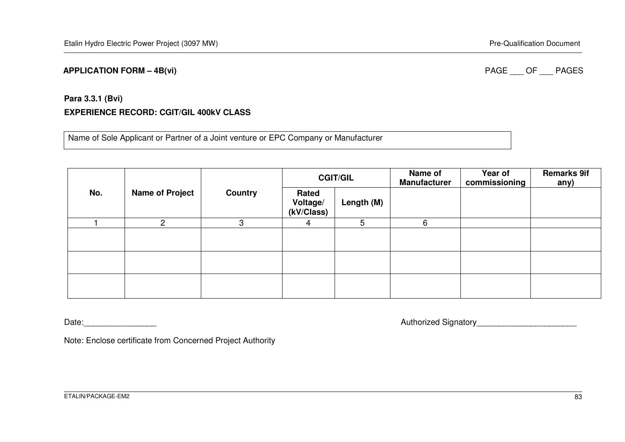#### **APPLICATION FORM – 4B(vi)**

### PAGE OF PAGES

# **Para 3.3.1 (Bvi) EXPERIENCE RECORD: CGIT/GIL 400kV CLASS**

Name of Sole Applicant or Partner of a Joint venture or EPC Company or Manufacturer

|     |                        |                | <b>CGIT/GIL</b>                 |            | Name of<br><b>Manufacturer</b> | Year of<br>commissioning | <b>Remarks 9if</b><br>any) |
|-----|------------------------|----------------|---------------------------------|------------|--------------------------------|--------------------------|----------------------------|
| No. | <b>Name of Project</b> | <b>Country</b> | Rated<br>Voltage/<br>(kV/Class) | Length (M) |                                |                          |                            |
|     | ŋ                      | 3              | 4                               | 5          | 6                              |                          |                            |
|     |                        |                |                                 |            |                                |                          |                            |
|     |                        |                |                                 |            |                                |                          |                            |
|     |                        |                |                                 |            |                                |                          |                            |

Date:\_\_\_\_\_\_\_\_\_\_\_\_\_\_\_\_ Authorized Signatory\_\_\_\_\_\_\_\_\_\_\_\_\_\_\_\_\_\_\_\_\_\_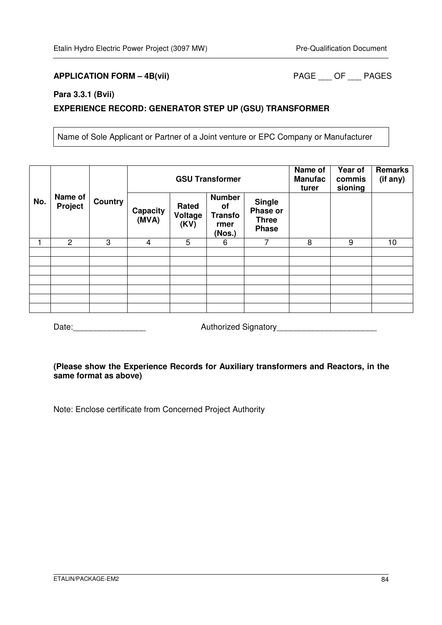### APPLICATION FORM – 4B(vii) PAGE \_\_\_ OF \_\_\_ PAGES

#### **Para 3.3.1 (Bvii)**

### **EXPERIENCE RECORD: GENERATOR STEP UP (GSU) TRANSFORMER**

Name of Sole Applicant or Partner of a Joint venture or EPC Company or Manufacturer

|     |                    |                |                          |                          | <b>GSU Transformer</b>                                  | Name of<br><b>Manufac</b><br>turer                        | Year of<br>commis<br>sioning | <b>Remarks</b><br>(if any) |    |
|-----|--------------------|----------------|--------------------------|--------------------------|---------------------------------------------------------|-----------------------------------------------------------|------------------------------|----------------------------|----|
| No. | Name of<br>Project | <b>Country</b> | <b>Capacity</b><br>(MVA) | Rated<br>Voltage<br>(KV) | <b>Number</b><br>of<br><b>Transfo</b><br>rmer<br>(Nos.) | <b>Single</b><br>Phase or<br><b>Three</b><br><b>Phase</b> |                              |                            |    |
|     | $\overline{2}$     | 3              | 4                        | 5                        | 6                                                       | 7                                                         | 8                            | 9                          | 10 |
|     |                    |                |                          |                          |                                                         |                                                           |                              |                            |    |
|     |                    |                |                          |                          |                                                         |                                                           |                              |                            |    |
|     |                    |                |                          |                          |                                                         |                                                           |                              |                            |    |
|     |                    |                |                          |                          |                                                         |                                                           |                              |                            |    |
|     |                    |                |                          |                          |                                                         |                                                           |                              |                            |    |
|     |                    |                |                          |                          |                                                         |                                                           |                              |                            |    |
|     |                    |                |                          |                          |                                                         |                                                           |                              |                            |    |

Date:\_\_\_\_\_\_\_\_\_\_\_\_\_\_\_\_ Authorized Signatory\_\_\_\_\_\_\_\_\_\_\_\_\_\_\_\_\_\_\_\_\_\_

#### **(Please show the Experience Records for Auxiliary transformers and Reactors, in the same format as above)**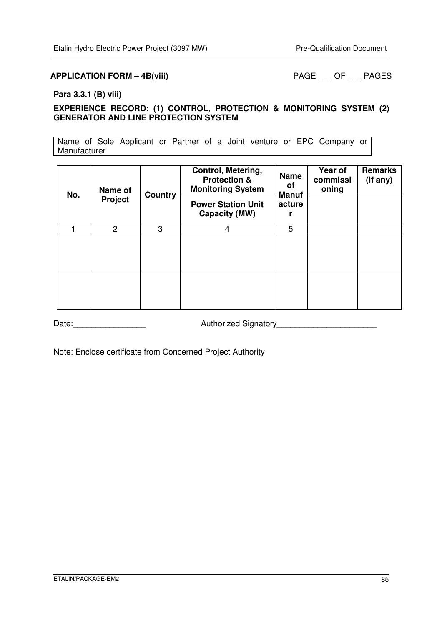#### APPLICATION FORM – 4B(viii) PAGE \_\_\_ OF \_\_\_ PAGES

#### **Para 3.3.1 (B) viii)**

#### **EXPERIENCE RECORD: (1) CONTROL, PROTECTION & MONITORING SYSTEM (2) GENERATOR AND LINE PROTECTION SYSTEM**

Name of Sole Applicant or Partner of a Joint venture or EPC Company or Manufacturer

| No. | Name of<br>Project | Country | Control, Metering,<br><b>Protection &amp;</b><br><b>Monitoring System</b><br><b>Power Station Unit</b><br>Capacity (MW) | <b>Name</b><br>οf<br><b>Manuf</b><br>acture | Year of<br>commissi<br>oning | <b>Remarks</b><br>(if any) |
|-----|--------------------|---------|-------------------------------------------------------------------------------------------------------------------------|---------------------------------------------|------------------------------|----------------------------|
|     | 2                  | 3       | 4                                                                                                                       | 5                                           |                              |                            |
|     |                    |         |                                                                                                                         |                                             |                              |                            |
|     |                    |         |                                                                                                                         |                                             |                              |                            |

Date: <u>\_\_\_\_\_\_\_\_\_\_\_\_\_\_\_\_\_\_\_\_\_\_\_\_\_\_\_\_</u> Authorized Signatory \_\_\_\_\_\_\_\_\_\_\_\_\_\_\_\_\_\_\_\_\_\_\_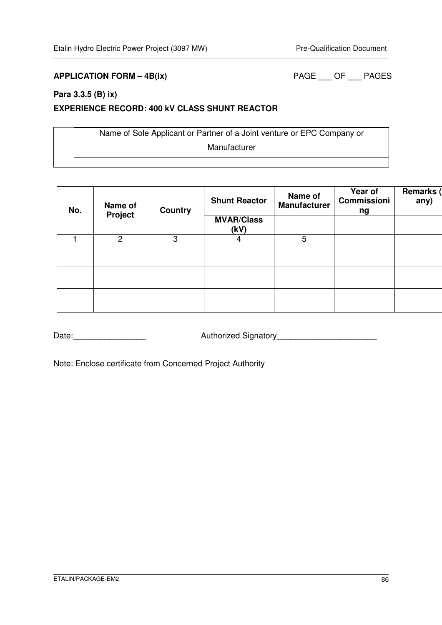### **APPLICATION FORM – 4B(ix)** PAGE \_\_\_ OF \_\_\_ PAGES

#### **Para 3.3.5 (B) ix)**

#### **EXPERIENCE RECORD: 400 kV CLASS SHUNT REACTOR**

Name of Sole Applicant or Partner of a Joint venture or EPC Company or Manufacturer

| No. | Name of<br>Project | <b>Country</b> | <b>Shunt Reactor</b>      | Name of<br><b>Manufacturer</b> | Year of<br><b>Commissioni</b><br>ng | Remarks<br>any) |
|-----|--------------------|----------------|---------------------------|--------------------------------|-------------------------------------|-----------------|
|     |                    |                | <b>MVAR/Class</b><br>(kV) |                                |                                     |                 |
|     | $\overline{c}$     | 3              | 4                         | 5                              |                                     |                 |
|     |                    |                |                           |                                |                                     |                 |
|     |                    |                |                           |                                |                                     |                 |
|     |                    |                |                           |                                |                                     |                 |

Date:\_\_\_\_\_\_\_\_\_\_\_\_\_\_\_\_ Authorized Signatory\_\_\_\_\_\_\_\_\_\_\_\_\_\_\_\_\_\_\_\_\_\_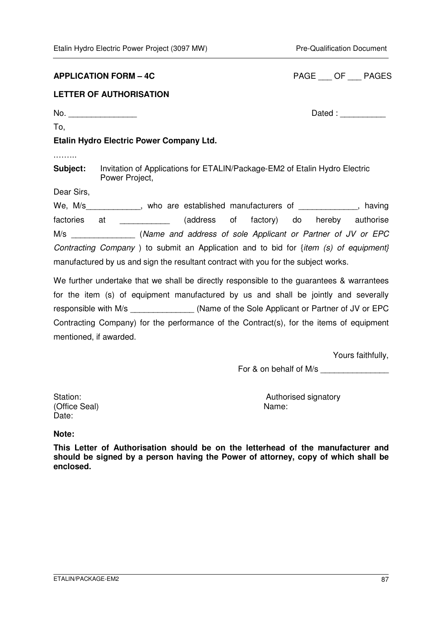#### **APPLICATION FORM – 4C**

| <b>PAGE</b> | OF | <b>PAGES</b> |
|-------------|----|--------------|
|             |    |              |

### **LETTER OF AUTHORISATION**

To,

No. Zated :  $\Box$ 

### **Etalin Hydro Electric Power Company Ltd.**

.……..

**Subject:** Invitation of Applications for ETALIN/Package-EM2 of Etalin Hydro Electric Power Project,

Dear Sirs,

We, M/s\_\_\_\_\_\_\_\_\_\_\_\_\_, who are established manufacturers of \_\_\_\_\_\_\_\_\_\_\_\_\_, having factories at \_\_\_\_\_\_\_\_\_\_\_ (address of factory) do hereby authorise M/s \_\_\_\_\_\_\_\_\_\_\_\_\_\_ (Name and address of sole Applicant or Partner of JV or EPC Contracting Company ) to submit an Application and to bid for {item (s) of equipment} manufactured by us and sign the resultant contract with you for the subject works.

We further undertake that we shall be directly responsible to the quarantees & warrantees for the item (s) of equipment manufactured by us and shall be jointly and severally responsible with M/s (Name of the Sole Applicant or Partner of JV or EPC Contracting Company) for the performance of the Contract(s), for the items of equipment mentioned, if awarded.

Yours faithfully,

For & on behalf of M/s

(Office Seal) Name: Date:

Station: Station: Station: Station: Station: Station: Station: Station: Station: Station: Station: Station: Station: Station: Station: Station: Station: Station: Station: Station: Station: Station: Station: Station: Statio

#### **Note:**

**This Letter of Authorisation should be on the letterhead of the manufacturer and should be signed by a person having the Power of attorney, copy of which shall be enclosed.**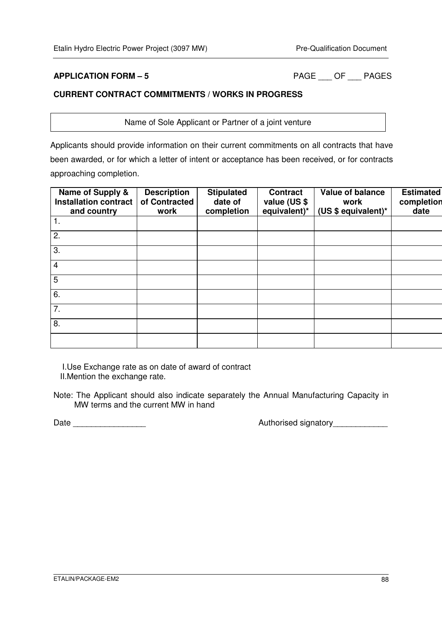**APPLICATION FORM – 5** PAGE \_\_\_ OF \_\_\_ PAGES

# **CURRENT CONTRACT COMMITMENTS / WORKS IN PROGRESS**

Name of Sole Applicant or Partner of a joint venture

Applicants should provide information on their current commitments on all contracts that have been awarded, or for which a letter of intent or acceptance has been received, or for contracts approaching completion.

| Name of Supply &<br><b>Installation contract</b><br>and country | <b>Description</b><br>of Contracted<br>work | <b>Stipulated</b><br>date of<br>completion | <b>Contract</b><br>value (US \$<br>equivalent)* | Value of balance<br>work<br>(US \$ equivalent)* | <b>Estimated</b><br>completion<br>date |
|-----------------------------------------------------------------|---------------------------------------------|--------------------------------------------|-------------------------------------------------|-------------------------------------------------|----------------------------------------|
| 1.                                                              |                                             |                                            |                                                 |                                                 |                                        |
| 2.                                                              |                                             |                                            |                                                 |                                                 |                                        |
| 3.                                                              |                                             |                                            |                                                 |                                                 |                                        |
| $\overline{4}$                                                  |                                             |                                            |                                                 |                                                 |                                        |
| 5                                                               |                                             |                                            |                                                 |                                                 |                                        |
| 6.                                                              |                                             |                                            |                                                 |                                                 |                                        |
| 7.                                                              |                                             |                                            |                                                 |                                                 |                                        |
| 8.                                                              |                                             |                                            |                                                 |                                                 |                                        |
|                                                                 |                                             |                                            |                                                 |                                                 |                                        |

I.Use Exchange rate as on date of award of contract II.Mention the exchange rate.

Note: The Applicant should also indicate separately the Annual Manufacturing Capacity in MW terms and the current MW in hand

Date \_\_\_\_\_\_\_\_\_\_\_\_\_\_\_\_ Authorised signatory\_\_\_\_\_\_\_\_\_\_\_\_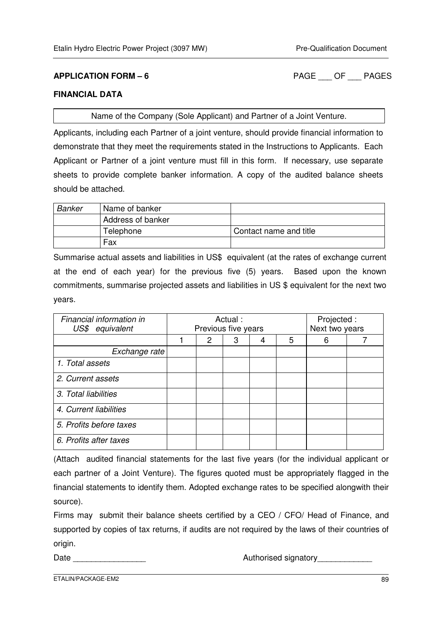**APPLICATION FORM – 6** PAGE \_\_\_ OF \_\_\_ PAGES

#### **FINANCIAL DATA**

Name of the Company (Sole Applicant) and Partner of a Joint Venture.

Applicants, including each Partner of a joint venture, should provide financial information to demonstrate that they meet the requirements stated in the Instructions to Applicants. Each Applicant or Partner of a joint venture must fill in this form. If necessary, use separate sheets to provide complete banker information. A copy of the audited balance sheets should be attached.

| Banker | Name of banker    |                        |
|--------|-------------------|------------------------|
|        | Address of banker |                        |
|        | Telephone         | Contact name and title |
|        | Fax               |                        |

Summarise actual assets and liabilities in US\$ equivalent (at the rates of exchange current at the end of each year) for the previous five (5) years. Based upon the known commitments, summarise projected assets and liabilities in US \$ equivalent for the next two years.

| Financial information in<br>US\$ equivalent | Actual:<br>Previous five years |   |   |   |   | Projected :<br>Next two years |  |
|---------------------------------------------|--------------------------------|---|---|---|---|-------------------------------|--|
|                                             |                                | 2 | 3 | 4 | 5 | 6                             |  |
| Exchange rate                               |                                |   |   |   |   |                               |  |
| 1. Total assets                             |                                |   |   |   |   |                               |  |
| 2. Current assets                           |                                |   |   |   |   |                               |  |
| 3. Total liabilities                        |                                |   |   |   |   |                               |  |
| 4. Current liabilities                      |                                |   |   |   |   |                               |  |
| 5. Profits before taxes                     |                                |   |   |   |   |                               |  |
| 6. Profits after taxes                      |                                |   |   |   |   |                               |  |

(Attach audited financial statements for the last five years (for the individual applicant or each partner of a Joint Venture). The figures quoted must be appropriately flagged in the financial statements to identify them. Adopted exchange rates to be specified alongwith their source).

Firms may submit their balance sheets certified by a CEO / CFO/ Head of Finance, and supported by copies of tax returns, if audits are not required by the laws of their countries of origin.

Date \_\_\_\_\_\_\_\_\_\_\_\_\_\_\_\_ Authorised signatory\_\_\_\_\_\_\_\_\_\_\_\_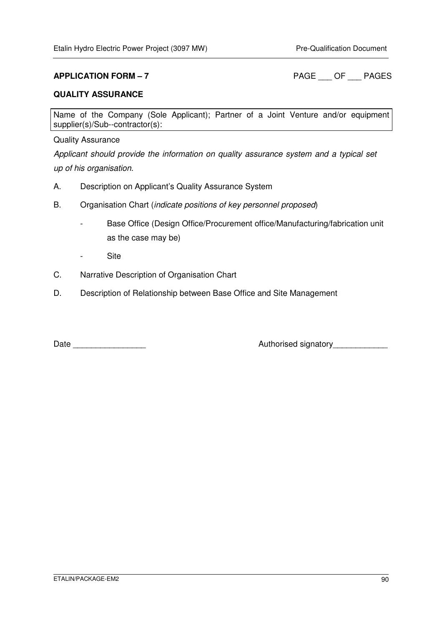**APPLICATION FORM – 7** PAGE OF PAGES

#### **QUALITY ASSURANCE**

Name of the Company (Sole Applicant); Partner of a Joint Venture and/or equipment supplier(s)/Sub--contractor(s):

#### Quality Assurance

Applicant should provide the information on quality assurance system and a typical set up of his organisation.

- A. Description on Applicant's Quality Assurance System
- B. Organisation Chart (indicate positions of key personnel proposed)
	- Base Office (Design Office/Procurement office/Manufacturing/fabrication unit as the case may be)
	- Site
- C. Narrative Description of Organisation Chart
- D. Description of Relationship between Base Office and Site Management

Date \_\_\_\_\_\_\_\_\_\_\_\_\_\_\_\_ Authorised signatory\_\_\_\_\_\_\_\_\_\_\_\_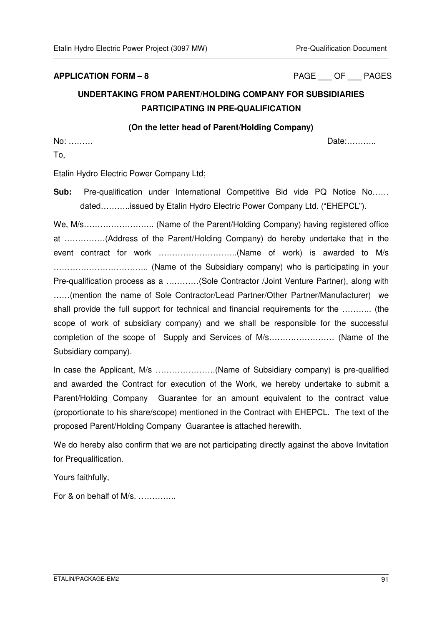**APPLICATION FORM – 8** PAGE \_\_\_ OF \_\_\_ PAGES

# **UNDERTAKING FROM PARENT/HOLDING COMPANY FOR SUBSIDIARIES PARTICIPATING IN PRE-QUALIFICATION**

#### **(On the letter head of Parent/Holding Company)**

No: ……… Date:………..

To,

Etalin Hydro Electric Power Company Ltd;

**Sub:** Pre-qualification under International Competitive Bid vide PQ Notice No…… dated………..issued by Etalin Hydro Electric Power Company Ltd. ("EHEPCL").

We, M/s…………………….. (Name of the Parent/Holding Company) having registered office at ……………(Address of the Parent/Holding Company) do hereby undertake that in the event contract for work ………………………..(Name of work) is awarded to M/s …………………………….. (Name of the Subsidiary company) who is participating in your Pre-qualification process as a …………(Sole Contractor /Joint Venture Partner), along with ……(mention the name of Sole Contractor/Lead Partner/Other Partner/Manufacturer) we shall provide the full support for technical and financial requirements for the ……….. (the scope of work of subsidiary company) and we shall be responsible for the successful completion of the scope of Supply and Services of M/s…………………… (Name of the Subsidiary company).

In case the Applicant, M/s ………………….(Name of Subsidiary company) is pre-qualified and awarded the Contract for execution of the Work, we hereby undertake to submit a Parent/Holding Company Guarantee for an amount equivalent to the contract value (proportionate to his share/scope) mentioned in the Contract with EHEPCL. The text of the proposed Parent/Holding Company Guarantee is attached herewith.

We do hereby also confirm that we are not participating directly against the above Invitation for Prequalification.

Yours faithfully,

For & on behalf of M/s. …………..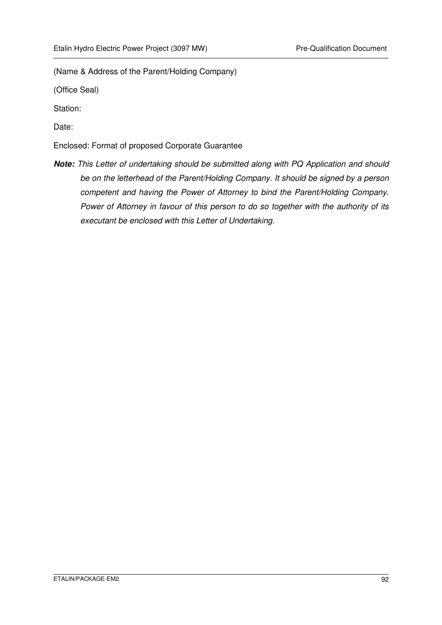(Name & Address of the Parent/Holding Company)

(Office Seal)

Station:

Date:

Enclosed: Format of proposed Corporate Guarantee

**Note:** This Letter of undertaking should be submitted along with PQ Application and should be on the letterhead of the Parent/Holding Company. It should be signed by a person competent and having the Power of Attorney to bind the Parent/Holding Company. Power of Attorney in favour of this person to do so together with the authority of its executant be enclosed with this Letter of Undertaking.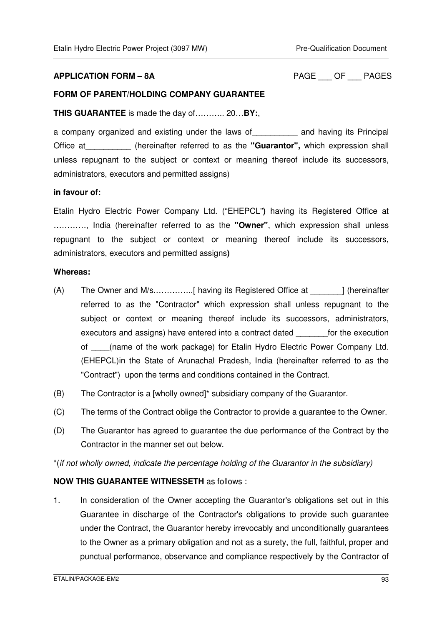#### **APPLICATION FORM – 8A** PAGE \_\_\_ OF \_\_\_ PAGES

#### **FORM OF PARENT/HOLDING COMPANY GUARANTEE**

**THIS GUARANTEE** is made the day of……….. 20…**BY:**,

a company organized and existing under the laws of\_\_\_\_\_\_\_\_\_\_ and having its Principal Office at\_\_\_\_\_\_\_\_\_\_ (hereinafter referred to as the **"Guarantor",** which expression shall unless repugnant to the subject or context or meaning thereof include its successors, administrators, executors and permitted assigns)

#### **in favour of:**

Etalin Hydro Electric Power Company Ltd. ("EHEPCL"**)** having its Registered Office at …………, India (hereinafter referred to as the **"Owner"**, which expression shall unless repugnant to the subject or context or meaning thereof include its successors, administrators, executors and permitted assigns**)** 

#### **Whereas:**

- (A) The Owner and M/s.…………..[ having its Registered Office at \_\_\_\_\_\_\_] (hereinafter referred to as the "Contractor" which expression shall unless repugnant to the subject or context or meaning thereof include its successors, administrators, executors and assigns) have entered into a contract dated \_\_\_\_\_\_\_for the execution of \_\_\_\_(name of the work package) for Etalin Hydro Electric Power Company Ltd. (EHEPCL)in the State of Arunachal Pradesh, India (hereinafter referred to as the "Contract") upon the terms and conditions contained in the Contract.
- (B) The Contractor is a [wholly owned]\* subsidiary company of the Guarantor.
- (C) The terms of the Contract oblige the Contractor to provide a guarantee to the Owner.
- (D) The Guarantor has agreed to guarantee the due performance of the Contract by the Contractor in the manner set out below.

\*(if not wholly owned, indicate the percentage holding of the Guarantor in the subsidiary)

#### **NOW THIS GUARANTEE WITNESSETH** as follows :

1. In consideration of the Owner accepting the Guarantor's obligations set out in this Guarantee in discharge of the Contractor's obligations to provide such guarantee under the Contract, the Guarantor hereby irrevocably and unconditionally guarantees to the Owner as a primary obligation and not as a surety, the full, faithful, proper and punctual performance, observance and compliance respectively by the Contractor of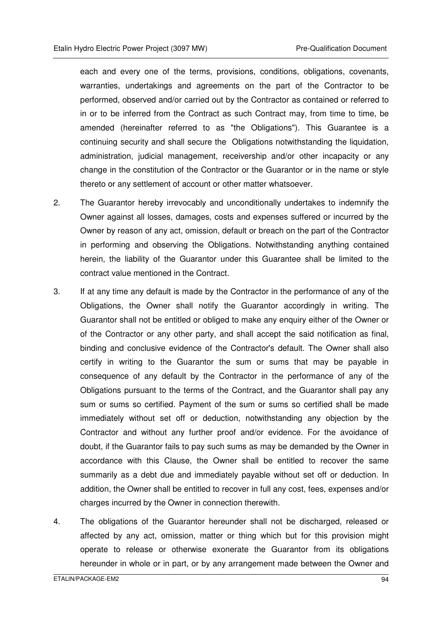each and every one of the terms, provisions, conditions, obligations, covenants, warranties, undertakings and agreements on the part of the Contractor to be performed, observed and/or carried out by the Contractor as contained or referred to in or to be inferred from the Contract as such Contract may, from time to time, be amended (hereinafter referred to as "the Obligations"). This Guarantee is a continuing security and shall secure the Obligations notwithstanding the liquidation, administration, judicial management, receivership and/or other incapacity or any change in the constitution of the Contractor or the Guarantor or in the name or style thereto or any settlement of account or other matter whatsoever.

- 2. The Guarantor hereby irrevocably and unconditionally undertakes to indemnify the Owner against all losses, damages, costs and expenses suffered or incurred by the Owner by reason of any act, omission, default or breach on the part of the Contractor in performing and observing the Obligations. Notwithstanding anything contained herein, the liability of the Guarantor under this Guarantee shall be limited to the contract value mentioned in the Contract.
- 3. If at any time any default is made by the Contractor in the performance of any of the Obligations, the Owner shall notify the Guarantor accordingly in writing. The Guarantor shall not be entitled or obliged to make any enquiry either of the Owner or of the Contractor or any other party, and shall accept the said notification as final, binding and conclusive evidence of the Contractor's default. The Owner shall also certify in writing to the Guarantor the sum or sums that may be payable in consequence of any default by the Contractor in the performance of any of the Obligations pursuant to the terms of the Contract, and the Guarantor shall pay any sum or sums so certified. Payment of the sum or sums so certified shall be made immediately without set off or deduction, notwithstanding any objection by the Contractor and without any further proof and/or evidence. For the avoidance of doubt, if the Guarantor fails to pay such sums as may be demanded by the Owner in accordance with this Clause, the Owner shall be entitled to recover the same summarily as a debt due and immediately payable without set off or deduction. In addition, the Owner shall be entitled to recover in full any cost, fees, expenses and/or charges incurred by the Owner in connection therewith.
- 4. The obligations of the Guarantor hereunder shall not be discharged, released or affected by any act, omission, matter or thing which but for this provision might operate to release or otherwise exonerate the Guarantor from its obligations hereunder in whole or in part, or by any arrangement made between the Owner and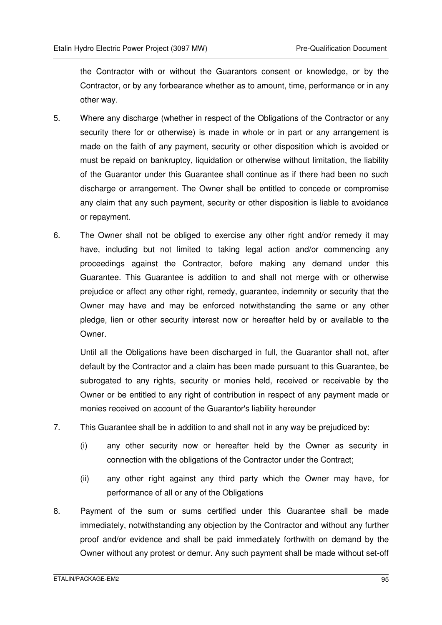the Contractor with or without the Guarantors consent or knowledge, or by the Contractor, or by any forbearance whether as to amount, time, performance or in any other way.

- 5. Where any discharge (whether in respect of the Obligations of the Contractor or any security there for or otherwise) is made in whole or in part or any arrangement is made on the faith of any payment, security or other disposition which is avoided or must be repaid on bankruptcy, liquidation or otherwise without limitation, the liability of the Guarantor under this Guarantee shall continue as if there had been no such discharge or arrangement. The Owner shall be entitled to concede or compromise any claim that any such payment, security or other disposition is liable to avoidance or repayment.
- 6. The Owner shall not be obliged to exercise any other right and/or remedy it may have, including but not limited to taking legal action and/or commencing any proceedings against the Contractor, before making any demand under this Guarantee. This Guarantee is addition to and shall not merge with or otherwise prejudice or affect any other right, remedy, guarantee, indemnity or security that the Owner may have and may be enforced notwithstanding the same or any other pledge, lien or other security interest now or hereafter held by or available to the Owner.

Until all the Obligations have been discharged in full, the Guarantor shall not, after default by the Contractor and a claim has been made pursuant to this Guarantee, be subrogated to any rights, security or monies held, received or receivable by the Owner or be entitled to any right of contribution in respect of any payment made or monies received on account of the Guarantor's liability hereunder

- 7. This Guarantee shall be in addition to and shall not in any way be prejudiced by:
	- (i) any other security now or hereafter held by the Owner as security in connection with the obligations of the Contractor under the Contract:
	- (ii) any other right against any third party which the Owner may have, for performance of all or any of the Obligations
- 8. Payment of the sum or sums certified under this Guarantee shall be made immediately, notwithstanding any objection by the Contractor and without any further proof and/or evidence and shall be paid immediately forthwith on demand by the Owner without any protest or demur. Any such payment shall be made without set-off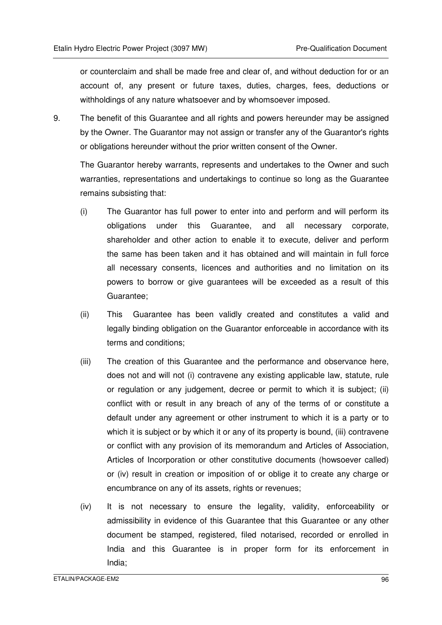or counterclaim and shall be made free and clear of, and without deduction for or an account of, any present or future taxes, duties, charges, fees, deductions or withholdings of any nature whatsoever and by whomsoever imposed.

9. The benefit of this Guarantee and all rights and powers hereunder may be assigned by the Owner. The Guarantor may not assign or transfer any of the Guarantor's rights or obligations hereunder without the prior written consent of the Owner.

The Guarantor hereby warrants, represents and undertakes to the Owner and such warranties, representations and undertakings to continue so long as the Guarantee remains subsisting that:

- (i) The Guarantor has full power to enter into and perform and will perform its obligations under this Guarantee, and all necessary corporate, shareholder and other action to enable it to execute, deliver and perform the same has been taken and it has obtained and will maintain in full force all necessary consents, licences and authorities and no limitation on its powers to borrow or give guarantees will be exceeded as a result of this Guarantee;
- (ii) This Guarantee has been validly created and constitutes a valid and legally binding obligation on the Guarantor enforceable in accordance with its terms and conditions;
- (iii) The creation of this Guarantee and the performance and observance here, does not and will not (i) contravene any existing applicable law, statute, rule or regulation or any judgement, decree or permit to which it is subject; (ii) conflict with or result in any breach of any of the terms of or constitute a default under any agreement or other instrument to which it is a party or to which it is subject or by which it or any of its property is bound, (iii) contravene or conflict with any provision of its memorandum and Articles of Association, Articles of Incorporation or other constitutive documents (howsoever called) or (iv) result in creation or imposition of or oblige it to create any charge or encumbrance on any of its assets, rights or revenues;
- (iv) It is not necessary to ensure the legality, validity, enforceability or admissibility in evidence of this Guarantee that this Guarantee or any other document be stamped, registered, filed notarised, recorded or enrolled in India and this Guarantee is in proper form for its enforcement in India;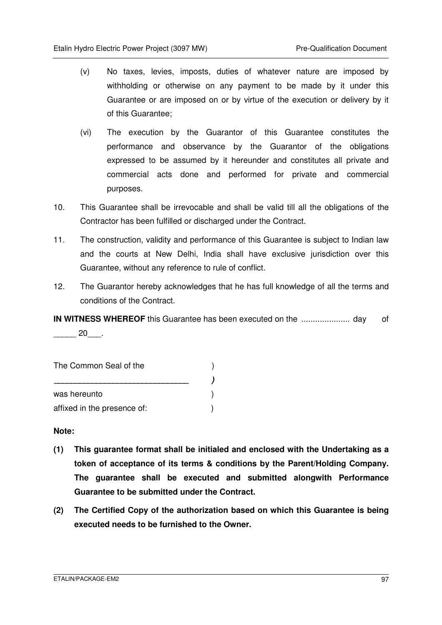- (v) No taxes, levies, imposts, duties of whatever nature are imposed by withholding or otherwise on any payment to be made by it under this Guarantee or are imposed on or by virtue of the execution or delivery by it of this Guarantee;
- (vi) The execution by the Guarantor of this Guarantee constitutes the performance and observance by the Guarantor of the obligations expressed to be assumed by it hereunder and constitutes all private and commercial acts done and performed for private and commercial purposes.
- 10. This Guarantee shall be irrevocable and shall be valid till all the obligations of the Contractor has been fulfilled or discharged under the Contract.
- 11. The construction, validity and performance of this Guarantee is subject to Indian law and the courts at New Delhi, India shall have exclusive jurisdiction over this Guarantee, without any reference to rule of conflict.
- 12. The Guarantor hereby acknowledges that he has full knowledge of all the terms and conditions of the Contract.

**IN WITNESS WHEREOF** this Guarantee has been executed on the ..................... day of  $20$ .

The Common Seal of the  $( )$  **\_\_\_\_\_\_\_\_\_\_\_\_\_\_\_\_\_\_\_\_\_\_\_\_\_\_\_\_\_\_\_\_ )**  was hereunto (a) affixed in the presence of:  $\qquad \qquad$ )

**Note:** 

- **(1) This guarantee format shall be initialed and enclosed with the Undertaking as a token of acceptance of its terms & conditions by the Parent/Holding Company. The guarantee shall be executed and submitted alongwith Performance Guarantee to be submitted under the Contract.**
- **(2) The Certified Copy of the authorization based on which this Guarantee is being executed needs to be furnished to the Owner.**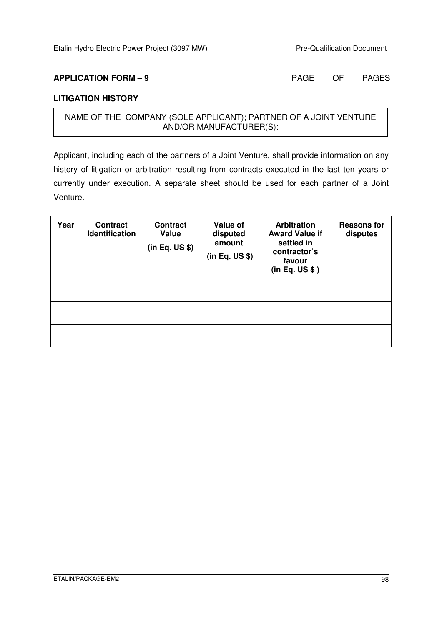**APPLICATION FORM – 9** PAGE OF PAGES

#### **LITIGATION HISTORY**

### NAME OF THE COMPANY (SOLE APPLICANT); PARTNER OF A JOINT VENTURE AND/OR MANUFACTURER(S):

Applicant, including each of the partners of a Joint Venture, shall provide information on any history of litigation or arbitration resulting from contracts executed in the last ten years or currently under execution. A separate sheet should be used for each partner of a Joint Venture.

| Year | <b>Contract</b><br><b>Identification</b> | <b>Contract</b><br>Value<br>(in Eq. US \$) | Value of<br>disputed<br>amount<br>(in Eq. US \$) | <b>Arbitration</b><br><b>Award Value if</b><br>settled in<br>contractor's<br>favour<br>(in Eq. US \$ ) | <b>Reasons for</b><br>disputes |
|------|------------------------------------------|--------------------------------------------|--------------------------------------------------|--------------------------------------------------------------------------------------------------------|--------------------------------|
|      |                                          |                                            |                                                  |                                                                                                        |                                |
|      |                                          |                                            |                                                  |                                                                                                        |                                |
|      |                                          |                                            |                                                  |                                                                                                        |                                |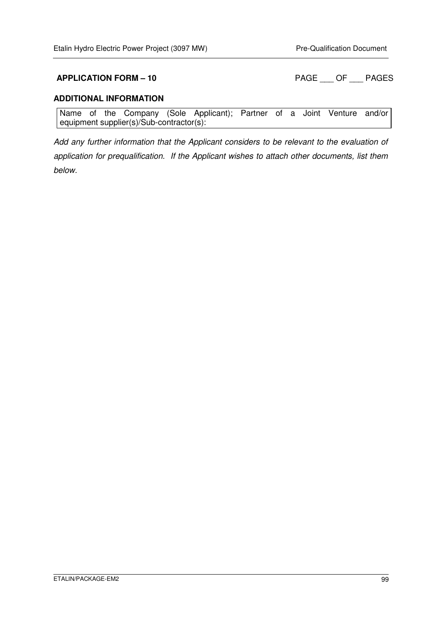**APPLICATION FORM – 10 PAGE \_\_\_ OF \_\_\_ PAGES** 

#### **ADDITIONAL INFORMATION**

Name of the Company (Sole Applicant); Partner of a Joint Venture and/or equipment supplier(s)/Sub-contractor(s):

Add any further information that the Applicant considers to be relevant to the evaluation of application for prequalification. If the Applicant wishes to attach other documents, list them below.